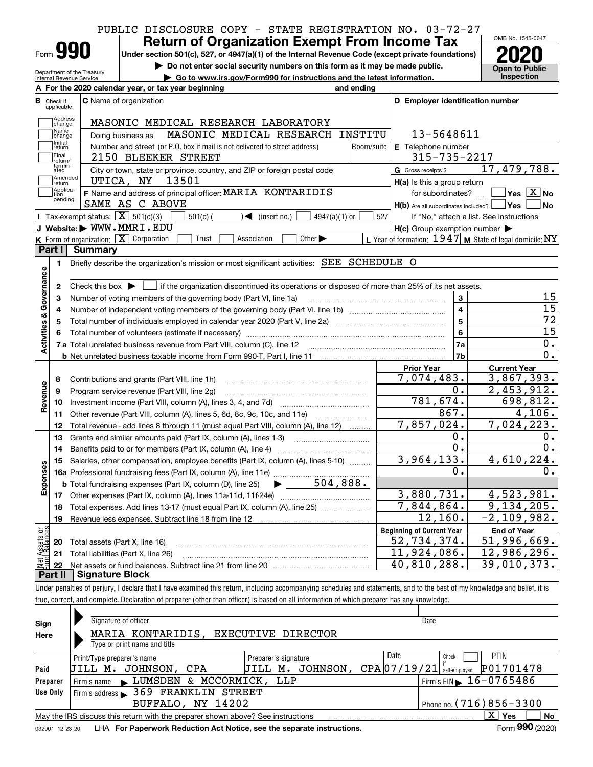## PUBLIC DISCLOSURE COPY - STATE REGISTRATION NO. 03-72-27

| -orm |  |  |
|------|--|--|

Department of the Treasury Internal Revenue Service

# **Return of Organization Exempt From Income Tax**

**Under section 501(c), 527, or 4947(a)(1) of the Internal Revenue Code (except private foundations) 2020**

**| Do not enter social security numbers on this form as it may be made public. | Go to www.irs.gov/Form990 for instructions and the latest information. Inspection**



|                         |                         | A For the 2020 calendar year, or tax year beginning                                                                                                    | and ending |                                                     |                                                           |
|-------------------------|-------------------------|--------------------------------------------------------------------------------------------------------------------------------------------------------|------------|-----------------------------------------------------|-----------------------------------------------------------|
| В                       | Check if<br>applicable: | <b>C</b> Name of organization                                                                                                                          |            | D Employer identification number                    |                                                           |
|                         | Address<br>change       | MASONIC MEDICAL RESEARCH LABORATORY                                                                                                                    |            |                                                     |                                                           |
|                         | Name<br>change          | MASONIC MEDICAL RESEARCH INSTITU<br>Doing business as                                                                                                  |            | 13-5648611                                          |                                                           |
|                         | Initial<br>return       | Number and street (or P.O. box if mail is not delivered to street address)                                                                             | Room/suite | E Telephone number                                  |                                                           |
|                         | Final<br>return/        | 2150 BLEEKER STREET                                                                                                                                    |            | 315-735-2217                                        |                                                           |
|                         | termin-<br>ated         | City or town, state or province, country, and ZIP or foreign postal code                                                                               |            | G Gross receipts \$                                 | 17,479,788.                                               |
|                         | Amended<br>return       | 13501<br>UTICA, NY                                                                                                                                     |            | H(a) Is this a group return                         |                                                           |
|                         | Applica-<br>tion        | F Name and address of principal officer: MARIA KONTARIDIS                                                                                              |            | for subordinates?                                   | $\overline{\ }$ Yes $\overline{\phantom{X}}$ No           |
|                         | pending                 | SAME AS C ABOVE                                                                                                                                        |            | H(b) Are all subordinates included?   Yes           | ∣No                                                       |
|                         |                         | Tax-exempt status: $\boxed{\mathbf{X}}$ 501(c)(3)<br>$501(c)$ (<br>$\sqrt{\bullet}$ (insert no.)<br>$4947(a)(1)$ or                                    | 527        |                                                     | If "No," attach a list. See instructions                  |
|                         |                         | J Website: WWW.MMRI.EDU                                                                                                                                |            | $H(c)$ Group exemption number $\blacktriangleright$ |                                                           |
|                         |                         | $K$ Form of organization: $X$ Corporation<br>Trust<br>Association<br>Other $\blacktriangleright$                                                       |            |                                                     | L Year of formation: 1947   M State of legal domicile: NY |
|                         | Part I                  | <b>Summary</b>                                                                                                                                         |            |                                                     |                                                           |
|                         | 1                       | Briefly describe the organization's mission or most significant activities: SEE SCHEDULE O                                                             |            |                                                     |                                                           |
| Activities & Governance |                         |                                                                                                                                                        |            |                                                     |                                                           |
|                         | 2                       | Check this box $\blacktriangleright$ $\perp$<br>$\Box$ if the organization discontinued its operations or disposed of more than 25% of its net assets. |            |                                                     | 15                                                        |
|                         | 3                       | Number of voting members of the governing body (Part VI, line 1a)                                                                                      |            | 3<br>$\overline{\mathbf{4}}$                        | $\overline{15}$                                           |
|                         | 4                       |                                                                                                                                                        |            | $\overline{5}$                                      | $\overline{72}$                                           |
|                         | 5                       |                                                                                                                                                        |            | 6                                                   | $\overline{15}$                                           |
|                         | 6                       |                                                                                                                                                        |            | 7a                                                  | $\overline{0}$ .                                          |
|                         |                         |                                                                                                                                                        |            | 7b                                                  | 0.                                                        |
|                         |                         |                                                                                                                                                        |            | <b>Prior Year</b>                                   | <b>Current Year</b>                                       |
|                         | 8                       | Contributions and grants (Part VIII, line 1h)                                                                                                          |            | 7,074,483.                                          | 3,867,393.                                                |
| Revenue                 | 9                       | Program service revenue (Part VIII, line 2g)                                                                                                           |            | 0.                                                  | 2,453,912.                                                |
|                         | 10                      |                                                                                                                                                        |            | 781,674.                                            | 698,812.                                                  |
|                         | 11                      | Other revenue (Part VIII, column (A), lines 5, 6d, 8c, 9c, 10c, and 11e)                                                                               |            | 867.                                                | 4,106.                                                    |
|                         | 12                      | Total revenue - add lines 8 through 11 (must equal Part VIII, column (A), line 12)                                                                     |            | 7,857,024.                                          | 7,024,223.                                                |
|                         | 13                      | Grants and similar amounts paid (Part IX, column (A), lines 1-3)                                                                                       |            | Ο.                                                  | О.                                                        |
|                         | 14                      | Benefits paid to or for members (Part IX, column (A), line 4)                                                                                          |            | 0.                                                  | 0.                                                        |
|                         | 15                      | Salaries, other compensation, employee benefits (Part IX, column (A), lines 5-10)                                                                      |            | 3,964,133.                                          | 4,610,224.                                                |
| Expenses                |                         |                                                                                                                                                        |            | Ο.                                                  | 0.                                                        |
|                         |                         | $\blacktriangleright$ 504,888.<br><b>b</b> Total fundraising expenses (Part IX, column (D), line 25)                                                   |            |                                                     |                                                           |
|                         |                         |                                                                                                                                                        |            | 3,880,731.                                          | 4,523,981.                                                |
|                         | 18                      | Total expenses. Add lines 13-17 (must equal Part IX, column (A), line 25) [11, 11, 11, 11, 11, 11, 11, 11, 11,                                         |            | 7,844,864.                                          | 9,134,205.                                                |
|                         | 19                      |                                                                                                                                                        |            | $\overline{12,160}$ .                               | $-2,109,982.$                                             |
| äğ                      |                         |                                                                                                                                                        |            | <b>Beginning of Current Year</b>                    | <b>End of Year</b>                                        |
| <b>Ssets</b><br>Balanc  |                         | <b>20</b> Total assets (Part X, line 16)                                                                                                               |            | 52,734,374.                                         | 51,996,669.                                               |
|                         |                         | 21 Total liabilities (Part X, line 26)                                                                                                                 |            | 11,924,086.                                         | 12,986,296.                                               |
|                         | 22                      |                                                                                                                                                        |            | 40,810,288.                                         | 39,010,373.                                               |
|                         | Part II                 | <b>Signature Block</b>                                                                                                                                 |            |                                                     |                                                           |

Under penalties of perjury, I declare that I have examined this return, including accompanying schedules and statements, and to the best of my knowledge and belief, it is true, correct, and complete. Declaration of preparer (other than officer) is based on all information of which preparer has any knowledge.

| Sign            | Signature of officer                                                                              |                           | Date                                                |  |  |  |  |  |
|-----------------|---------------------------------------------------------------------------------------------------|---------------------------|-----------------------------------------------------|--|--|--|--|--|
| Here            | MARIA KONTARIDIS.                                                                                 | <b>EXECUTIVE DIRECTOR</b> |                                                     |  |  |  |  |  |
|                 | Type or print name and title                                                                      |                           |                                                     |  |  |  |  |  |
|                 | Print/Type preparer's name                                                                        | Preparer's signature      | Date<br><b>PTIN</b><br>Check                        |  |  |  |  |  |
| Paid            | JOHNSON, CPA<br>UILL M.                                                                           | м.<br>UILL                | P01701478<br>JOHNSON, CPA 07/19/21<br>self-emploved |  |  |  |  |  |
| Preparer        | Firm's name LUMSDEN & MCCORMICK, LLP                                                              |                           | $I$ Firm's EIN $\triangleright$ 16-0765486          |  |  |  |  |  |
| Use Only        | Firm's address > 369 FRANKLIN STREET                                                              |                           |                                                     |  |  |  |  |  |
|                 | BUFFALO, NY 14202                                                                                 |                           | Phone no. (716) 856 – 3300                          |  |  |  |  |  |
|                 | x<br>No<br>May the IRS discuss this return with the preparer shown above? See instructions<br>Yes |                           |                                                     |  |  |  |  |  |
| 032001 12-23-20 | LHA For Paperwork Reduction Act Notice, see the separate instructions.                            |                           | Form 990 (2020)                                     |  |  |  |  |  |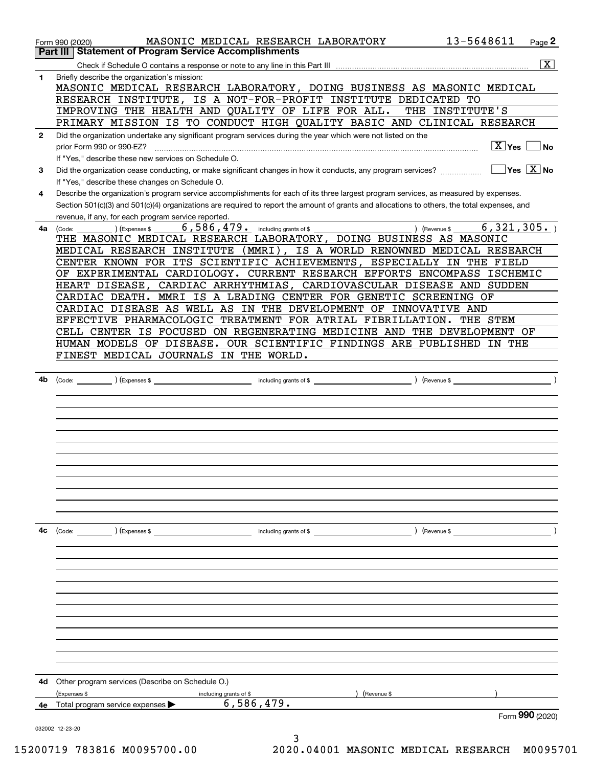|              | MASONIC MEDICAL RESEARCH LABORATORY<br>Form 990 (2020)                                                                                                                                              | 13-5648611                  | Page 2                                 |
|--------------|-----------------------------------------------------------------------------------------------------------------------------------------------------------------------------------------------------|-----------------------------|----------------------------------------|
| Part III     | <b>Statement of Program Service Accomplishments</b>                                                                                                                                                 |                             |                                        |
|              |                                                                                                                                                                                                     |                             | $\overline{\text{X}}$                  |
| 1            | Briefly describe the organization's mission:<br>MASONIC MEDICAL RESEARCH LABORATORY, DOING BUSINESS AS MASONIC MEDICAL                                                                              |                             |                                        |
|              | RESEARCH INSTITUTE, IS A NOT-FOR-PROFIT INSTITUTE DEDICATED TO                                                                                                                                      |                             |                                        |
|              | IMPROVING THE HEALTH AND QUALITY OF LIFE FOR ALL.                                                                                                                                                   | THE INSTITUTE'S             |                                        |
|              | PRIMARY MISSION IS TO CONDUCT HIGH QUALITY BASIC AND CLINICAL RESEARCH                                                                                                                              |                             |                                        |
| $\mathbf{2}$ | Did the organization undertake any significant program services during the year which were not listed on the<br>prior Form 990 or 990-EZ?                                                           | $\boxed{\text{X}}$ Yes      | No                                     |
|              | If "Yes," describe these new services on Schedule O.                                                                                                                                                |                             |                                        |
| 3            | Did the organization cease conducting, or make significant changes in how it conducts, any program services?<br>If "Yes," describe these changes on Schedule O.                                     |                             | $\sqrt{}$ Yes $\sqrt{}$ X $\sqrt{}$ No |
| 4            | Describe the organization's program service accomplishments for each of its three largest program services, as measured by expenses.                                                                |                             |                                        |
|              | Section 501(c)(3) and 501(c)(4) organizations are required to report the amount of grants and allocations to others, the total expenses, and<br>revenue, if any, for each program service reported. |                             |                                        |
| 4а           | $6,586,479$ and $\frac{1}{2}$ including grants of \$<br>) (Expenses \$<br>(Code:<br>THE MASONIC MEDICAL RESEARCH LABORATORY, DOING BUSINESS AS MASONIC                                              | 6,321,305.<br>) (Revenue \$ |                                        |
|              | MEDICAL RESEARCH INSTITUTE (MMRI), IS A WORLD RENOWNED MEDICAL RESEARCH                                                                                                                             |                             |                                        |
|              | CENTER KNOWN FOR ITS SCIENTIFIC ACHIEVEMENTS, ESPECIALLY IN THE FIELD                                                                                                                               |                             |                                        |
|              | EXPERIMENTAL CARDIOLOGY. CURRENT RESEARCH EFFORTS ENCOMPASS ISCHEMIC<br>OF                                                                                                                          |                             |                                        |
|              | CARDIAC ARRHYTHMIAS, CARDIOVASCULAR DISEASE AND SUDDEN<br>HEART DISEASE,                                                                                                                            |                             |                                        |
|              | CARDIAC DEATH. MMRI IS A LEADING CENTER FOR GENETIC SCREENING OF                                                                                                                                    |                             |                                        |
|              | CARDIAC DISEASE AS WELL AS IN THE DEVELOPMENT OF INNOVATIVE AND                                                                                                                                     |                             |                                        |
|              | EFFECTIVE PHARMACOLOGIC TREATMENT FOR ATRIAL FIBRILLATION.                                                                                                                                          | THE STEM                    |                                        |
|              | CELL CENTER IS FOCUSED ON REGENERATING MEDICINE AND THE DEVELOPMENT OF                                                                                                                              |                             |                                        |
|              | HUMAN MODELS OF DISEASE. OUR SCIENTIFIC FINDINGS ARE PUBLISHED IN THE                                                                                                                               |                             |                                        |
|              | FINEST MEDICAL JOURNALS IN THE WORLD.                                                                                                                                                               |                             |                                        |
|              |                                                                                                                                                                                                     |                             |                                        |
| 4b           |                                                                                                                                                                                                     |                             |                                        |
|              |                                                                                                                                                                                                     |                             |                                        |
|              |                                                                                                                                                                                                     |                             |                                        |
|              |                                                                                                                                                                                                     |                             |                                        |
|              |                                                                                                                                                                                                     |                             |                                        |
|              |                                                                                                                                                                                                     |                             |                                        |
|              |                                                                                                                                                                                                     |                             |                                        |
|              |                                                                                                                                                                                                     |                             |                                        |
|              |                                                                                                                                                                                                     |                             |                                        |
|              |                                                                                                                                                                                                     |                             |                                        |
|              |                                                                                                                                                                                                     |                             |                                        |
|              |                                                                                                                                                                                                     |                             |                                        |
|              |                                                                                                                                                                                                     |                             |                                        |
| 4с           |                                                                                                                                                                                                     | (Revenue \$                 |                                        |
|              |                                                                                                                                                                                                     |                             |                                        |
|              |                                                                                                                                                                                                     |                             |                                        |
|              |                                                                                                                                                                                                     |                             |                                        |
|              |                                                                                                                                                                                                     |                             |                                        |
|              |                                                                                                                                                                                                     |                             |                                        |
|              |                                                                                                                                                                                                     |                             |                                        |
|              |                                                                                                                                                                                                     |                             |                                        |
|              |                                                                                                                                                                                                     |                             |                                        |
|              |                                                                                                                                                                                                     |                             |                                        |
|              |                                                                                                                                                                                                     |                             |                                        |
|              |                                                                                                                                                                                                     |                             |                                        |
|              |                                                                                                                                                                                                     |                             |                                        |
| 4d           | Other program services (Describe on Schedule O.)                                                                                                                                                    |                             |                                        |
|              | (Expenses \$<br>including grants of \$<br>(Revenue \$                                                                                                                                               |                             |                                        |
|              | 6,586,479.<br>4e Total program service expenses >                                                                                                                                                   |                             |                                        |
|              |                                                                                                                                                                                                     |                             | Form 990 (2020)                        |
|              | 032002 12-23-20                                                                                                                                                                                     |                             |                                        |
|              |                                                                                                                                                                                                     |                             |                                        |

15200719 783816 M0095700.00 2020.04001 MASONIC MEDICAL RESEARCH M0095701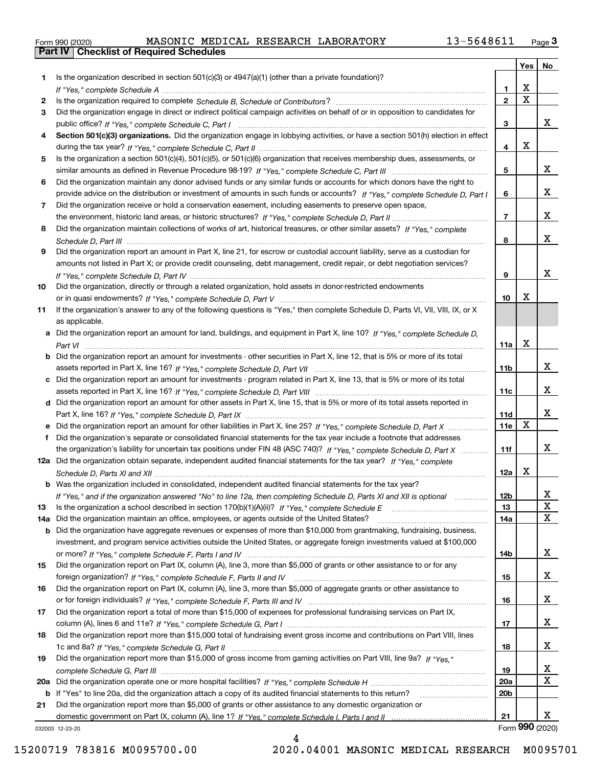|  | Form 990 (2020) |
|--|-----------------|

|     |                                                                                                                                                 |                 | Yes                     | No                   |
|-----|-------------------------------------------------------------------------------------------------------------------------------------------------|-----------------|-------------------------|----------------------|
| 1   | Is the organization described in section $501(c)(3)$ or $4947(a)(1)$ (other than a private foundation)?                                         |                 |                         |                      |
|     |                                                                                                                                                 | 1.              | X                       |                      |
| 2   |                                                                                                                                                 | $\overline{2}$  | $\overline{\mathbf{x}}$ |                      |
| 3   | Did the organization engage in direct or indirect political campaign activities on behalf of or in opposition to candidates for                 |                 |                         |                      |
|     |                                                                                                                                                 | 3               |                         | X.                   |
| 4   | Section 501(c)(3) organizations. Did the organization engage in lobbying activities, or have a section 501(h) election in effect                |                 |                         |                      |
|     |                                                                                                                                                 | 4               | X                       |                      |
| 5   | Is the organization a section 501(c)(4), 501(c)(5), or 501(c)(6) organization that receives membership dues, assessments, or                    |                 |                         |                      |
|     |                                                                                                                                                 | 5               |                         | x                    |
| 6   | Did the organization maintain any donor advised funds or any similar funds or accounts for which donors have the right to                       |                 |                         |                      |
|     | provide advice on the distribution or investment of amounts in such funds or accounts? If "Yes," complete Schedule D, Part I                    | 6               |                         | x                    |
| 7   | Did the organization receive or hold a conservation easement, including easements to preserve open space,                                       |                 |                         |                      |
|     |                                                                                                                                                 | $\overline{7}$  |                         | x                    |
| 8   | Did the organization maintain collections of works of art, historical treasures, or other similar assets? If "Yes," complete                    |                 |                         | x                    |
|     |                                                                                                                                                 | 8               |                         |                      |
| 9   | Did the organization report an amount in Part X, line 21, for escrow or custodial account liability, serve as a custodian for                   |                 |                         |                      |
|     | amounts not listed in Part X; or provide credit counseling, debt management, credit repair, or debt negotiation services?                       |                 |                         | X.                   |
|     |                                                                                                                                                 | 9               |                         |                      |
| 10  | Did the organization, directly or through a related organization, hold assets in donor-restricted endowments                                    | 10              | Х                       |                      |
|     | If the organization's answer to any of the following questions is "Yes," then complete Schedule D, Parts VI, VII, VIII, IX, or X                |                 |                         |                      |
| 11  |                                                                                                                                                 |                 |                         |                      |
|     | as applicable.<br>a Did the organization report an amount for land, buildings, and equipment in Part X, line 10? If "Yes," complete Schedule D, |                 |                         |                      |
|     |                                                                                                                                                 | 11a             | X                       |                      |
|     | Did the organization report an amount for investments - other securities in Part X, line 12, that is 5% or more of its total                    |                 |                         |                      |
|     |                                                                                                                                                 | 11 <sub>b</sub> |                         | x                    |
| c   | Did the organization report an amount for investments - program related in Part X, line 13, that is 5% or more of its total                     |                 |                         |                      |
|     |                                                                                                                                                 | 11c             |                         | x                    |
|     | d Did the organization report an amount for other assets in Part X, line 15, that is 5% or more of its total assets reported in                 |                 |                         |                      |
|     |                                                                                                                                                 | 11d             |                         | x                    |
|     |                                                                                                                                                 | 11e             | $\mathbf X$             |                      |
| f   | Did the organization's separate or consolidated financial statements for the tax year include a footnote that addresses                         |                 |                         |                      |
|     | the organization's liability for uncertain tax positions under FIN 48 (ASC 740)? If "Yes," complete Schedule D, Part X                          | 11f             |                         | x                    |
|     | 12a Did the organization obtain separate, independent audited financial statements for the tax year? If "Yes," complete                         |                 |                         |                      |
|     |                                                                                                                                                 | 12a             | X                       |                      |
|     | <b>b</b> Was the organization included in consolidated, independent audited financial statements for the tax year?                              |                 |                         |                      |
|     | If "Yes," and if the organization answered "No" to line 12a, then completing Schedule D, Parts XI and XII is optional manum                     | 12b             |                         | ᅀ                    |
| 13  |                                                                                                                                                 | 13              |                         | $\mathbf X$          |
| 14a | Did the organization maintain an office, employees, or agents outside of the United States?                                                     | 14a             |                         | х                    |
| b   | Did the organization have aggregate revenues or expenses of more than \$10,000 from grantmaking, fundraising, business,                         |                 |                         |                      |
|     | investment, and program service activities outside the United States, or aggregate foreign investments valued at \$100,000                      |                 |                         |                      |
|     |                                                                                                                                                 | 14b             |                         | X.                   |
| 15  | Did the organization report on Part IX, column (A), line 3, more than \$5,000 of grants or other assistance to or for any                       |                 |                         |                      |
|     |                                                                                                                                                 | 15              |                         | x                    |
| 16  | Did the organization report on Part IX, column (A), line 3, more than \$5,000 of aggregate grants or other assistance to                        |                 |                         |                      |
|     |                                                                                                                                                 | 16              |                         | x                    |
| 17  | Did the organization report a total of more than \$15,000 of expenses for professional fundraising services on Part IX,                         |                 |                         |                      |
|     |                                                                                                                                                 | 17              |                         | x                    |
| 18  | Did the organization report more than \$15,000 total of fundraising event gross income and contributions on Part VIII, lines                    |                 |                         |                      |
|     |                                                                                                                                                 | 18              |                         | X.                   |
| 19  | Did the organization report more than \$15,000 of gross income from gaming activities on Part VIII, line 9a? If "Yes."                          |                 |                         |                      |
|     |                                                                                                                                                 | 19              |                         | X                    |
| 20a |                                                                                                                                                 | <b>20a</b>      |                         | х                    |
| b   | If "Yes" to line 20a, did the organization attach a copy of its audited financial statements to this return?                                    | 20 <sub>b</sub> |                         |                      |
| 21  | Did the organization report more than \$5,000 of grants or other assistance to any domestic organization or                                     |                 |                         |                      |
|     |                                                                                                                                                 | 21              |                         | x<br>Form 990 (2020) |
|     | 032003 12-23-20                                                                                                                                 |                 |                         |                      |

032003 12-23-20

15200719 783816 M0095700.00 2020.04001 MASONIC MEDICAL RESEARCH M0095701

4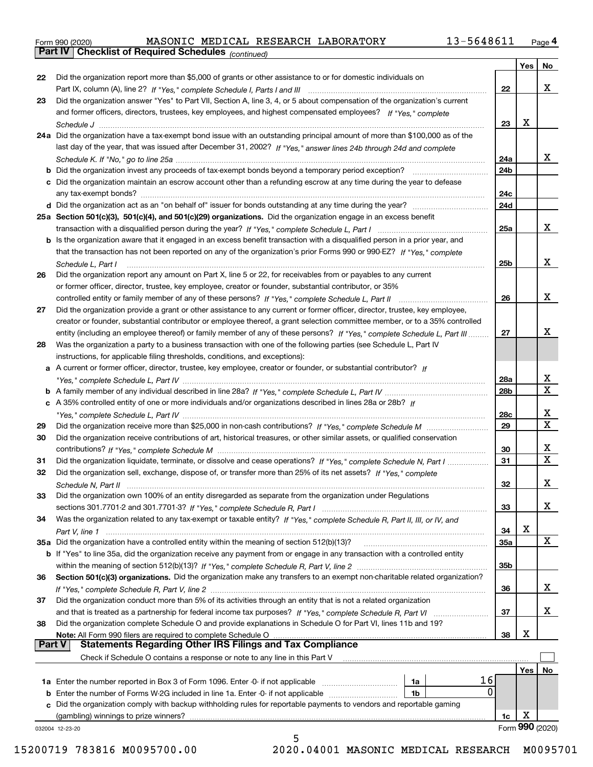|  | Form 990 (2020) |
|--|-----------------|
|  |                 |

*(continued)*

|               | <b>b</b> Did the organization invest any proceeds of tax-exempt bonds beyond a temporary period exception?                         | 24 <sub>b</sub> |     |                  |
|---------------|------------------------------------------------------------------------------------------------------------------------------------|-----------------|-----|------------------|
|               |                                                                                                                                    |                 |     |                  |
|               | c Did the organization maintain an escrow account other than a refunding escrow at any time during the year to defease             | 24c             |     |                  |
|               |                                                                                                                                    | 24d             |     |                  |
|               | 25a Section 501(c)(3), 501(c)(4), and 501(c)(29) organizations. Did the organization engage in an excess benefit                   |                 |     |                  |
|               |                                                                                                                                    | 25a             |     | x                |
|               | b Is the organization aware that it engaged in an excess benefit transaction with a disqualified person in a prior year, and       |                 |     |                  |
|               | that the transaction has not been reported on any of the organization's prior Forms 990 or 990-EZ? If "Yes," complete              |                 |     |                  |
|               | Schedule L. Part I                                                                                                                 | 25b             |     | х                |
| 26            | Did the organization report any amount on Part X, line 5 or 22, for receivables from or payables to any current                    |                 |     |                  |
|               | or former officer, director, trustee, key employee, creator or founder, substantial contributor, or 35%                            |                 |     | x                |
| 27            | Did the organization provide a grant or other assistance to any current or former officer, director, trustee, key employee,        | 26              |     |                  |
|               | creator or founder, substantial contributor or employee thereof, a grant selection committee member, or to a 35% controlled        |                 |     |                  |
|               | entity (including an employee thereof) or family member of any of these persons? If "Yes," complete Schedule L, Part III           | 27              |     | x                |
| 28            | Was the organization a party to a business transaction with one of the following parties (see Schedule L, Part IV                  |                 |     |                  |
|               | instructions, for applicable filing thresholds, conditions, and exceptions):                                                       |                 |     |                  |
|               | a A current or former officer, director, trustee, key employee, creator or founder, or substantial contributor? If                 |                 |     |                  |
|               |                                                                                                                                    | 28a             |     | x<br>$\mathbf X$ |
|               | c A 35% controlled entity of one or more individuals and/or organizations described in lines 28a or 28b? If                        | 28 <sub>b</sub> |     |                  |
|               |                                                                                                                                    | 28c             |     | х                |
| 29            |                                                                                                                                    | 29              |     | х                |
| 30            | Did the organization receive contributions of art, historical treasures, or other similar assets, or qualified conservation        |                 |     |                  |
|               |                                                                                                                                    | 30              |     | х                |
| 31            | Did the organization liquidate, terminate, or dissolve and cease operations? If "Yes," complete Schedule N, Part I                 | 31              |     | $\mathbf X$      |
| 32            | Did the organization sell, exchange, dispose of, or transfer more than 25% of its net assets? If "Yes," complete                   |                 |     |                  |
| 33            | Did the organization own 100% of an entity disregarded as separate from the organization under Regulations                         | 32              |     | х                |
|               |                                                                                                                                    | 33              |     | х                |
| 34            | Was the organization related to any tax-exempt or taxable entity? If "Yes," complete Schedule R, Part II, III, or IV, and          |                 |     |                  |
|               |                                                                                                                                    | 34              | х   |                  |
|               | 35a Did the organization have a controlled entity within the meaning of section 512(b)(13)?                                        | 35a             |     | X                |
|               | <b>b</b> If "Yes" to line 35a, did the organization receive any payment from or engage in any transaction with a controlled entity |                 |     |                  |
|               |                                                                                                                                    | 35b             |     |                  |
| 36            | Section 501(c)(3) organizations. Did the organization make any transfers to an exempt non-charitable related organization?         |                 |     | х                |
| 37            | Did the organization conduct more than 5% of its activities through an entity that is not a related organization                   | 36              |     |                  |
|               |                                                                                                                                    | 37              |     | х                |
| 38            | Did the organization complete Schedule O and provide explanations in Schedule O for Part VI, lines 11b and 19?                     |                 |     |                  |
|               | Note: All Form 990 filers are required to complete Schedule O                                                                      | 38              | X   |                  |
| <b>Part V</b> | <b>Statements Regarding Other IRS Filings and Tax Compliance</b>                                                                   |                 |     |                  |
|               | Check if Schedule O contains a response or note to any line in this Part V                                                         |                 |     |                  |
|               |                                                                                                                                    |                 | Yes | No               |
|               | 16<br>1a                                                                                                                           |                 |     |                  |
|               | 0<br><b>b</b> Enter the number of Forms W-2G included in line 1a. Enter -0- if not applicable <i>manumumumum</i><br>1b             |                 |     |                  |
|               |                                                                                                                                    |                 |     |                  |
|               | c Did the organization comply with backup withholding rules for reportable payments to vendors and reportable gaming               |                 |     |                  |
|               | (gambling) winnings to prize winners?<br>032004 12-23-20                                                                           | 1c              | X   | Form 990 (2020)  |

15200719 783816 M0095700.00 2020.04001 MASONIC MEDICAL RESEARCH M0095701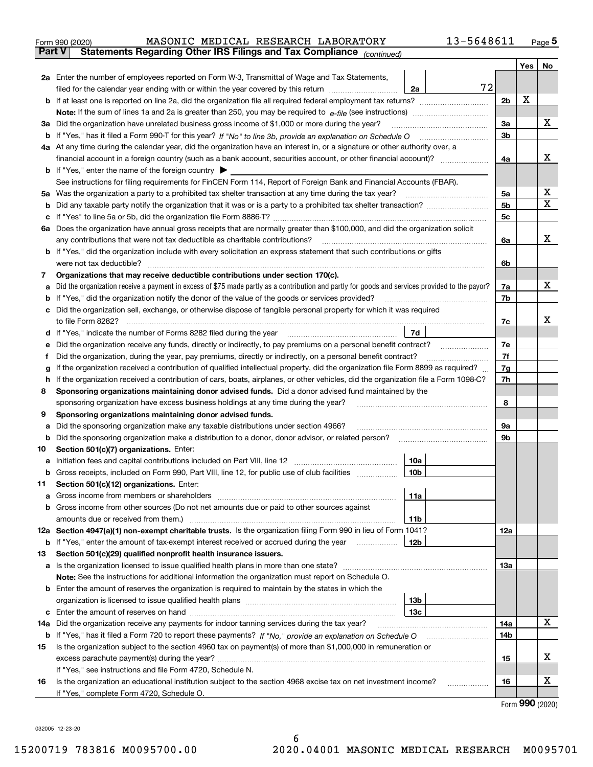|        | MASONIC MEDICAL RESEARCH LABORATORY<br>Form 990 (2020)                                                                                                                                                                                           | 13-5648611 |                |     | $_{\text{Page}}$ 5          |
|--------|--------------------------------------------------------------------------------------------------------------------------------------------------------------------------------------------------------------------------------------------------|------------|----------------|-----|-----------------------------|
|        | Statements Regarding Other IRS Filings and Tax Compliance (continued)<br>Part V                                                                                                                                                                  |            |                |     |                             |
|        |                                                                                                                                                                                                                                                  |            |                | Yes | No                          |
|        | 2a Enter the number of employees reported on Form W-3, Transmittal of Wage and Tax Statements,                                                                                                                                                   |            |                |     |                             |
|        | filed for the calendar year ending with or within the year covered by this return<br>2a                                                                                                                                                          | 72         |                |     |                             |
|        |                                                                                                                                                                                                                                                  |            | 2 <sub>b</sub> | х   |                             |
|        |                                                                                                                                                                                                                                                  |            |                |     |                             |
| За     | Did the organization have unrelated business gross income of \$1,000 or more during the year?                                                                                                                                                    |            | 3a             |     | x                           |
| b      |                                                                                                                                                                                                                                                  |            | 3 <sub>b</sub> |     |                             |
|        | 4a At any time during the calendar year, did the organization have an interest in, or a signature or other authority over, a                                                                                                                     |            |                |     |                             |
|        |                                                                                                                                                                                                                                                  |            | 4a             |     | х                           |
|        | <b>b</b> If "Yes," enter the name of the foreign country $\blacktriangleright$                                                                                                                                                                   |            |                |     |                             |
|        | See instructions for filing requirements for FinCEN Form 114, Report of Foreign Bank and Financial Accounts (FBAR).                                                                                                                              |            |                |     |                             |
| 5a     | Was the organization a party to a prohibited tax shelter transaction at any time during the tax year?                                                                                                                                            |            | 5a             |     | х                           |
| b      |                                                                                                                                                                                                                                                  |            | 5b             |     | X                           |
| с      |                                                                                                                                                                                                                                                  |            | 5c             |     |                             |
|        | 6a Does the organization have annual gross receipts that are normally greater than \$100,000, and did the organization solicit                                                                                                                   |            |                |     |                             |
|        | any contributions that were not tax deductible as charitable contributions?                                                                                                                                                                      |            | 6a             |     | x                           |
|        | <b>b</b> If "Yes," did the organization include with every solicitation an express statement that such contributions or gifts                                                                                                                    |            |                |     |                             |
|        | were not tax deductible?                                                                                                                                                                                                                         |            | 6b             |     |                             |
| 7      | Organizations that may receive deductible contributions under section 170(c).                                                                                                                                                                    |            |                |     |                             |
| а      | Did the organization receive a payment in excess of \$75 made partly as a contribution and partly for goods and services provided to the payor?                                                                                                  |            | 7a             |     | х                           |
| b      | If "Yes," did the organization notify the donor of the value of the goods or services provided?                                                                                                                                                  |            | 7b             |     |                             |
|        | Did the organization sell, exchange, or otherwise dispose of tangible personal property for which it was required                                                                                                                                |            |                |     |                             |
|        |                                                                                                                                                                                                                                                  |            | 7c             |     | x                           |
| d      | 7d                                                                                                                                                                                                                                               |            |                |     |                             |
| е      |                                                                                                                                                                                                                                                  |            | 7e             |     |                             |
| f      | Did the organization, during the year, pay premiums, directly or indirectly, on a personal benefit contract?<br>If the organization received a contribution of qualified intellectual property, did the organization file Form 8899 as required? |            | 7f             |     |                             |
| g<br>h | If the organization received a contribution of cars, boats, airplanes, or other vehicles, did the organization file a Form 1098-C?                                                                                                               |            | 7g<br>7h       |     |                             |
| 8      | Sponsoring organizations maintaining donor advised funds. Did a donor advised fund maintained by the                                                                                                                                             |            |                |     |                             |
|        | sponsoring organization have excess business holdings at any time during the year?                                                                                                                                                               |            | 8              |     |                             |
| 9      | Sponsoring organizations maintaining donor advised funds.                                                                                                                                                                                        |            |                |     |                             |
| а      | Did the sponsoring organization make any taxable distributions under section 4966?                                                                                                                                                               |            | 9а             |     |                             |
| b      | Did the sponsoring organization make a distribution to a donor, donor advisor, or related person?                                                                                                                                                |            | 9b             |     |                             |
| 10     | Section 501(c)(7) organizations. Enter:                                                                                                                                                                                                          |            |                |     |                             |
| а      | 10a<br>Initiation fees and capital contributions included on Part VIII, line 12 [111] [11] [12] [11] [12] [11] [12] [                                                                                                                            |            |                |     |                             |
|        | 10b <br>Gross receipts, included on Form 990, Part VIII, line 12, for public use of club facilities                                                                                                                                              |            |                |     |                             |
| 11     | Section 501(c)(12) organizations. Enter:                                                                                                                                                                                                         |            |                |     |                             |
| а      | Gross income from members or shareholders<br>11a                                                                                                                                                                                                 |            |                |     |                             |
| b      | Gross income from other sources (Do not net amounts due or paid to other sources against                                                                                                                                                         |            |                |     |                             |
|        | 11 <sub>b</sub><br>amounts due or received from them.)                                                                                                                                                                                           |            |                |     |                             |
|        | 12a Section 4947(a)(1) non-exempt charitable trusts. Is the organization filing Form 990 in lieu of Form 1041?                                                                                                                                   |            | <b>12a</b>     |     |                             |
|        | 12b<br><b>b</b> If "Yes," enter the amount of tax-exempt interest received or accrued during the year <i>manument</i> of                                                                                                                         |            |                |     |                             |
| 13     | Section 501(c)(29) qualified nonprofit health insurance issuers.                                                                                                                                                                                 |            |                |     |                             |
| a      | Is the organization licensed to issue qualified health plans in more than one state?                                                                                                                                                             |            | <b>13a</b>     |     |                             |
|        | Note: See the instructions for additional information the organization must report on Schedule O.                                                                                                                                                |            |                |     |                             |
| b      | Enter the amount of reserves the organization is required to maintain by the states in which the                                                                                                                                                 |            |                |     |                             |
|        | 13 <sub>b</sub>                                                                                                                                                                                                                                  |            |                |     |                             |
| с      | 13 <sub>c</sub>                                                                                                                                                                                                                                  |            |                |     |                             |
| 14a    | Did the organization receive any payments for indoor tanning services during the tax year?                                                                                                                                                       |            | 14a            |     | X                           |
|        | <b>b</b> If "Yes," has it filed a Form 720 to report these payments? If "No," provide an explanation on Schedule O                                                                                                                               |            | 14b            |     |                             |
| 15     | Is the organization subject to the section 4960 tax on payment(s) of more than \$1,000,000 in remuneration or                                                                                                                                    |            |                |     |                             |
|        |                                                                                                                                                                                                                                                  |            | 15             |     | х                           |
|        | If "Yes," see instructions and file Form 4720, Schedule N.                                                                                                                                                                                       |            |                |     | х                           |
| 16     | Is the organization an educational institution subject to the section 4968 excise tax on net investment income?                                                                                                                                  |            | 16             |     |                             |
|        | If "Yes," complete Form 4720, Schedule O.                                                                                                                                                                                                        |            |                |     | $F_{\text{Orm}}$ 990 (2020) |

Form (2020) **990**

032005 12-23-20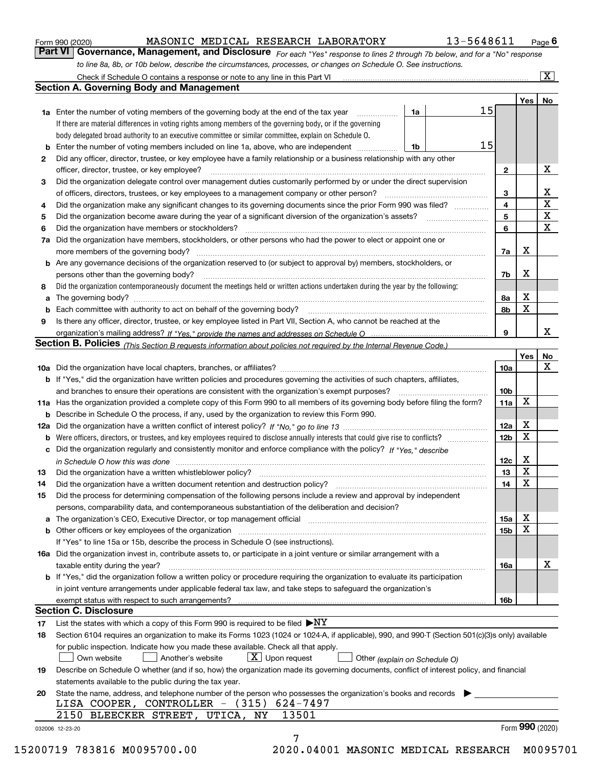|  | Form 990 (2020) |
|--|-----------------|
|  |                 |

#### $_{\rm Form}$   $_{990}$  (2020) <code>MASONIC</code> <code>MEDICAL</code> RESEARCH <code>LABORATORY</code>  $13$  –  $5648611$  <code>Page</code>

orm 990 (2020) \_\_\_\_\_\_\_\_\_\_\_\_\_\_MASONIC\_MEDICAL\_RESEARCH\_LABORATORY \_\_\_\_\_\_\_\_\_\_\_\_\_13-5648611\_\_\_\_<sub>Page</sub> 6<br>**Part VI** Governance, Management, and Disclosure <sub>For each "Yes" response to lines 2 through 7b below, and for a "No" res</sub> *to line 8a, 8b, or 10b below, describe the circumstances, processes, or changes on Schedule O. See instructions.*

|    |                                                                                                                                                                               |    |    |                 | Yes   No |                 |
|----|-------------------------------------------------------------------------------------------------------------------------------------------------------------------------------|----|----|-----------------|----------|-----------------|
|    | <b>1a</b> Enter the number of voting members of the governing body at the end of the tax year                                                                                 | 1a | 15 |                 |          |                 |
|    | If there are material differences in voting rights among members of the governing body, or if the governing                                                                   |    |    |                 |          |                 |
|    | body delegated broad authority to an executive committee or similar committee, explain on Schedule O.                                                                         |    |    |                 |          |                 |
|    | <b>b</b> Enter the number of voting members included on line 1a, above, who are independent <i>manumum</i>                                                                    | 1b | 15 |                 |          |                 |
| 2  | Did any officer, director, trustee, or key employee have a family relationship or a business relationship with any other                                                      |    |    |                 |          |                 |
|    | officer, director, trustee, or key employee?                                                                                                                                  |    |    | $\mathbf{2}$    |          | X               |
| 3  | Did the organization delegate control over management duties customarily performed by or under the direct supervision                                                         |    |    |                 |          |                 |
|    |                                                                                                                                                                               |    |    | 3               |          | X               |
| 4  | Did the organization make any significant changes to its governing documents since the prior Form 990 was filed?                                                              |    |    | $\overline{4}$  |          | $\mathbf X$     |
| 5  |                                                                                                                                                                               |    |    | 5               |          | $\mathbf X$     |
| 6  |                                                                                                                                                                               |    |    | 6               |          | $\mathbf X$     |
| 7a | Did the organization have members, stockholders, or other persons who had the power to elect or appoint one or                                                                |    |    |                 |          |                 |
|    |                                                                                                                                                                               |    |    | 7a              | х        |                 |
|    | <b>b</b> Are any governance decisions of the organization reserved to (or subject to approval by) members, stockholders, or                                                   |    |    |                 |          |                 |
|    | persons other than the governing body?                                                                                                                                        |    |    | 7b              | х        |                 |
| 8  | Did the organization contemporaneously document the meetings held or written actions undertaken during the year by the following:                                             |    |    |                 |          |                 |
| a  |                                                                                                                                                                               |    |    | 8a              | X        |                 |
|    |                                                                                                                                                                               |    |    | 8b              | X        |                 |
| 9  | Is there any officer, director, trustee, or key employee listed in Part VII, Section A, who cannot be reached at the                                                          |    |    |                 |          |                 |
|    |                                                                                                                                                                               |    |    | 9               |          | x               |
|    | Section B. Policies (This Section B requests information about policies not required by the Internal Revenue Code.)                                                           |    |    |                 |          |                 |
|    |                                                                                                                                                                               |    |    |                 | Yes      | No              |
|    |                                                                                                                                                                               |    |    | 10a             |          | X               |
|    | <b>b</b> If "Yes," did the organization have written policies and procedures governing the activities of such chapters, affiliates,                                           |    |    |                 |          |                 |
|    |                                                                                                                                                                               |    |    | 10 <sub>b</sub> |          |                 |
|    | 11a Has the organization provided a complete copy of this Form 990 to all members of its governing body before filing the form?                                               |    |    | 11a             | X        |                 |
|    | <b>b</b> Describe in Schedule O the process, if any, used by the organization to review this Form 990.                                                                        |    |    |                 |          |                 |
|    |                                                                                                                                                                               |    |    | 12a             | X        |                 |
| b  |                                                                                                                                                                               |    |    | 12 <sub>b</sub> | X        |                 |
|    | c Did the organization regularly and consistently monitor and enforce compliance with the policy? If "Yes." describe                                                          |    |    |                 |          |                 |
|    | in Schedule O how this was done manufactured and continuum control of the Schedule O how this was done manufactured and continuum control of the Schedule O how this was done |    |    | 12c             | X        |                 |
| 13 |                                                                                                                                                                               |    |    | 13              | X        |                 |
| 14 | Did the organization have a written document retention and destruction policy? manufactured and the organization have a written document retention and destruction policy?    |    |    | 14              | X        |                 |
| 15 | Did the process for determining compensation of the following persons include a review and approval by independent                                                            |    |    |                 |          |                 |
|    | persons, comparability data, and contemporaneous substantiation of the deliberation and decision?                                                                             |    |    |                 |          |                 |
|    |                                                                                                                                                                               |    |    | 15a             | X        |                 |
|    |                                                                                                                                                                               |    |    | 15 <sub>b</sub> | X        |                 |
|    | If "Yes" to line 15a or 15b, describe the process in Schedule O (see instructions).                                                                                           |    |    |                 |          |                 |
|    | 16a Did the organization invest in, contribute assets to, or participate in a joint venture or similar arrangement with a                                                     |    |    |                 |          |                 |
|    | taxable entity during the year?                                                                                                                                               |    |    | 16a             |          | X               |
|    | b If "Yes," did the organization follow a written policy or procedure requiring the organization to evaluate its participation                                                |    |    |                 |          |                 |
|    | in joint venture arrangements under applicable federal tax law, and take steps to safequard the organization's                                                                |    |    |                 |          |                 |
|    | exempt status with respect to such arrangements?                                                                                                                              |    |    | 16 <sub>b</sub> |          |                 |
|    | <b>Section C. Disclosure</b>                                                                                                                                                  |    |    |                 |          |                 |
| 17 | List the states with which a copy of this Form 990 is required to be filed $\blacktriangleright$ NY                                                                           |    |    |                 |          |                 |
| 18 | Section 6104 requires an organization to make its Forms 1023 (1024 or 1024-A, if applicable), 990, and 990-T (Section 501(c)(3)s only) available                              |    |    |                 |          |                 |
|    | for public inspection. Indicate how you made these available. Check all that apply.                                                                                           |    |    |                 |          |                 |
|    | $X$ Upon request<br>Own website<br>Another's website                                                                                                                          |    |    |                 |          |                 |
| 19 | Other (explain on Schedule O)<br>Describe on Schedule O whether (and if so, how) the organization made its governing documents, conflict of interest policy, and financial    |    |    |                 |          |                 |
|    |                                                                                                                                                                               |    |    |                 |          |                 |
|    | statements available to the public during the tax year.<br>State the name, address, and telephone number of the person who possesses the organization's books and records     |    |    |                 |          |                 |
| 20 | LISA COOPER, CONTROLLER - (315) 624-7497                                                                                                                                      |    |    |                 |          |                 |
|    | 13501<br>2150 BLEECKER STREET, UTICA, NY                                                                                                                                      |    |    |                 |          |                 |
|    |                                                                                                                                                                               |    |    |                 |          | Form 990 (2020) |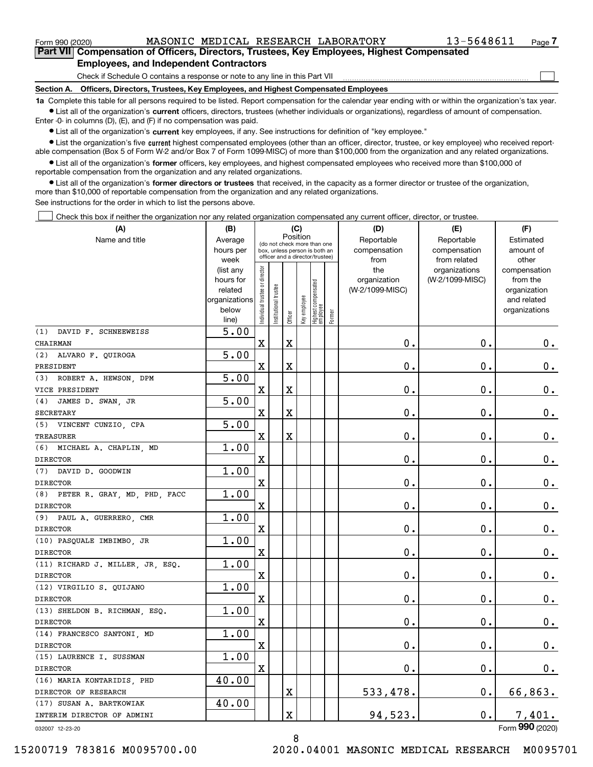$\mathcal{L}^{\text{max}}$ 

| Form 990 (2020) |                                                                                            |  | MASONIC MEDICAL RESEARCH LABORATORY | 13-5648611 | Page $\prime$ |
|-----------------|--------------------------------------------------------------------------------------------|--|-------------------------------------|------------|---------------|
|                 | Part VII Compensation of Officers, Directors, Trustees, Key Employees, Highest Compensated |  |                                     |            |               |
|                 | <b>Employees, and Independent Contractors</b>                                              |  |                                     |            |               |

Check if Schedule O contains a response or note to any line in this Part VII

**Section A. Officers, Directors, Trustees, Key Employees, and Highest Compensated Employees**

**1a**  Complete this table for all persons required to be listed. Report compensation for the calendar year ending with or within the organization's tax year. **•** List all of the organization's current officers, directors, trustees (whether individuals or organizations), regardless of amount of compensation.

Enter -0- in columns (D), (E), and (F) if no compensation was paid.

 $\bullet$  List all of the organization's  $\,$ current key employees, if any. See instructions for definition of "key employee."

**•** List the organization's five current highest compensated employees (other than an officer, director, trustee, or key employee) who received reportable compensation (Box 5 of Form W-2 and/or Box 7 of Form 1099-MISC) of more than \$100,000 from the organization and any related organizations.

**•** List all of the organization's former officers, key employees, and highest compensated employees who received more than \$100,000 of reportable compensation from the organization and any related organizations.

**former directors or trustees**  ¥ List all of the organization's that received, in the capacity as a former director or trustee of the organization, more than \$10,000 of reportable compensation from the organization and any related organizations.

See instructions for the order in which to list the persons above.

Check this box if neither the organization nor any related organization compensated any current officer, director, or trustee.  $\mathcal{L}^{\text{max}}$ 

| (A)                              | (B)                      |                                |                       |          | (C)          |                                                                  |        | (D)                             | (E)             | (F)                         |
|----------------------------------|--------------------------|--------------------------------|-----------------------|----------|--------------|------------------------------------------------------------------|--------|---------------------------------|-----------------|-----------------------------|
| Name and title                   | Average                  |                                |                       | Position |              | (do not check more than one                                      |        | Reportable                      | Reportable      | Estimated                   |
|                                  | hours per                |                                |                       |          |              | box, unless person is both an<br>officer and a director/trustee) |        | compensation                    | compensation    | amount of                   |
|                                  | week                     |                                |                       |          |              |                                                                  |        | from                            | from related    | other                       |
|                                  | (list any                |                                |                       |          |              |                                                                  |        | the                             | organizations   | compensation                |
|                                  | hours for                |                                |                       |          |              |                                                                  |        | organization<br>(W-2/1099-MISC) | (W-2/1099-MISC) | from the                    |
|                                  | related<br>organizations |                                |                       |          |              |                                                                  |        |                                 |                 | organization<br>and related |
|                                  | below                    |                                |                       |          |              |                                                                  |        |                                 |                 | organizations               |
|                                  | line)                    | Individual trustee or director | Institutional trustee | Officer  | Key employee | Highest compensated<br> employee                                 | Former |                                 |                 |                             |
| (1) DAVID F. SCHNEEWEISS         | 5.00                     |                                |                       |          |              |                                                                  |        |                                 |                 |                             |
| CHAIRMAN                         |                          | $\mathbf X$                    |                       | X        |              |                                                                  |        | 0.                              | 0.              | 0.                          |
| (2) ALVARO F. QUIROGA            | $\overline{5.00}$        |                                |                       |          |              |                                                                  |        |                                 |                 |                             |
| PRESIDENT                        |                          | X                              |                       | X        |              |                                                                  |        | 0.                              | $\mathbf 0$ .   | $0_{.}$                     |
| (3) ROBERT A. HEWSON, DPM        | $\overline{5.00}$        |                                |                       |          |              |                                                                  |        |                                 |                 |                             |
| VICE PRESIDENT                   |                          | X                              |                       | X        |              |                                                                  |        | 0.                              | $\mathbf 0$ .   | $0_{.}$                     |
| (4) JAMES D. SWAN, JR            | $\overline{5.00}$        |                                |                       |          |              |                                                                  |        |                                 |                 |                             |
| <b>SECRETARY</b>                 |                          | X                              |                       | X        |              |                                                                  |        | 0.                              | $\mathbf 0$ .   | $0_{.}$                     |
| (5) VINCENT CUNZIO, CPA          | $\overline{5.00}$        |                                |                       |          |              |                                                                  |        |                                 |                 |                             |
| <b>TREASURER</b>                 |                          | X                              |                       | X        |              |                                                                  |        | 0.                              | $\mathbf 0$ .   | $0_{.}$                     |
| (6) MICHAEL A. CHAPLIN, MD       | 1.00                     |                                |                       |          |              |                                                                  |        |                                 |                 |                             |
| <b>DIRECTOR</b>                  |                          | X                              |                       |          |              |                                                                  |        | 0.                              | $\mathbf 0$ .   | $0_{.}$                     |
| (7) DAVID D. GOODWIN             | 1.00                     |                                |                       |          |              |                                                                  |        |                                 |                 |                             |
| <b>DIRECTOR</b>                  |                          | $\mathbf X$                    |                       |          |              |                                                                  |        | 0.                              | $\mathbf 0$ .   | $0_{.}$                     |
| (8) PETER R. GRAY, MD, PHD, FACC | 1.00                     |                                |                       |          |              |                                                                  |        |                                 |                 |                             |
| <b>DIRECTOR</b>                  |                          | $\mathbf X$                    |                       |          |              |                                                                  |        | 0.                              | $\mathbf 0$ .   | $0_{.}$                     |
| (9) PAUL A. GUERRERO, CMR        | 1.00                     |                                |                       |          |              |                                                                  |        |                                 |                 |                             |
| <b>DIRECTOR</b>                  |                          | $\mathbf X$                    |                       |          |              |                                                                  |        | 0.                              | $\mathbf 0$ .   | $0_{.}$                     |
| (10) PASQUALE IMBIMBO, JR        | 1.00                     |                                |                       |          |              |                                                                  |        |                                 |                 |                             |
| <b>DIRECTOR</b>                  |                          | $\mathbf X$                    |                       |          |              |                                                                  |        | 0.                              | $\mathbf 0$ .   | $0_{.}$                     |
| (11) RICHARD J. MILLER, JR, ESQ. | 1.00                     |                                |                       |          |              |                                                                  |        |                                 |                 |                             |
| <b>DIRECTOR</b>                  |                          | $\mathbf X$                    |                       |          |              |                                                                  |        | 0.                              | $\mathbf 0$ .   | 0.                          |
| (12) VIRGILIO S. QUIJANO         | 1.00                     |                                |                       |          |              |                                                                  |        |                                 |                 |                             |
| <b>DIRECTOR</b>                  |                          | $\mathbf X$                    |                       |          |              |                                                                  |        | 0.                              | $\mathbf 0$ .   | 0.                          |
| (13) SHELDON B. RICHMAN, ESQ.    | 1.00                     |                                |                       |          |              |                                                                  |        |                                 |                 |                             |
| <b>DIRECTOR</b>                  |                          | X                              |                       |          |              |                                                                  |        | 0.                              | $\mathbf 0$ .   | 0.                          |
| (14) FRANCESCO SANTONI, MD       | 1.00                     |                                |                       |          |              |                                                                  |        |                                 |                 |                             |
| <b>DIRECTOR</b>                  |                          | X                              |                       |          |              |                                                                  |        | 0.                              | $\mathbf 0$ .   | $\mathbf 0$ .               |
| (15) LAURENCE I. SUSSMAN         | 1.00                     |                                |                       |          |              |                                                                  |        |                                 |                 |                             |
| DIRECTOR                         |                          | x                              |                       |          |              |                                                                  |        | $\mathbf 0$ .                   | $0$ .           | 0.                          |
| (16) MARIA KONTARIDIS, PHD       | 40.00                    |                                |                       |          |              |                                                                  |        |                                 |                 |                             |
| DIRECTOR OF RESEARCH             |                          |                                |                       | Χ        |              |                                                                  |        | 533,478.                        | $\mathbf 0$ .   | 66,863.                     |
| (17) SUSAN A. BARTKOWIAK         | 40.00                    |                                |                       |          |              |                                                                  |        |                                 |                 |                             |
| INTERIM DIRECTOR OF ADMINI       |                          |                                |                       | X        |              |                                                                  |        | 94,523.                         | 0.              | 7,401.                      |
| 032007 12-23-20                  |                          |                                |                       |          |              |                                                                  |        |                                 |                 | Form 990 (2020)             |

032007 12-23-20

8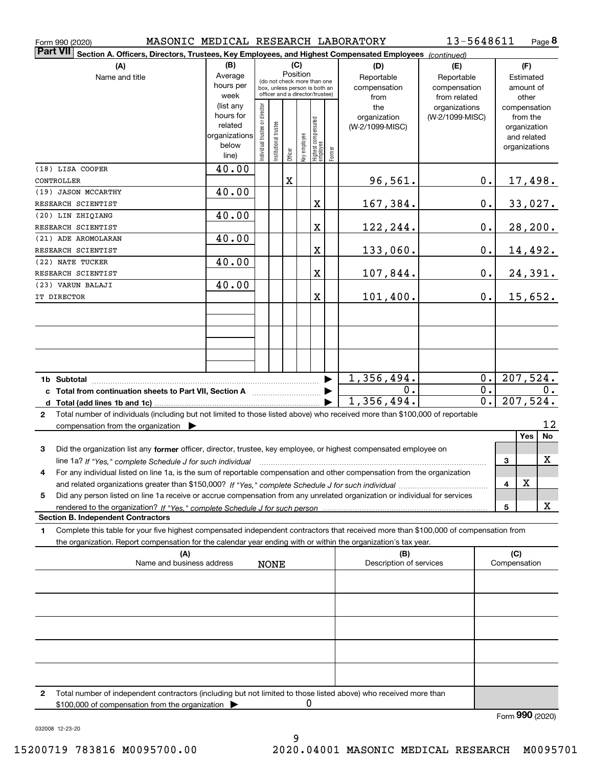|                 | MASONIC MEDICAL RESEARCH LABORATORY<br>Form 990 (2020)                                                                                                                                                                                                       |                                                                      |                                                                                                             |                       |         |              |                                  |                       |                                        | 13-5648611                                 |                     |                                                                          | Page 8         |
|-----------------|--------------------------------------------------------------------------------------------------------------------------------------------------------------------------------------------------------------------------------------------------------------|----------------------------------------------------------------------|-------------------------------------------------------------------------------------------------------------|-----------------------|---------|--------------|----------------------------------|-----------------------|----------------------------------------|--------------------------------------------|---------------------|--------------------------------------------------------------------------|----------------|
| <b>Part VII</b> | Section A. Officers, Directors, Trustees, Key Employees, and Highest Compensated Employees (continued)                                                                                                                                                       |                                                                      |                                                                                                             |                       |         |              |                                  |                       |                                        |                                            |                     |                                                                          |                |
|                 | (A)                                                                                                                                                                                                                                                          | (B)                                                                  |                                                                                                             |                       |         | (C)          |                                  |                       | (D)                                    | (E)                                        |                     | (F)                                                                      |                |
|                 | Name and title                                                                                                                                                                                                                                               | Average<br>hours per<br>week                                         | Position<br>(do not check more than one<br>box, unless person is both an<br>officer and a director/trustee) |                       |         |              |                                  |                       | Reportable<br>compensation<br>from     | Reportable<br>compensation<br>from related |                     | Estimated<br>amount of<br>other                                          |                |
|                 |                                                                                                                                                                                                                                                              | (list any<br>hours for<br>related<br>organizations<br>below<br>line) | Individual trustee or director                                                                              | Institutional trustee | Officer | Key employee | Highest compensated<br> employee | Former                | the<br>organization<br>(W-2/1099-MISC) | organizations<br>(W-2/1099-MISC)           |                     | compensation<br>from the<br>organization<br>and related<br>organizations |                |
|                 | (18) LISA COOPER                                                                                                                                                                                                                                             | 40.00                                                                |                                                                                                             |                       |         |              |                                  |                       |                                        |                                            |                     |                                                                          |                |
|                 | CONTROLLER                                                                                                                                                                                                                                                   |                                                                      |                                                                                                             |                       | X       |              |                                  |                       | 96,561.                                | 0.                                         |                     |                                                                          | <u>17,498.</u> |
|                 | (19) JASON MCCARTHY                                                                                                                                                                                                                                          | 40.00                                                                |                                                                                                             |                       |         |              |                                  |                       |                                        |                                            |                     |                                                                          |                |
|                 | RESEARCH SCIENTIST<br>(20) LIN ZHIQIANG                                                                                                                                                                                                                      | 40.00                                                                |                                                                                                             |                       |         |              | X                                |                       | 167,384.                               | 0.                                         |                     |                                                                          | 33,027.        |
|                 | RESEARCH SCIENTIST                                                                                                                                                                                                                                           |                                                                      |                                                                                                             |                       |         |              | X                                |                       | 122,244.                               | $0$ .                                      |                     |                                                                          | 28, 200.       |
|                 | (21) ADE AROMOLARAN                                                                                                                                                                                                                                          | 40.00                                                                |                                                                                                             |                       |         |              |                                  |                       |                                        |                                            |                     |                                                                          |                |
|                 | RESEARCH SCIENTIST                                                                                                                                                                                                                                           |                                                                      |                                                                                                             |                       |         |              | X                                |                       | 133,060.                               | $0$ .                                      |                     |                                                                          | 14,492.        |
|                 | (22) NATE TUCKER                                                                                                                                                                                                                                             | 40.00                                                                |                                                                                                             |                       |         |              |                                  |                       |                                        |                                            |                     |                                                                          |                |
|                 | RESEARCH SCIENTIST                                                                                                                                                                                                                                           |                                                                      |                                                                                                             |                       |         |              | X                                |                       | 107,844.                               | 0.                                         |                     |                                                                          | 24,391.        |
|                 | (23) VARUN BALAJI<br>IT DIRECTOR                                                                                                                                                                                                                             | 40.00                                                                |                                                                                                             |                       |         |              | X                                |                       | 101,400.                               | 0.                                         |                     |                                                                          | 15,652.        |
|                 |                                                                                                                                                                                                                                                              |                                                                      |                                                                                                             |                       |         |              |                                  |                       |                                        |                                            |                     |                                                                          |                |
|                 |                                                                                                                                                                                                                                                              |                                                                      |                                                                                                             |                       |         |              |                                  |                       |                                        |                                            |                     |                                                                          |                |
|                 |                                                                                                                                                                                                                                                              |                                                                      |                                                                                                             |                       |         |              |                                  |                       |                                        |                                            |                     |                                                                          |                |
|                 |                                                                                                                                                                                                                                                              |                                                                      |                                                                                                             |                       |         |              |                                  | $\blacktriangleright$ | 1,356,494.                             | 0.                                         |                     |                                                                          | 207,524.       |
|                 | c Total from continuation sheets to Part VII, Section A <b>manual</b> Testion Structure 1                                                                                                                                                                    |                                                                      |                                                                                                             |                       |         |              |                                  |                       | 0.<br>1,356,494.                       | $\overline{0}$ .<br>$\overline{0}$ .       |                     |                                                                          | 0.<br>207,524. |
| $\mathbf{2}$    | Total number of individuals (including but not limited to those listed above) who received more than \$100,000 of reportable<br>compensation from the organization $\blacktriangleright$                                                                     |                                                                      |                                                                                                             |                       |         |              |                                  |                       |                                        |                                            |                     |                                                                          | 12             |
|                 |                                                                                                                                                                                                                                                              |                                                                      |                                                                                                             |                       |         |              |                                  |                       |                                        |                                            |                     | Yes                                                                      | No             |
| 3               | Did the organization list any former officer, director, trustee, key employee, or highest compensated employee on<br>line 1a? If "Yes," complete Schedule J for such individual manufactured contained and the Ves," complete Schedule J for such individual |                                                                      |                                                                                                             |                       |         |              |                                  |                       |                                        |                                            | 3                   |                                                                          | $\mathbf x$    |
|                 | For any individual listed on line 1a, is the sum of reportable compensation and other compensation from the organization                                                                                                                                     |                                                                      |                                                                                                             |                       |         |              |                                  |                       |                                        |                                            | 4                   | X                                                                        |                |
| 5               | Did any person listed on line 1a receive or accrue compensation from any unrelated organization or individual for services                                                                                                                                   |                                                                      |                                                                                                             |                       |         |              |                                  |                       |                                        |                                            |                     |                                                                          |                |
|                 | rendered to the organization? If "Yes." complete Schedule J for such person                                                                                                                                                                                  |                                                                      |                                                                                                             |                       |         |              |                                  |                       |                                        |                                            | 5                   |                                                                          | x              |
|                 | <b>Section B. Independent Contractors</b>                                                                                                                                                                                                                    |                                                                      |                                                                                                             |                       |         |              |                                  |                       |                                        |                                            |                     |                                                                          |                |
| 1.              | Complete this table for your five highest compensated independent contractors that received more than \$100,000 of compensation from<br>the organization. Report compensation for the calendar year ending with or within the organization's tax year.       |                                                                      |                                                                                                             |                       |         |              |                                  |                       |                                        |                                            |                     |                                                                          |                |
|                 | (A)<br>Name and business address                                                                                                                                                                                                                             |                                                                      |                                                                                                             | <b>NONE</b>           |         |              |                                  |                       | (B)<br>Description of services         |                                            | (C)<br>Compensation |                                                                          |                |
|                 |                                                                                                                                                                                                                                                              |                                                                      |                                                                                                             |                       |         |              |                                  |                       |                                        |                                            |                     |                                                                          |                |
|                 |                                                                                                                                                                                                                                                              |                                                                      |                                                                                                             |                       |         |              |                                  |                       |                                        |                                            |                     |                                                                          |                |
|                 |                                                                                                                                                                                                                                                              |                                                                      |                                                                                                             |                       |         |              |                                  |                       |                                        |                                            |                     |                                                                          |                |
|                 |                                                                                                                                                                                                                                                              |                                                                      |                                                                                                             |                       |         |              |                                  |                       |                                        |                                            |                     |                                                                          |                |
|                 |                                                                                                                                                                                                                                                              |                                                                      |                                                                                                             |                       |         |              |                                  |                       |                                        |                                            |                     |                                                                          |                |
| 2               | Total number of independent contractors (including but not limited to those listed above) who received more than                                                                                                                                             |                                                                      |                                                                                                             |                       |         |              |                                  |                       |                                        |                                            |                     |                                                                          |                |
|                 | \$100,000 of compensation from the organization                                                                                                                                                                                                              |                                                                      |                                                                                                             |                       |         | 0            |                                  |                       |                                        |                                            |                     |                                                                          |                |

Form (2020) **990**

032008 12-23-20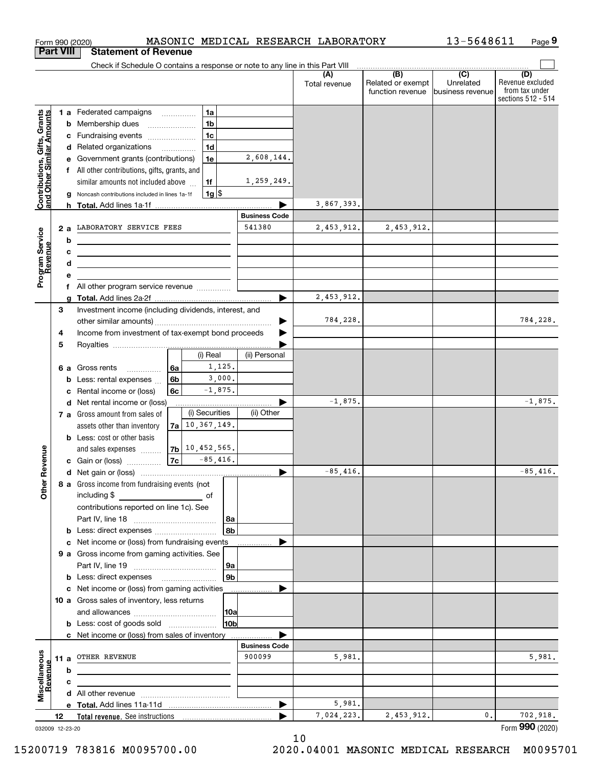|                                                           | <b>Part VIII</b> |   | <b>Statement of Revenue</b>                                                                                          |                |                      |                |                      |                      |                                                           |                                                 |                                                                 |
|-----------------------------------------------------------|------------------|---|----------------------------------------------------------------------------------------------------------------------|----------------|----------------------|----------------|----------------------|----------------------|-----------------------------------------------------------|-------------------------------------------------|-----------------------------------------------------------------|
|                                                           |                  |   | Check if Schedule O contains a response or note to any line in this Part VIII                                        |                |                      |                |                      |                      |                                                           |                                                 |                                                                 |
|                                                           |                  |   |                                                                                                                      |                |                      |                |                      | (A)<br>Total revenue | $\overline{(B)}$<br>Related or exempt<br>function revenue | $\overline{C}$<br>Unrelated<br>business revenue | (D)<br>Revenue excluded<br>from tax under<br>sections 512 - 514 |
|                                                           |                  |   | 1 a Federated campaigns                                                                                              |                |                      | 1a             |                      |                      |                                                           |                                                 |                                                                 |
| Contributions, Gifts, Grants<br>and Other Similar Amounts |                  |   | <b>b</b> Membership dues                                                                                             |                |                      | 1 <sub>b</sub> |                      |                      |                                                           |                                                 |                                                                 |
|                                                           |                  |   | c Fundraising events                                                                                                 |                |                      | 1 <sub>c</sub> |                      |                      |                                                           |                                                 |                                                                 |
|                                                           |                  |   | d Related organizations                                                                                              |                |                      | 1 <sub>d</sub> |                      |                      |                                                           |                                                 |                                                                 |
|                                                           |                  | е | Government grants (contributions)                                                                                    |                |                      | 1e             | 2,608,144.           |                      |                                                           |                                                 |                                                                 |
|                                                           |                  |   | f All other contributions, gifts, grants, and                                                                        |                |                      |                |                      |                      |                                                           |                                                 |                                                                 |
|                                                           |                  |   | similar amounts not included above                                                                                   |                |                      | 1f             | 1,259,249.           |                      |                                                           |                                                 |                                                                 |
|                                                           |                  |   | Noncash contributions included in lines 1a-1f                                                                        |                |                      | $1g$ \$        |                      |                      |                                                           |                                                 |                                                                 |
|                                                           |                  | h |                                                                                                                      |                |                      |                |                      | 3,867,393.           |                                                           |                                                 |                                                                 |
|                                                           |                  |   |                                                                                                                      |                |                      |                | <b>Business Code</b> |                      |                                                           |                                                 |                                                                 |
|                                                           | 2a               |   | LABORATORY SERVICE FEES                                                                                              |                |                      |                | 541380               | 2,453,912.           | 2,453,912.                                                |                                                 |                                                                 |
| Program Service<br>Revenue                                |                  | b | <u> 1989 - Johann Stoff, Amerikaansk politiker (</u>                                                                 |                |                      |                |                      |                      |                                                           |                                                 |                                                                 |
| evenue                                                    |                  | с | <u> 1989 - Johann Stein, marwolaethau a bhann an t-Amhair an t-Amhair an t-Amhair an t-Amhair an t-Amhair an t-A</u> |                |                      |                |                      |                      |                                                           |                                                 |                                                                 |
|                                                           |                  | d | <u> 1989 - Johann Barn, amerikansk politiker (d. 1989)</u>                                                           |                |                      |                |                      |                      |                                                           |                                                 |                                                                 |
|                                                           |                  | е |                                                                                                                      |                |                      |                |                      |                      |                                                           |                                                 |                                                                 |
|                                                           |                  |   | f All other program service revenue                                                                                  |                |                      |                | ▶                    | 2,453,912.           |                                                           |                                                 |                                                                 |
|                                                           | 3                | a | Investment income (including dividends, interest, and                                                                |                |                      |                |                      |                      |                                                           |                                                 |                                                                 |
|                                                           |                  |   |                                                                                                                      |                |                      |                |                      | 784,228.             |                                                           |                                                 | 784,228.                                                        |
|                                                           | 4                |   | Income from investment of tax-exempt bond proceeds                                                                   |                |                      |                |                      |                      |                                                           |                                                 |                                                                 |
|                                                           | 5                |   |                                                                                                                      |                |                      |                |                      |                      |                                                           |                                                 |                                                                 |
|                                                           |                  |   |                                                                                                                      |                |                      | (i) Real       | (ii) Personal        |                      |                                                           |                                                 |                                                                 |
|                                                           |                  |   | 6 a Gross rents<br>.                                                                                                 | 6a             |                      | 1,125.         |                      |                      |                                                           |                                                 |                                                                 |
|                                                           |                  | b | Less: rental expenses                                                                                                | 6 <sub>b</sub> |                      | 3,000.         |                      |                      |                                                           |                                                 |                                                                 |
|                                                           |                  | c | Rental income or (loss)                                                                                              | 6c             |                      | $-1,875.$      |                      |                      |                                                           |                                                 |                                                                 |
|                                                           |                  |   | d Net rental income or (loss)                                                                                        |                |                      |                |                      | $-1,875.$            |                                                           |                                                 | $-1,875.$                                                       |
|                                                           |                  |   | 7 a Gross amount from sales of                                                                                       |                |                      | (i) Securities | (ii) Other           |                      |                                                           |                                                 |                                                                 |
|                                                           |                  |   | assets other than inventory                                                                                          |                | $7a$ 10, 367, 149.   |                |                      |                      |                                                           |                                                 |                                                                 |
|                                                           |                  |   | <b>b</b> Less: cost or other basis                                                                                   |                |                      |                |                      |                      |                                                           |                                                 |                                                                 |
| Revenue                                                   |                  |   | and sales expenses                                                                                                   |                | $ 7b $ 10, 452, 565. |                |                      |                      |                                                           |                                                 |                                                                 |
|                                                           |                  |   | c Gain or (loss)                                                                                                     |                | $ 7c $ -85,416.      |                |                      |                      |                                                           |                                                 |                                                                 |
|                                                           |                  |   |                                                                                                                      |                |                      |                |                      | $-85,416.$           |                                                           |                                                 | $-85,416.$                                                      |
| <b>Othe</b>                                               |                  |   | 8 a Gross income from fundraising events (not                                                                        |                |                      |                |                      |                      |                                                           |                                                 |                                                                 |
|                                                           |                  |   | including \$                                                                                                         |                |                      |                |                      |                      |                                                           |                                                 |                                                                 |
|                                                           |                  |   | contributions reported on line 1c). See                                                                              |                |                      |                |                      |                      |                                                           |                                                 |                                                                 |
|                                                           |                  |   |                                                                                                                      |                |                      | 8a<br>8b       |                      |                      |                                                           |                                                 |                                                                 |
|                                                           |                  |   | c Net income or (loss) from fundraising events                                                                       |                |                      |                |                      |                      |                                                           |                                                 |                                                                 |
|                                                           |                  |   | 9 a Gross income from gaming activities. See                                                                         |                |                      |                |                      |                      |                                                           |                                                 |                                                                 |
|                                                           |                  |   |                                                                                                                      |                |                      | 9a             |                      |                      |                                                           |                                                 |                                                                 |
|                                                           |                  |   | <b>b</b> Less: direct expenses <b>manually</b>                                                                       |                |                      | 9b             |                      |                      |                                                           |                                                 |                                                                 |
|                                                           |                  |   | c Net income or (loss) from gaming activities                                                                        |                |                      |                | .                    |                      |                                                           |                                                 |                                                                 |
|                                                           |                  |   | 10 a Gross sales of inventory, less returns                                                                          |                |                      |                |                      |                      |                                                           |                                                 |                                                                 |
|                                                           |                  |   |                                                                                                                      |                |                      | 10a            |                      |                      |                                                           |                                                 |                                                                 |
|                                                           |                  |   | <b>b</b> Less: cost of goods sold                                                                                    |                |                      | 10b            |                      |                      |                                                           |                                                 |                                                                 |
|                                                           |                  |   | c Net income or (loss) from sales of inventory                                                                       |                |                      |                |                      |                      |                                                           |                                                 |                                                                 |
|                                                           |                  |   |                                                                                                                      |                |                      |                | <b>Business Code</b> |                      |                                                           |                                                 |                                                                 |
|                                                           | 11 a             |   | OTHER REVENUE                                                                                                        |                |                      |                | 900099               | 5,981.               |                                                           |                                                 | 5,981.                                                          |
| Revenue                                                   |                  | b |                                                                                                                      |                |                      |                |                      |                      |                                                           |                                                 |                                                                 |
|                                                           |                  | c |                                                                                                                      |                |                      |                |                      |                      |                                                           |                                                 |                                                                 |
| Miscellaneous                                             |                  |   |                                                                                                                      |                |                      |                |                      |                      |                                                           |                                                 |                                                                 |
|                                                           |                  |   |                                                                                                                      |                |                      |                | ▶                    | 5,981.               |                                                           |                                                 |                                                                 |
|                                                           | 12               |   |                                                                                                                      |                |                      |                |                      | 7,024,223.           | 2,453,912.                                                | 0.                                              | 702,918.                                                        |
|                                                           | 032009 12-23-20  |   |                                                                                                                      |                |                      |                |                      |                      |                                                           |                                                 | Form 990 (2020)                                                 |

Form 990 (2020) MASONIC MEDICAL RESEARCH LABORATORY 13-5648611 Page

**9**

13-5648611

032009 12-23-20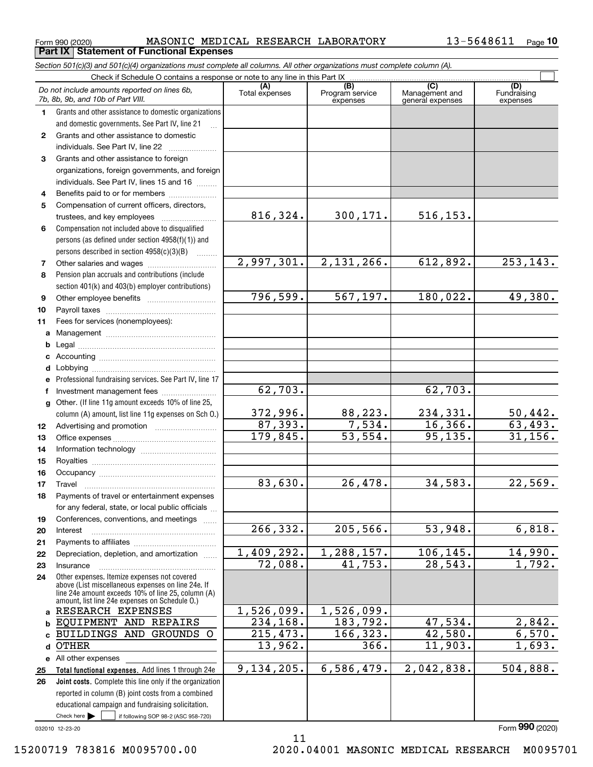$_{\rm Form}$ 990 (2020) MASONIC MEDICAL RESEARCH LABORATORY 13-5648611  $_{\rm Page}$ **Part IX Statement of Functional Expenses**

*Section 501(c)(3) and 501(c)(4) organizations must complete all columns. All other organizations must complete column (A).*

|              | Check if Schedule O contains a response or note to any line in this Part IX                                                   |                         |                                    |                                           |                                |  |  |  |  |
|--------------|-------------------------------------------------------------------------------------------------------------------------------|-------------------------|------------------------------------|-------------------------------------------|--------------------------------|--|--|--|--|
|              | Do not include amounts reported on lines 6b,<br>7b, 8b, 9b, and 10b of Part VIII.                                             | (A)<br>Total expenses   | (B)<br>Program service<br>expenses | (C)<br>Management and<br>general expenses | (D)<br>Fundraising<br>expenses |  |  |  |  |
| 1.           | Grants and other assistance to domestic organizations                                                                         |                         |                                    |                                           |                                |  |  |  |  |
|              | and domestic governments. See Part IV, line 21                                                                                |                         |                                    |                                           |                                |  |  |  |  |
| $\mathbf{2}$ | Grants and other assistance to domestic                                                                                       |                         |                                    |                                           |                                |  |  |  |  |
|              | individuals. See Part IV, line 22                                                                                             |                         |                                    |                                           |                                |  |  |  |  |
| 3            | Grants and other assistance to foreign                                                                                        |                         |                                    |                                           |                                |  |  |  |  |
|              | organizations, foreign governments, and foreign                                                                               |                         |                                    |                                           |                                |  |  |  |  |
|              | individuals. See Part IV, lines 15 and 16                                                                                     |                         |                                    |                                           |                                |  |  |  |  |
| 4            | Benefits paid to or for members                                                                                               |                         |                                    |                                           |                                |  |  |  |  |
| 5            | Compensation of current officers, directors,                                                                                  |                         |                                    |                                           |                                |  |  |  |  |
|              |                                                                                                                               | 816, 324.               | 300,171.                           | 516, 153.                                 |                                |  |  |  |  |
| 6            | Compensation not included above to disqualified                                                                               |                         |                                    |                                           |                                |  |  |  |  |
|              | persons (as defined under section 4958(f)(1)) and                                                                             |                         |                                    |                                           |                                |  |  |  |  |
|              | persons described in section 4958(c)(3)(B)                                                                                    |                         |                                    |                                           |                                |  |  |  |  |
| 7            |                                                                                                                               | 2,997,301.              | 2,131,266.                         | 612,892.                                  | 253, 143.                      |  |  |  |  |
| 8            | Pension plan accruals and contributions (include                                                                              |                         |                                    |                                           |                                |  |  |  |  |
|              | section 401(k) and 403(b) employer contributions)                                                                             | 796,599.                | 567, 197.                          | 180,022.                                  | 49,380.                        |  |  |  |  |
| 9            |                                                                                                                               |                         |                                    |                                           |                                |  |  |  |  |
| 10<br>11     | Fees for services (nonemployees):                                                                                             |                         |                                    |                                           |                                |  |  |  |  |
|              |                                                                                                                               |                         |                                    |                                           |                                |  |  |  |  |
| а<br>b       |                                                                                                                               |                         |                                    |                                           |                                |  |  |  |  |
| c            |                                                                                                                               |                         |                                    |                                           |                                |  |  |  |  |
| d            |                                                                                                                               |                         |                                    |                                           |                                |  |  |  |  |
|              | Professional fundraising services. See Part IV, line 17                                                                       |                         |                                    |                                           |                                |  |  |  |  |
|              | Investment management fees                                                                                                    | 62,703.                 |                                    | 62,703.                                   |                                |  |  |  |  |
| g            | Other. (If line 11g amount exceeds 10% of line 25,                                                                            |                         |                                    |                                           |                                |  |  |  |  |
|              | column (A) amount, list line 11g expenses on Sch O.)                                                                          | 372,996.                | 88, 223.                           | 234,331.                                  |                                |  |  |  |  |
| 12           |                                                                                                                               | 87,393.                 | 7,534.                             | 16, 366.                                  | $\frac{50,442}{63,493}$ .      |  |  |  |  |
| 13           |                                                                                                                               | 179,845.                | $\overline{53,554}$ .              | 95, 135.                                  | 31, 156.                       |  |  |  |  |
| 14           |                                                                                                                               |                         |                                    |                                           |                                |  |  |  |  |
| 15           |                                                                                                                               |                         |                                    |                                           |                                |  |  |  |  |
| 16           |                                                                                                                               |                         |                                    |                                           |                                |  |  |  |  |
| 17           | Travel                                                                                                                        | 83,630.                 | 26,478.                            | 34,583.                                   | 22,569.                        |  |  |  |  |
| 18           | Payments of travel or entertainment expenses                                                                                  |                         |                                    |                                           |                                |  |  |  |  |
|              | for any federal, state, or local public officials                                                                             |                         |                                    |                                           |                                |  |  |  |  |
| 19           | Conferences, conventions, and meetings                                                                                        |                         |                                    |                                           |                                |  |  |  |  |
| 20           | Interest                                                                                                                      | 266, 332.               | 205, 566.                          | 53,948.                                   | 6,818.                         |  |  |  |  |
| 21           |                                                                                                                               |                         |                                    |                                           |                                |  |  |  |  |
| 22           | Depreciation, depletion, and amortization                                                                                     | 1,409,292.              | 1,288,157.                         | 106, 145.                                 | 14,990.                        |  |  |  |  |
| 23           | Insurance                                                                                                                     | 72,088.                 | 41,753.                            | 28,543.                                   | 1,792.                         |  |  |  |  |
| 24           | Other expenses. Itemize expenses not covered<br>above (List miscellaneous expenses on line 24e. If                            |                         |                                    |                                           |                                |  |  |  |  |
|              | line 24e amount exceeds 10% of line 25, column (A)<br>amount, list line 24e expenses on Schedule O.)                          |                         |                                    |                                           |                                |  |  |  |  |
| a            | RESEARCH EXPENSES                                                                                                             | 1,526,099.              | 1,526,099.                         |                                           |                                |  |  |  |  |
| b            | EQUIPMENT AND REPAIRS                                                                                                         | 234,168.                | 183,792.                           | 47,534.                                   | 2,842.                         |  |  |  |  |
|              | BUILDINGS AND GROUNDS O                                                                                                       | $\overline{215, 473}$ . | 166, 323.                          | 42,580.                                   | 6,570.                         |  |  |  |  |
| d            | <b>OTHER</b>                                                                                                                  | 13,962.                 | 366.                               | 11,903.                                   | 1,693.                         |  |  |  |  |
|              | e All other expenses                                                                                                          |                         |                                    |                                           |                                |  |  |  |  |
| 25           | Total functional expenses. Add lines 1 through 24e                                                                            | 9,134,205.              | 6,586,479.                         | 2,042,838.                                | 504,888.                       |  |  |  |  |
| 26           | Joint costs. Complete this line only if the organization                                                                      |                         |                                    |                                           |                                |  |  |  |  |
|              | reported in column (B) joint costs from a combined                                                                            |                         |                                    |                                           |                                |  |  |  |  |
|              | educational campaign and fundraising solicitation.<br>Check here $\blacktriangleright$<br>if following SOP 98-2 (ASC 958-720) |                         |                                    |                                           |                                |  |  |  |  |
|              |                                                                                                                               |                         |                                    |                                           |                                |  |  |  |  |

11

032010 12-23-20

15200719 783816 M0095700.00 2020.04001 MASONIC MEDICAL RESEARCH M0095701

Form (2020) **990**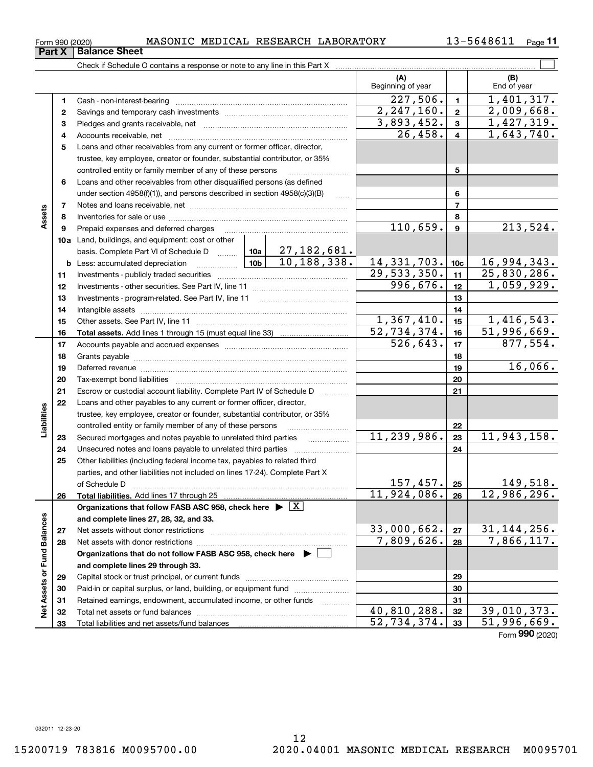Form (2020) **990**

**Part X Balance Sheet**

Check if Schedule O contains a response or note to any line in this Part X

|                             |              |                                                                                                                                                    |               |                                                    | (A)<br>Beginning of year |                | (B)<br>End of year        |
|-----------------------------|--------------|----------------------------------------------------------------------------------------------------------------------------------------------------|---------------|----------------------------------------------------|--------------------------|----------------|---------------------------|
|                             | 1            | Cash - non-interest-bearing                                                                                                                        |               |                                                    | 227,506.                 | $\mathbf{1}$   | 1,401,317.                |
|                             | $\mathbf{2}$ |                                                                                                                                                    |               |                                                    | 2, 247, 160.             | $\mathbf{2}$   | 2,009,668.                |
|                             | 3            |                                                                                                                                                    |               |                                                    | 3,893,452.               | $\mathbf{3}$   | 1,427,319.                |
|                             | 4            |                                                                                                                                                    |               |                                                    | 26,458.                  | 4              | 1,643,740.                |
|                             | 5            | Loans and other receivables from any current or former officer, director,                                                                          |               |                                                    |                          |                |                           |
|                             |              | trustee, key employee, creator or founder, substantial contributor, or 35%                                                                         |               |                                                    |                          |                |                           |
|                             |              | controlled entity or family member of any of these persons                                                                                         |               |                                                    |                          | 5              |                           |
|                             | 6            | Loans and other receivables from other disqualified persons (as defined                                                                            |               |                                                    |                          |                |                           |
|                             |              | under section $4958(f)(1)$ , and persons described in section $4958(c)(3)(B)$                                                                      |               | 1.1.1.1                                            |                          | 6              |                           |
|                             | 7            |                                                                                                                                                    |               |                                                    |                          | $\overline{7}$ |                           |
| Assets                      | 8            |                                                                                                                                                    |               |                                                    | 8                        |                |                           |
|                             | 9            | Prepaid expenses and deferred charges                                                                                                              | 110,659.      | $\boldsymbol{9}$                                   | 213,524.                 |                |                           |
|                             |              | <b>10a</b> Land, buildings, and equipment: cost or other                                                                                           |               |                                                    |                          |                |                           |
|                             |              | basis. Complete Part VI of Schedule D                                                                                                              |               | $\vert$ 10a $\vert$ 27, 182, 681.<br>10, 188, 338. |                          |                |                           |
|                             |              | <b>b</b> Less: accumulated depreciation<br>. 1                                                                                                     | 14, 331, 703. | 10 <sub>c</sub>                                    | 16,994,343.              |                |                           |
|                             | 11           |                                                                                                                                                    | 29,533,350.   | 11                                                 | 25,830,286.              |                |                           |
|                             | 12           |                                                                                                                                                    | 996,676.      | 12                                                 | 1,059,929.               |                |                           |
|                             | 13           | Investments - program-related. See Part IV, line 11                                                                                                |               | 13                                                 |                          |                |                           |
|                             | 14           |                                                                                                                                                    |               |                                                    | 14                       |                |                           |
|                             | 15           |                                                                                                                                                    |               |                                                    | 1,367,410.               | 15             | 1,416,543.                |
|                             | 16           |                                                                                                                                                    |               |                                                    | 52,734,374.              | 16             | $\overline{51,996,669}$ . |
|                             | 17           |                                                                                                                                                    |               |                                                    | $\overline{526,643}$ .   | 17             | 877,554.                  |
|                             | 18           |                                                                                                                                                    |               |                                                    |                          | 18             | 16,066.                   |
|                             | 19           |                                                                                                                                                    |               | 19                                                 |                          |                |                           |
|                             | 20           |                                                                                                                                                    |               | 20                                                 |                          |                |                           |
|                             | 21<br>22     | Escrow or custodial account liability. Complete Part IV of Schedule D                                                                              |               | 1.1.1.1.1.1.1.1.1                                  |                          | 21             |                           |
| Liabilities                 |              | Loans and other payables to any current or former officer, director,<br>trustee, key employee, creator or founder, substantial contributor, or 35% |               |                                                    |                          |                |                           |
|                             |              | controlled entity or family member of any of these persons                                                                                         |               |                                                    |                          | 22             |                           |
|                             | 23           | Secured mortgages and notes payable to unrelated third parties                                                                                     |               |                                                    | 11,239,986.              | 23             | 11,943,158.               |
|                             | 24           | Unsecured notes and loans payable to unrelated third parties                                                                                       |               |                                                    |                          | 24             |                           |
|                             | 25           | Other liabilities (including federal income tax, payables to related third                                                                         |               |                                                    |                          |                |                           |
|                             |              | parties, and other liabilities not included on lines 17-24). Complete Part X                                                                       |               |                                                    |                          |                |                           |
|                             |              | of Schedule D                                                                                                                                      |               |                                                    | 157,457.                 | 25             | 149,518.                  |
|                             | 26           |                                                                                                                                                    |               |                                                    | 11,924,086.              | 26             | 12,986,296.               |
|                             |              | Organizations that follow FASB ASC 958, check here $\blacktriangleright \boxed{\text{X}}$                                                          |               |                                                    |                          |                |                           |
|                             |              | and complete lines 27, 28, 32, and 33.                                                                                                             |               |                                                    |                          |                |                           |
|                             | 27           | Net assets without donor restrictions                                                                                                              |               |                                                    | 33,000,662.              | 27             | 31, 144, 256.             |
|                             | 28           |                                                                                                                                                    | 7,809,626.    | 28                                                 | 7,866,117.               |                |                           |
|                             |              | Organizations that do not follow FASB ASC 958, check here $\blacktriangleright$                                                                    |               |                                                    |                          |                |                           |
|                             |              | and complete lines 29 through 33.                                                                                                                  |               |                                                    |                          |                |                           |
| Net Assets or Fund Balances | 29           |                                                                                                                                                    |               | 29                                                 |                          |                |                           |
|                             | 30           | Paid-in or capital surplus, or land, building, or equipment fund                                                                                   |               |                                                    |                          | 30             |                           |
|                             | 31           | Retained earnings, endowment, accumulated income, or other funds                                                                                   |               | $\cdots$                                           |                          | 31             |                           |
|                             | 32           |                                                                                                                                                    |               |                                                    | 40,810,288.              | 32             | 39,010,373.               |
|                             | 33           |                                                                                                                                                    |               |                                                    | 52, 734, 374.            | 33             | 51,996,669.               |

 $\mathcal{L}^{\text{max}}$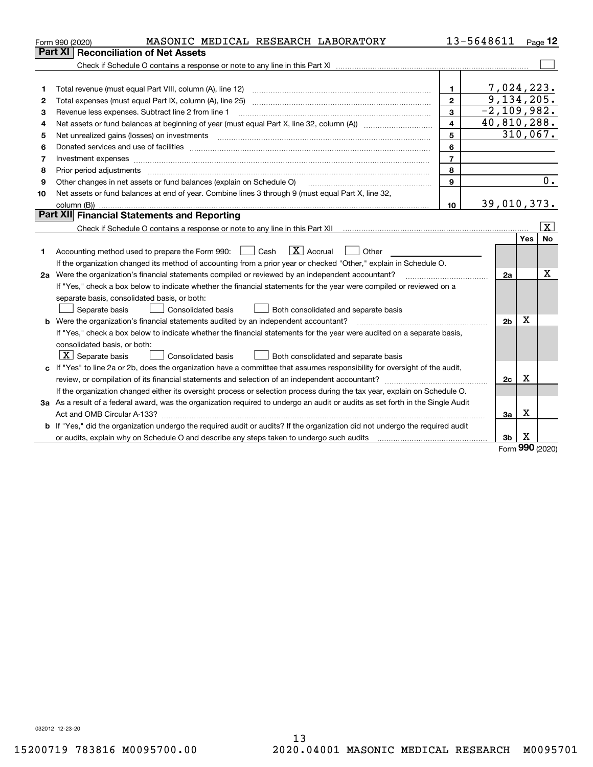|                | MASONIC MEDICAL RESEARCH LABORATORY<br>Form 990 (2020)                                                                                                                                                                         |                | 13-5648611                     |            | Page 12                 |  |  |  |
|----------------|--------------------------------------------------------------------------------------------------------------------------------------------------------------------------------------------------------------------------------|----------------|--------------------------------|------------|-------------------------|--|--|--|
|                | <b>Reconciliation of Net Assets</b><br>Part XI                                                                                                                                                                                 |                |                                |            |                         |  |  |  |
|                |                                                                                                                                                                                                                                |                |                                |            |                         |  |  |  |
|                |                                                                                                                                                                                                                                |                |                                |            |                         |  |  |  |
| 1              |                                                                                                                                                                                                                                | $\mathbf{1}$   | 7,024,223.                     |            |                         |  |  |  |
| $\overline{2}$ |                                                                                                                                                                                                                                | $\mathbf{2}$   | 9,134,205.                     |            |                         |  |  |  |
| 3              | Revenue less expenses. Subtract line 2 from line 1                                                                                                                                                                             | 3              | $-2, 109, 982.$<br>40,810,288. |            |                         |  |  |  |
| 4              | $\overline{\mathbf{4}}$<br>Net assets or fund balances at beginning of year (must equal Part X, line 32, column (A)) <i>massets</i> or fund balances at beginning of year (must equal Part X, line 32, column (A))             |                |                                |            |                         |  |  |  |
| 5              |                                                                                                                                                                                                                                | 5              |                                |            | 310,067.                |  |  |  |
| 6              | Donated services and use of facilities [111] matter contracts and the service of facilities [11] matter contracts and use of facilities [11] matter contracts and the service of facilities [11] matter contracts and the serv | 6              |                                |            |                         |  |  |  |
| 7              | Investment expenses www.communication.com/www.communication.com/www.communication.com/www.com                                                                                                                                  | $\overline{7}$ |                                |            |                         |  |  |  |
| 8              | Prior period adjustments material contents and content of the content of the content of the content of the content of the content of the content of the content of the content of the content of the content of the content of | 8              |                                |            |                         |  |  |  |
| 9              | Other changes in net assets or fund balances (explain on Schedule O)                                                                                                                                                           | 9              |                                |            | 0.                      |  |  |  |
| 10             | Net assets or fund balances at end of year. Combine lines 3 through 9 (must equal Part X, line 32,                                                                                                                             |                |                                |            |                         |  |  |  |
|                |                                                                                                                                                                                                                                | 10             | 39,010,373.                    |            |                         |  |  |  |
|                | Part XII Financial Statements and Reporting                                                                                                                                                                                    |                |                                |            |                         |  |  |  |
|                | Check if Schedule O contains a response or note to any line in this Part XII [11] [11] [11] [11] [11] [11] Check if Schedule O contains a response or note to any line in this Part XII                                        |                |                                |            | $\overline{\mathbf{x}}$ |  |  |  |
|                |                                                                                                                                                                                                                                |                |                                | <b>Yes</b> | <b>No</b>               |  |  |  |
| 1              | $\boxed{\mathbf{X}}$ Accrual<br>Accounting method used to prepare the Form 990: <u>June</u> Cash<br>Other<br>$\pm$                                                                                                             |                |                                |            |                         |  |  |  |
|                | If the organization changed its method of accounting from a prior year or checked "Other," explain in Schedule O.                                                                                                              |                |                                |            |                         |  |  |  |
|                | 2a Were the organization's financial statements compiled or reviewed by an independent accountant?                                                                                                                             |                | 2a                             |            | х                       |  |  |  |
|                | If "Yes," check a box below to indicate whether the financial statements for the year were compiled or reviewed on a                                                                                                           |                |                                |            |                         |  |  |  |
|                | separate basis, consolidated basis, or both:                                                                                                                                                                                   |                |                                |            |                         |  |  |  |
|                | Both consolidated and separate basis<br>Separate basis<br><b>Consolidated basis</b>                                                                                                                                            |                |                                |            |                         |  |  |  |
|                | <b>b</b> Were the organization's financial statements audited by an independent accountant?                                                                                                                                    |                | 2 <sub>b</sub>                 | X          |                         |  |  |  |
|                | If "Yes," check a box below to indicate whether the financial statements for the year were audited on a separate basis,                                                                                                        |                |                                |            |                         |  |  |  |
|                | consolidated basis, or both:                                                                                                                                                                                                   |                |                                |            |                         |  |  |  |
|                | $\lfloor x \rfloor$ Separate basis<br><b>Consolidated basis</b><br>Both consolidated and separate basis                                                                                                                        |                |                                |            |                         |  |  |  |
|                | c If "Yes" to line 2a or 2b, does the organization have a committee that assumes responsibility for oversight of the audit,                                                                                                    |                |                                |            |                         |  |  |  |
|                |                                                                                                                                                                                                                                |                | 2c                             | х          |                         |  |  |  |
|                | If the organization changed either its oversight process or selection process during the tax year, explain on Schedule O.                                                                                                      |                |                                |            |                         |  |  |  |
|                | 3a As a result of a federal award, was the organization required to undergo an audit or audits as set forth in the Single Audit                                                                                                |                |                                |            |                         |  |  |  |
|                |                                                                                                                                                                                                                                |                | За                             | x          |                         |  |  |  |
|                | b If "Yes," did the organization undergo the required audit or audits? If the organization did not undergo the required audit                                                                                                  |                |                                |            |                         |  |  |  |
|                |                                                                                                                                                                                                                                |                | 3 <sub>b</sub>                 | х<br>nnn   |                         |  |  |  |

Form (2020) **990**

032012 12-23-20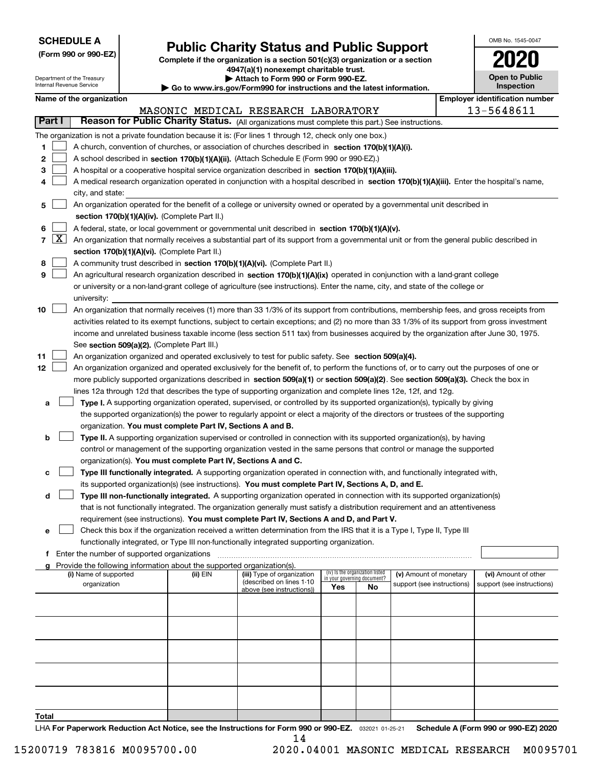| <b>SCHEDULE A</b> |
|-------------------|
|-------------------|

Department of the Treasury

**(Form 990 or 990-EZ)**

## **Public Charity Status and Public Support**

**Complete if the organization is a section 501(c)(3) organization or a section 4947(a)(1) nonexempt charitable trust. | Attach to Form 990 or Form 990-EZ.** 

| www.irs.gov/Form990 for instructions and the latest information. |  |
|------------------------------------------------------------------|--|
|                                                                  |  |

| OMB No. 1545-0047                   |
|-------------------------------------|
| 2020                                |
| <b>Open to Public</b><br>Inspection |

|                |                     | Internal Revenue Service |                                               |                                                                        | $\blacktriangleright$ Go to www.irs.gov/Form990 for instructions and the latest information.                                                 |                             |                                 |                            |  | <b>Inspection</b>                     |  |  |
|----------------|---------------------|--------------------------|-----------------------------------------------|------------------------------------------------------------------------|----------------------------------------------------------------------------------------------------------------------------------------------|-----------------------------|---------------------------------|----------------------------|--|---------------------------------------|--|--|
|                |                     | Name of the organization |                                               |                                                                        |                                                                                                                                              |                             |                                 |                            |  | <b>Employer identification number</b> |  |  |
|                |                     |                          |                                               |                                                                        | MASONIC MEDICAL RESEARCH LABORATORY                                                                                                          |                             |                                 |                            |  | 13-5648611                            |  |  |
|                | Part I              |                          |                                               |                                                                        | Reason for Public Charity Status. (All organizations must complete this part.) See instructions.                                             |                             |                                 |                            |  |                                       |  |  |
|                |                     |                          |                                               |                                                                        | The organization is not a private foundation because it is: (For lines 1 through 12, check only one box.)                                    |                             |                                 |                            |  |                                       |  |  |
| 1.             |                     |                          |                                               |                                                                        | A church, convention of churches, or association of churches described in section 170(b)(1)(A)(i).                                           |                             |                                 |                            |  |                                       |  |  |
| 2              |                     |                          |                                               |                                                                        | A school described in section 170(b)(1)(A)(ii). (Attach Schedule E (Form 990 or 990-EZ).)                                                    |                             |                                 |                            |  |                                       |  |  |
| 3              |                     |                          |                                               |                                                                        | A hospital or a cooperative hospital service organization described in section 170(b)(1)(A)(iii).                                            |                             |                                 |                            |  |                                       |  |  |
| 4              |                     |                          |                                               |                                                                        | A medical research organization operated in conjunction with a hospital described in section 170(b)(1)(A)(iii). Enter the hospital's name,   |                             |                                 |                            |  |                                       |  |  |
|                |                     | city, and state:         |                                               |                                                                        | An organization operated for the benefit of a college or university owned or operated by a governmental unit described in                    |                             |                                 |                            |  |                                       |  |  |
| 5.             |                     |                          |                                               | section 170(b)(1)(A)(iv). (Complete Part II.)                          |                                                                                                                                              |                             |                                 |                            |  |                                       |  |  |
| 6              |                     |                          |                                               |                                                                        | A federal, state, or local government or governmental unit described in section 170(b)(1)(A)(v).                                             |                             |                                 |                            |  |                                       |  |  |
| $\overline{7}$ | $\lfloor x \rfloor$ |                          |                                               |                                                                        | An organization that normally receives a substantial part of its support from a governmental unit or from the general public described in    |                             |                                 |                            |  |                                       |  |  |
|                |                     |                          |                                               | section 170(b)(1)(A)(vi). (Complete Part II.)                          |                                                                                                                                              |                             |                                 |                            |  |                                       |  |  |
| 8              |                     |                          |                                               |                                                                        | A community trust described in section 170(b)(1)(A)(vi). (Complete Part II.)                                                                 |                             |                                 |                            |  |                                       |  |  |
| 9              |                     |                          |                                               |                                                                        | An agricultural research organization described in section 170(b)(1)(A)(ix) operated in conjunction with a land-grant college                |                             |                                 |                            |  |                                       |  |  |
|                |                     |                          |                                               |                                                                        | or university or a non-land-grant college of agriculture (see instructions). Enter the name, city, and state of the college or               |                             |                                 |                            |  |                                       |  |  |
|                |                     | university:              |                                               |                                                                        |                                                                                                                                              |                             |                                 |                            |  |                                       |  |  |
| 10             |                     |                          |                                               |                                                                        | An organization that normally receives (1) more than 33 1/3% of its support from contributions, membership fees, and gross receipts from     |                             |                                 |                            |  |                                       |  |  |
|                |                     |                          |                                               |                                                                        | activities related to its exempt functions, subject to certain exceptions; and (2) no more than 33 1/3% of its support from gross investment |                             |                                 |                            |  |                                       |  |  |
|                |                     |                          |                                               |                                                                        | income and unrelated business taxable income (less section 511 tax) from businesses acquired by the organization after June 30, 1975.        |                             |                                 |                            |  |                                       |  |  |
|                |                     |                          |                                               | See section 509(a)(2). (Complete Part III.)                            |                                                                                                                                              |                             |                                 |                            |  |                                       |  |  |
| 11             |                     |                          |                                               |                                                                        | An organization organized and operated exclusively to test for public safety. See section 509(a)(4).                                         |                             |                                 |                            |  |                                       |  |  |
| 12             |                     |                          |                                               |                                                                        | An organization organized and operated exclusively for the benefit of, to perform the functions of, or to carry out the purposes of one or   |                             |                                 |                            |  |                                       |  |  |
|                |                     |                          |                                               |                                                                        | more publicly supported organizations described in section 509(a)(1) or section 509(a)(2). See section 509(a)(3). Check the box in           |                             |                                 |                            |  |                                       |  |  |
|                |                     |                          |                                               |                                                                        | lines 12a through 12d that describes the type of supporting organization and complete lines 12e, 12f, and 12g.                               |                             |                                 |                            |  |                                       |  |  |
| а              |                     |                          |                                               |                                                                        | Type I. A supporting organization operated, supervised, or controlled by its supported organization(s), typically by giving                  |                             |                                 |                            |  |                                       |  |  |
|                |                     |                          |                                               |                                                                        | the supported organization(s) the power to regularly appoint or elect a majority of the directors or trustees of the supporting              |                             |                                 |                            |  |                                       |  |  |
|                |                     |                          |                                               | organization. You must complete Part IV, Sections A and B.             |                                                                                                                                              |                             |                                 |                            |  |                                       |  |  |
| b              |                     |                          |                                               |                                                                        | Type II. A supporting organization supervised or controlled in connection with its supported organization(s), by having                      |                             |                                 |                            |  |                                       |  |  |
|                |                     |                          |                                               |                                                                        | control or management of the supporting organization vested in the same persons that control or manage the supported                         |                             |                                 |                            |  |                                       |  |  |
|                |                     |                          |                                               | organization(s). You must complete Part IV, Sections A and C.          |                                                                                                                                              |                             |                                 |                            |  |                                       |  |  |
| с              |                     |                          |                                               |                                                                        | Type III functionally integrated. A supporting organization operated in connection with, and functionally integrated with,                   |                             |                                 |                            |  |                                       |  |  |
|                |                     |                          |                                               |                                                                        | its supported organization(s) (see instructions). You must complete Part IV, Sections A, D, and E.                                           |                             |                                 |                            |  |                                       |  |  |
| d              |                     |                          |                                               |                                                                        | Type III non-functionally integrated. A supporting organization operated in connection with its supported organization(s)                    |                             |                                 |                            |  |                                       |  |  |
|                |                     |                          |                                               |                                                                        | that is not functionally integrated. The organization generally must satisfy a distribution requirement and an attentiveness                 |                             |                                 |                            |  |                                       |  |  |
|                |                     |                          |                                               |                                                                        | requirement (see instructions). You must complete Part IV, Sections A and D, and Part V.                                                     |                             |                                 |                            |  |                                       |  |  |
| е              |                     |                          |                                               |                                                                        | Check this box if the organization received a written determination from the IRS that it is a Type I, Type II, Type III                      |                             |                                 |                            |  |                                       |  |  |
|                |                     |                          |                                               |                                                                        | functionally integrated, or Type III non-functionally integrated supporting organization.                                                    |                             |                                 |                            |  |                                       |  |  |
|                |                     |                          | f Enter the number of supported organizations |                                                                        |                                                                                                                                              |                             |                                 |                            |  |                                       |  |  |
|                |                     |                          |                                               | Provide the following information about the supported organization(s). |                                                                                                                                              |                             |                                 |                            |  |                                       |  |  |
|                |                     | (i) Name of supported    |                                               | (ii) EIN                                                               | (iii) Type of organization                                                                                                                   | in your governing document? | (iv) Is the organization listed | (v) Amount of monetary     |  | (vi) Amount of other                  |  |  |
|                |                     | organization             |                                               |                                                                        | (described on lines 1-10<br>above (see instructions))                                                                                        | Yes                         | <b>No</b>                       | support (see instructions) |  | support (see instructions)            |  |  |
|                |                     |                          |                                               |                                                                        |                                                                                                                                              |                             |                                 |                            |  |                                       |  |  |
|                |                     |                          |                                               |                                                                        |                                                                                                                                              |                             |                                 |                            |  |                                       |  |  |
|                |                     |                          |                                               |                                                                        |                                                                                                                                              |                             |                                 |                            |  |                                       |  |  |
|                |                     |                          |                                               |                                                                        |                                                                                                                                              |                             |                                 |                            |  |                                       |  |  |
|                |                     |                          |                                               |                                                                        |                                                                                                                                              |                             |                                 |                            |  |                                       |  |  |
|                |                     |                          |                                               |                                                                        |                                                                                                                                              |                             |                                 |                            |  |                                       |  |  |
|                |                     |                          |                                               |                                                                        |                                                                                                                                              |                             |                                 |                            |  |                                       |  |  |
|                |                     |                          |                                               |                                                                        |                                                                                                                                              |                             |                                 |                            |  |                                       |  |  |
|                |                     |                          |                                               |                                                                        |                                                                                                                                              |                             |                                 |                            |  |                                       |  |  |
|                |                     |                          |                                               |                                                                        |                                                                                                                                              |                             |                                 |                            |  |                                       |  |  |

**Total**

LHA For Paperwork Reduction Act Notice, see the Instructions for Form 990 or 990-EZ. <sub>032021</sub> o1-25-21 Schedule A (Form 990 or 990-EZ) 2020 14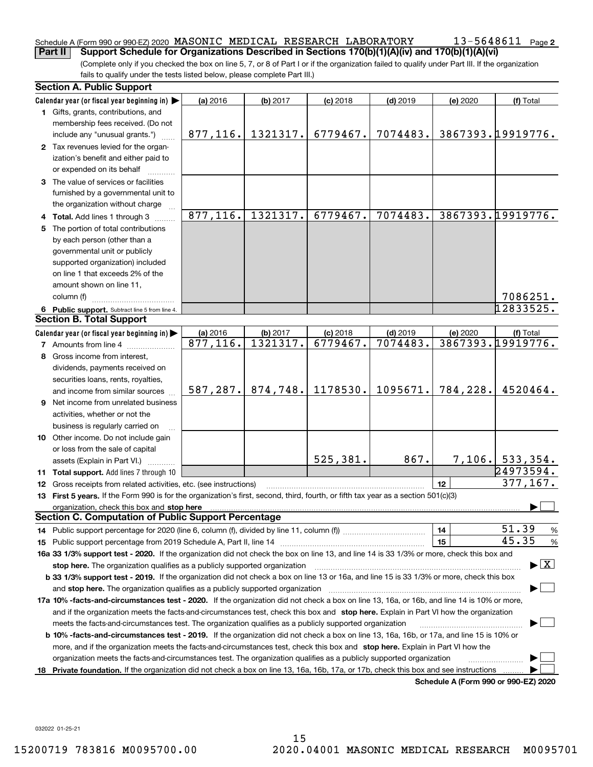#### Schedule A (Form 990 or 990-EZ) 2020 Page MASONIC MEDICAL RESEARCH LABORATORY 13-5648611 **Part II** Support Schedule for Organizations Described in Sections 170(b)(1)(A)(iv) and 170(b)(1)(A)(vi)

(Complete only if you checked the box on line 5, 7, or 8 of Part I or if the organization failed to qualify under Part III. If the organization fails to qualify under the tests listed below, please complete Part III.)

|    | <b>Section A. Public Support</b>                                                                                                                                                                                               |           |          |            |            |                                      |                                          |
|----|--------------------------------------------------------------------------------------------------------------------------------------------------------------------------------------------------------------------------------|-----------|----------|------------|------------|--------------------------------------|------------------------------------------|
|    | Calendar year (or fiscal year beginning in) $\blacktriangleright$                                                                                                                                                              | (a) 2016  | (b) 2017 | $(c)$ 2018 | $(d)$ 2019 | (e) 2020                             | (f) Total                                |
|    | 1 Gifts, grants, contributions, and                                                                                                                                                                                            |           |          |            |            |                                      |                                          |
|    | membership fees received. (Do not                                                                                                                                                                                              |           |          |            |            |                                      |                                          |
|    | include any "unusual grants.")                                                                                                                                                                                                 | 877,116.  | 1321317. | 6779467.   | 7074483.   |                                      | 3867393.19919776.                        |
|    | 2 Tax revenues levied for the organ-                                                                                                                                                                                           |           |          |            |            |                                      |                                          |
|    | ization's benefit and either paid to                                                                                                                                                                                           |           |          |            |            |                                      |                                          |
|    | or expended on its behalf                                                                                                                                                                                                      |           |          |            |            |                                      |                                          |
|    | 3 The value of services or facilities                                                                                                                                                                                          |           |          |            |            |                                      |                                          |
|    | furnished by a governmental unit to                                                                                                                                                                                            |           |          |            |            |                                      |                                          |
|    | the organization without charge                                                                                                                                                                                                |           |          |            |            |                                      |                                          |
|    | 4 Total. Add lines 1 through 3                                                                                                                                                                                                 | 877,116.  | 1321317. | 6779467.   | 7074483.   |                                      | 3867393.19919776.                        |
| 5. | The portion of total contributions                                                                                                                                                                                             |           |          |            |            |                                      |                                          |
|    | by each person (other than a                                                                                                                                                                                                   |           |          |            |            |                                      |                                          |
|    | governmental unit or publicly                                                                                                                                                                                                  |           |          |            |            |                                      |                                          |
|    | supported organization) included                                                                                                                                                                                               |           |          |            |            |                                      |                                          |
|    | on line 1 that exceeds 2% of the                                                                                                                                                                                               |           |          |            |            |                                      |                                          |
|    | amount shown on line 11,                                                                                                                                                                                                       |           |          |            |            |                                      |                                          |
|    | column (f)                                                                                                                                                                                                                     |           |          |            |            |                                      | 7086251.                                 |
|    | 6 Public support. Subtract line 5 from line 4.                                                                                                                                                                                 |           |          |            |            |                                      | 12833525.                                |
|    | <b>Section B. Total Support</b>                                                                                                                                                                                                |           |          |            |            |                                      |                                          |
|    | Calendar year (or fiscal year beginning in) $\blacktriangleright$                                                                                                                                                              | (a) 2016  | (b) 2017 | $(c)$ 2018 | $(d)$ 2019 | (e) 2020                             | (f) Total                                |
|    | <b>7</b> Amounts from line 4                                                                                                                                                                                                   | 877,116.  | 1321317. | 6779467.   | 7074483.   |                                      | 3867393.19919776.                        |
| 8  | Gross income from interest,                                                                                                                                                                                                    |           |          |            |            |                                      |                                          |
|    | dividends, payments received on                                                                                                                                                                                                |           |          |            |            |                                      |                                          |
|    | securities loans, rents, royalties,                                                                                                                                                                                            |           |          |            |            |                                      |                                          |
|    | and income from similar sources                                                                                                                                                                                                | 587, 287. | 874,748. | 1178530.   | 1095671.   | 784,228.                             | 4520464.                                 |
|    | <b>9</b> Net income from unrelated business                                                                                                                                                                                    |           |          |            |            |                                      |                                          |
|    | activities, whether or not the                                                                                                                                                                                                 |           |          |            |            |                                      |                                          |
|    | business is regularly carried on                                                                                                                                                                                               |           |          |            |            |                                      |                                          |
|    | 10 Other income. Do not include gain                                                                                                                                                                                           |           |          |            |            |                                      |                                          |
|    | or loss from the sale of capital                                                                                                                                                                                               |           |          |            |            |                                      |                                          |
|    | assets (Explain in Part VI.)                                                                                                                                                                                                   |           |          | 525,381.   | 867.       |                                      | $7,106.$ 533, 354.                       |
|    | 11 Total support. Add lines 7 through 10                                                                                                                                                                                       |           |          |            |            |                                      | 24973594.                                |
|    | 12 Gross receipts from related activities, etc. (see instructions)                                                                                                                                                             |           |          |            |            | 12                                   | 377,167.                                 |
|    | 13 First 5 years. If the Form 990 is for the organization's first, second, third, fourth, or fifth tax year as a section 501(c)(3)                                                                                             |           |          |            |            |                                      |                                          |
|    | organization, check this box and stop here manufactured and according to the state of the state of the state of the state of the state of the state of the state of the state of the state of the state of the state of the st |           |          |            |            |                                      |                                          |
|    | <b>Section C. Computation of Public Support Percentage</b>                                                                                                                                                                     |           |          |            |            |                                      |                                          |
|    |                                                                                                                                                                                                                                |           |          |            |            | 14                                   | 51.39<br>%                               |
|    |                                                                                                                                                                                                                                |           |          |            |            | 15                                   | 45.35<br>$\%$                            |
|    | 16a 33 1/3% support test - 2020. If the organization did not check the box on line 13, and line 14 is 33 1/3% or more, check this box and                                                                                      |           |          |            |            |                                      |                                          |
|    | stop here. The organization qualifies as a publicly supported organization                                                                                                                                                     |           |          |            |            |                                      | $\blacktriangleright$ $\boxed{\text{X}}$ |
|    | b 33 1/3% support test - 2019. If the organization did not check a box on line 13 or 16a, and line 15 is 33 1/3% or more, check this box                                                                                       |           |          |            |            |                                      |                                          |
|    | and stop here. The organization qualifies as a publicly supported organization                                                                                                                                                 |           |          |            |            |                                      |                                          |
|    | 17a 10% -facts-and-circumstances test - 2020. If the organization did not check a box on line 13, 16a, or 16b, and line 14 is 10% or more,                                                                                     |           |          |            |            |                                      |                                          |
|    | and if the organization meets the facts-and-circumstances test, check this box and stop here. Explain in Part VI how the organization                                                                                          |           |          |            |            |                                      |                                          |
|    | meets the facts-and-circumstances test. The organization qualifies as a publicly supported organization                                                                                                                        |           |          |            |            |                                      |                                          |
|    | <b>b 10% -facts-and-circumstances test - 2019.</b> If the organization did not check a box on line 13, 16a, 16b, or 17a, and line 15 is 10% or                                                                                 |           |          |            |            |                                      |                                          |
|    | more, and if the organization meets the facts-and-circumstances test, check this box and stop here. Explain in Part VI how the                                                                                                 |           |          |            |            |                                      |                                          |
|    | organization meets the facts-and-circumstances test. The organization qualifies as a publicly supported organization                                                                                                           |           |          |            |            |                                      |                                          |
|    | 18 Private foundation. If the organization did not check a box on line 13, 16a, 16b, 17a, or 17b, check this box and see instructions                                                                                          |           |          |            |            |                                      |                                          |
|    |                                                                                                                                                                                                                                |           |          |            |            | Schodule A (Form 000 or 000 EZ) 2020 |                                          |

**Schedule A (Form 990 or 990-EZ) 2020**

032022 01-25-21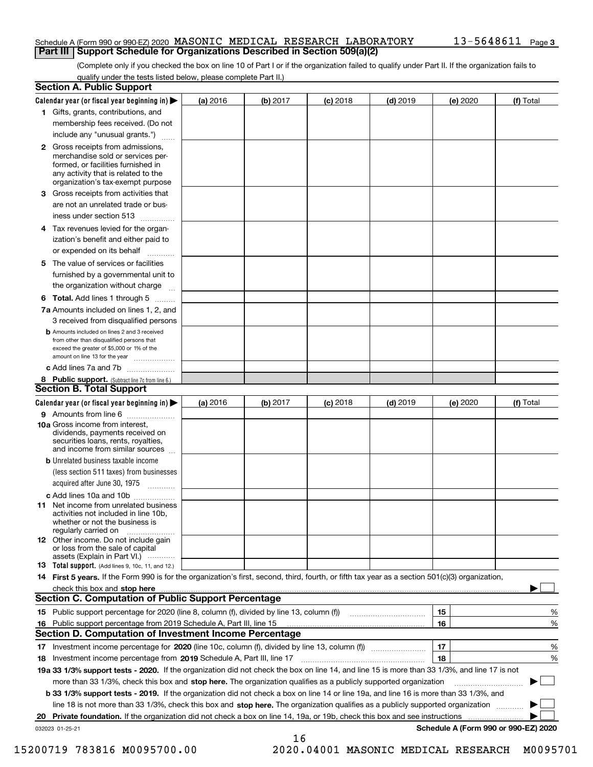#### Schedule A (Form 990 or 990-EZ) 2020 Page MASONIC MEDICAL RESEARCH LABORATORY 13-5648611 **Part III Support Schedule for Organizations Described in Section 509(a)(2)**

(Complete only if you checked the box on line 10 of Part I or if the organization failed to qualify under Part II. If the organization fails to qualify under the tests listed below, please complete Part II.)

|    | <b>Section A. Public Support</b>                                                                                                                                                                                              |          |          |            |            |          |                                      |
|----|-------------------------------------------------------------------------------------------------------------------------------------------------------------------------------------------------------------------------------|----------|----------|------------|------------|----------|--------------------------------------|
|    | Calendar year (or fiscal year beginning in) $\blacktriangleright$                                                                                                                                                             | (a) 2016 | (b) 2017 | $(c)$ 2018 | $(d)$ 2019 | (e) 2020 | (f) Total                            |
|    | 1 Gifts, grants, contributions, and                                                                                                                                                                                           |          |          |            |            |          |                                      |
|    | membership fees received. (Do not                                                                                                                                                                                             |          |          |            |            |          |                                      |
|    | include any "unusual grants.")                                                                                                                                                                                                |          |          |            |            |          |                                      |
|    | 2 Gross receipts from admissions,<br>merchandise sold or services per-<br>formed, or facilities furnished in<br>any activity that is related to the<br>organization's tax-exempt purpose                                      |          |          |            |            |          |                                      |
|    | 3 Gross receipts from activities that<br>are not an unrelated trade or bus-                                                                                                                                                   |          |          |            |            |          |                                      |
|    | iness under section 513                                                                                                                                                                                                       |          |          |            |            |          |                                      |
|    | 4 Tax revenues levied for the organ-                                                                                                                                                                                          |          |          |            |            |          |                                      |
|    | ization's benefit and either paid to<br>or expended on its behalf<br>.                                                                                                                                                        |          |          |            |            |          |                                      |
|    | 5 The value of services or facilities                                                                                                                                                                                         |          |          |            |            |          |                                      |
|    | furnished by a governmental unit to                                                                                                                                                                                           |          |          |            |            |          |                                      |
|    | the organization without charge                                                                                                                                                                                               |          |          |            |            |          |                                      |
|    | <b>6 Total.</b> Add lines 1 through 5                                                                                                                                                                                         |          |          |            |            |          |                                      |
|    | 7a Amounts included on lines 1, 2, and                                                                                                                                                                                        |          |          |            |            |          |                                      |
|    | 3 received from disqualified persons                                                                                                                                                                                          |          |          |            |            |          |                                      |
|    | <b>b</b> Amounts included on lines 2 and 3 received<br>from other than disqualified persons that<br>exceed the greater of \$5,000 or 1% of the<br>amount on line 13 for the year                                              |          |          |            |            |          |                                      |
|    | c Add lines 7a and 7b                                                                                                                                                                                                         |          |          |            |            |          |                                      |
|    | 8 Public support. (Subtract line 7c from line 6.)                                                                                                                                                                             |          |          |            |            |          |                                      |
|    | <b>Section B. Total Support</b>                                                                                                                                                                                               |          |          |            |            |          |                                      |
|    | Calendar year (or fiscal year beginning in) $\blacktriangleright$                                                                                                                                                             | (a) 2016 | (b) 2017 | $(c)$ 2018 | $(d)$ 2019 | (e) 2020 | (f) Total                            |
|    | 9 Amounts from line 6                                                                                                                                                                                                         |          |          |            |            |          |                                      |
|    | 10a Gross income from interest,<br>dividends, payments received on<br>securities loans, rents, royalties,<br>and income from similar sources                                                                                  |          |          |            |            |          |                                      |
|    | <b>b</b> Unrelated business taxable income<br>(less section 511 taxes) from businesses                                                                                                                                        |          |          |            |            |          |                                      |
|    | acquired after June 30, 1975                                                                                                                                                                                                  |          |          |            |            |          |                                      |
|    | c Add lines 10a and 10b<br>11 Net income from unrelated business<br>activities not included in line 10b,<br>whether or not the business is<br>regularly carried on                                                            |          |          |            |            |          |                                      |
|    | 12 Other income. Do not include gain<br>or loss from the sale of capital<br>assets (Explain in Part VI.)                                                                                                                      |          |          |            |            |          |                                      |
|    | <b>13</b> Total support. (Add lines 9, 10c, 11, and 12.)                                                                                                                                                                      |          |          |            |            |          |                                      |
|    | 14 First 5 years. If the Form 990 is for the organization's first, second, third, fourth, or fifth tax year as a section 501(c)(3) organization,                                                                              |          |          |            |            |          |                                      |
|    | check this box and stop here with the continuum control to the control of the state of the state of the control of the state of the control of the control of the control of the control of the control of the control of the |          |          |            |            |          |                                      |
|    | Section C. Computation of Public Support Percentage                                                                                                                                                                           |          |          |            |            |          |                                      |
|    | 15 Public support percentage for 2020 (line 8, column (f), divided by line 13, column (f))                                                                                                                                    |          |          |            |            | 15       | %                                    |
|    | 16 Public support percentage from 2019 Schedule A, Part III, line 15                                                                                                                                                          |          |          |            |            | 16       | %                                    |
|    | <b>Section D. Computation of Investment Income Percentage</b>                                                                                                                                                                 |          |          |            |            |          |                                      |
|    | 17 Investment income percentage for 2020 (line 10c, column (f), divided by line 13, column (f))                                                                                                                               |          |          |            |            | 17       | %                                    |
|    | <b>18</b> Investment income percentage from <b>2019</b> Schedule A, Part III, line 17                                                                                                                                         |          |          |            |            | 18       | %                                    |
|    | 19a 33 1/3% support tests - 2020. If the organization did not check the box on line 14, and line 15 is more than 33 1/3%, and line 17 is not                                                                                  |          |          |            |            |          |                                      |
|    | more than 33 1/3%, check this box and stop here. The organization qualifies as a publicly supported organization                                                                                                              |          |          |            |            |          | ▶                                    |
|    | b 33 1/3% support tests - 2019. If the organization did not check a box on line 14 or line 19a, and line 16 is more than 33 1/3%, and                                                                                         |          |          |            |            |          |                                      |
|    | line 18 is not more than 33 1/3%, check this box and stop here. The organization qualifies as a publicly supported organization                                                                                               |          |          |            |            |          |                                      |
| 20 | <b>Private foundation.</b> If the organization did not check a box on line 14, 19a, or 19b, check this box and see instructions                                                                                               |          |          |            |            |          |                                      |
|    | 032023 01-25-21                                                                                                                                                                                                               |          | 16       |            |            |          | Schedule A (Form 990 or 990-EZ) 2020 |

15200719 783816 M0095700.00 2020.04001 MASONIC MEDICAL RESEARCH M0095701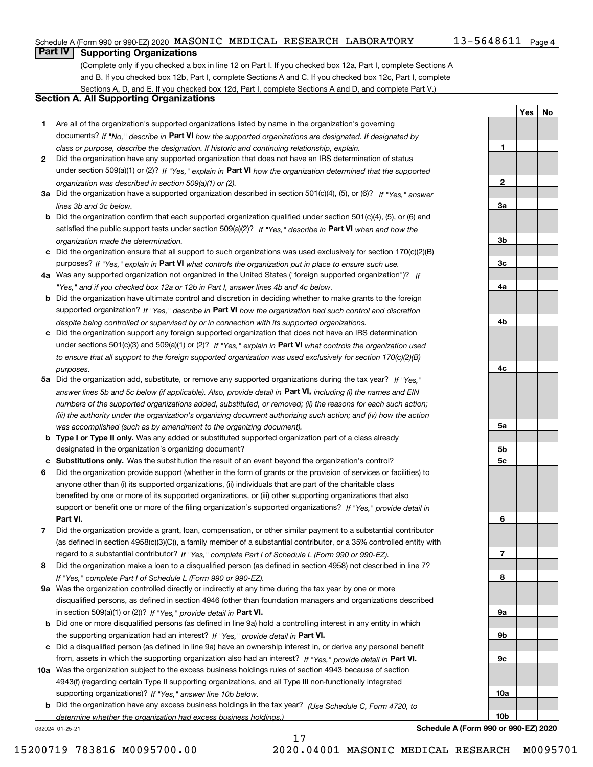#### Schedule A (Form 990 or 990-EZ) 2020 Page MASONIC MEDICAL RESEARCH LABORATORY 13-5648611

#### 13-5648611 Page 4

**1**

**2**

**3a**

**3b**

**3c**

**4a**

**4b**

**4c**

**5a**

**5b5c**

**6**

**7**

**8**

**9a**

**9b**

**9c**

**10a**

**10b**

**YesNo**

## **Part IV Supporting Organizations**

(Complete only if you checked a box in line 12 on Part I. If you checked box 12a, Part I, complete Sections A and B. If you checked box 12b, Part I, complete Sections A and C. If you checked box 12c, Part I, complete Sections A, D, and E. If you checked box 12d, Part I, complete Sections A and D, and complete Part V.)

#### **Section A. All Supporting Organizations**

- **1** Are all of the organization's supported organizations listed by name in the organization's governing documents? If "No," describe in **Part VI** how the supported organizations are designated. If designated by *class or purpose, describe the designation. If historic and continuing relationship, explain.*
- **2** Did the organization have any supported organization that does not have an IRS determination of status under section 509(a)(1) or (2)? If "Yes," explain in Part VI how the organization determined that the supported *organization was described in section 509(a)(1) or (2).*
- **3a** Did the organization have a supported organization described in section 501(c)(4), (5), or (6)? If "Yes," answer *lines 3b and 3c below.*
- **b** Did the organization confirm that each supported organization qualified under section 501(c)(4), (5), or (6) and satisfied the public support tests under section 509(a)(2)? If "Yes," describe in **Part VI** when and how the *organization made the determination.*
- **c**Did the organization ensure that all support to such organizations was used exclusively for section 170(c)(2)(B) purposes? If "Yes," explain in **Part VI** what controls the organization put in place to ensure such use.
- **4a***If* Was any supported organization not organized in the United States ("foreign supported organization")? *"Yes," and if you checked box 12a or 12b in Part I, answer lines 4b and 4c below.*
- **b** Did the organization have ultimate control and discretion in deciding whether to make grants to the foreign supported organization? If "Yes," describe in **Part VI** how the organization had such control and discretion *despite being controlled or supervised by or in connection with its supported organizations.*
- **c** Did the organization support any foreign supported organization that does not have an IRS determination under sections 501(c)(3) and 509(a)(1) or (2)? If "Yes," explain in **Part VI** what controls the organization used *to ensure that all support to the foreign supported organization was used exclusively for section 170(c)(2)(B) purposes.*
- **5a** Did the organization add, substitute, or remove any supported organizations during the tax year? If "Yes," answer lines 5b and 5c below (if applicable). Also, provide detail in **Part VI,** including (i) the names and EIN *numbers of the supported organizations added, substituted, or removed; (ii) the reasons for each such action; (iii) the authority under the organization's organizing document authorizing such action; and (iv) how the action was accomplished (such as by amendment to the organizing document).*
- **b** Type I or Type II only. Was any added or substituted supported organization part of a class already designated in the organization's organizing document?
- **cSubstitutions only.**  Was the substitution the result of an event beyond the organization's control?
- **6** Did the organization provide support (whether in the form of grants or the provision of services or facilities) to **Part VI.** *If "Yes," provide detail in* support or benefit one or more of the filing organization's supported organizations? anyone other than (i) its supported organizations, (ii) individuals that are part of the charitable class benefited by one or more of its supported organizations, or (iii) other supporting organizations that also
- **7**Did the organization provide a grant, loan, compensation, or other similar payment to a substantial contributor *If "Yes," complete Part I of Schedule L (Form 990 or 990-EZ).* regard to a substantial contributor? (as defined in section 4958(c)(3)(C)), a family member of a substantial contributor, or a 35% controlled entity with
- **8** Did the organization make a loan to a disqualified person (as defined in section 4958) not described in line 7? *If "Yes," complete Part I of Schedule L (Form 990 or 990-EZ).*
- **9a** Was the organization controlled directly or indirectly at any time during the tax year by one or more in section 509(a)(1) or (2))? If "Yes," *provide detail in* <code>Part VI.</code> disqualified persons, as defined in section 4946 (other than foundation managers and organizations described
- **b** Did one or more disqualified persons (as defined in line 9a) hold a controlling interest in any entity in which the supporting organization had an interest? If "Yes," provide detail in P**art VI**.
- **c**Did a disqualified person (as defined in line 9a) have an ownership interest in, or derive any personal benefit from, assets in which the supporting organization also had an interest? If "Yes," provide detail in P**art VI.**
- **10a** Was the organization subject to the excess business holdings rules of section 4943 because of section supporting organizations)? If "Yes," answer line 10b below. 4943(f) (regarding certain Type II supporting organizations, and all Type III non-functionally integrated
- **b** Did the organization have any excess business holdings in the tax year? (Use Schedule C, Form 4720, to *determine whether the organization had excess business holdings.)*

17

032024 01-25-21

**Schedule A (Form 990 or 990-EZ) 2020**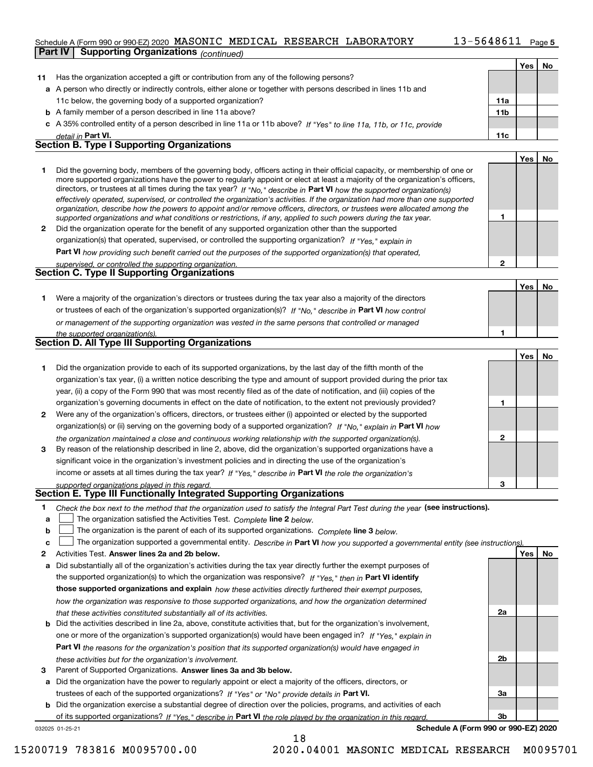#### Schedule A (Form 990 or 990-EZ) 2020 Page MASONIC MEDICAL RESEARCH LABORATORY 13-5648611

|              | SCREQUIE A (FORM 990 OF 990-EZ) 2020 MASONIC MEDICAL RESEARCH LABORAIORI<br>LJ-JO <del>I</del> OOII Page <b>5</b>                                                                                                                                           |                 |            |    |
|--------------|-------------------------------------------------------------------------------------------------------------------------------------------------------------------------------------------------------------------------------------------------------------|-----------------|------------|----|
|              | <b>Supporting Organizations (continued)</b><br><b>Part IV</b>                                                                                                                                                                                               |                 |            |    |
|              |                                                                                                                                                                                                                                                             |                 | Yes        | No |
| 11           | Has the organization accepted a gift or contribution from any of the following persons?                                                                                                                                                                     |                 |            |    |
|              | a A person who directly or indirectly controls, either alone or together with persons described in lines 11b and                                                                                                                                            |                 |            |    |
|              | 11c below, the governing body of a supported organization?                                                                                                                                                                                                  | 11a             |            |    |
|              | <b>b</b> A family member of a person described in line 11a above?                                                                                                                                                                                           | 11 <sub>b</sub> |            |    |
|              | c A 35% controlled entity of a person described in line 11a or 11b above? If "Yes" to line 11a, 11b, or 11c, provide                                                                                                                                        |                 |            |    |
|              | detail in Part VI.                                                                                                                                                                                                                                          | 11c             |            |    |
|              | <b>Section B. Type I Supporting Organizations</b>                                                                                                                                                                                                           |                 |            |    |
|              |                                                                                                                                                                                                                                                             |                 | Yes        | No |
|              |                                                                                                                                                                                                                                                             |                 |            |    |
| 1.           | Did the governing body, members of the governing body, officers acting in their official capacity, or membership of one or<br>more supported organizations have the power to regularly appoint or elect at least a majority of the organization's officers, |                 |            |    |
|              | directors, or trustees at all times during the tax year? If "No," describe in Part VI how the supported organization(s)                                                                                                                                     |                 |            |    |
|              | effectively operated, supervised, or controlled the organization's activities. If the organization had more than one supported                                                                                                                              |                 |            |    |
|              | organization, describe how the powers to appoint and/or remove officers, directors, or trustees were allocated among the                                                                                                                                    |                 |            |    |
|              | supported organizations and what conditions or restrictions, if any, applied to such powers during the tax year.                                                                                                                                            | 1               |            |    |
| $\mathbf{2}$ | Did the organization operate for the benefit of any supported organization other than the supported                                                                                                                                                         |                 |            |    |
|              | organization(s) that operated, supervised, or controlled the supporting organization? If "Yes," explain in                                                                                                                                                  |                 |            |    |
|              | Part VI how providing such benefit carried out the purposes of the supported organization(s) that operated,                                                                                                                                                 |                 |            |    |
|              | supervised, or controlled the supporting organization.                                                                                                                                                                                                      | $\mathbf{2}$    |            |    |
|              | Section C. Type II Supporting Organizations                                                                                                                                                                                                                 |                 |            |    |
|              |                                                                                                                                                                                                                                                             |                 | Yes        | No |
|              |                                                                                                                                                                                                                                                             |                 |            |    |
| 1.           | Were a majority of the organization's directors or trustees during the tax year also a majority of the directors                                                                                                                                            |                 |            |    |
|              | or trustees of each of the organization's supported organization(s)? If "No," describe in Part VI how control                                                                                                                                               |                 |            |    |
|              | or management of the supporting organization was vested in the same persons that controlled or managed                                                                                                                                                      |                 |            |    |
|              | the supported organization(s).                                                                                                                                                                                                                              | 1               |            |    |
|              | Section D. All Type III Supporting Organizations                                                                                                                                                                                                            |                 |            |    |
|              |                                                                                                                                                                                                                                                             |                 | Yes        | No |
| 1.           | Did the organization provide to each of its supported organizations, by the last day of the fifth month of the                                                                                                                                              |                 |            |    |
|              | organization's tax year, (i) a written notice describing the type and amount of support provided during the prior tax                                                                                                                                       |                 |            |    |
|              | year, (ii) a copy of the Form 990 that was most recently filed as of the date of notification, and (iii) copies of the                                                                                                                                      |                 |            |    |
|              | organization's governing documents in effect on the date of notification, to the extent not previously provided?                                                                                                                                            | 1               |            |    |
| 2            | Were any of the organization's officers, directors, or trustees either (i) appointed or elected by the supported                                                                                                                                            |                 |            |    |
|              | organization(s) or (ii) serving on the governing body of a supported organization? If "No," explain in Part VI how                                                                                                                                          |                 |            |    |
|              |                                                                                                                                                                                                                                                             | $\mathbf{2}$    |            |    |
|              | the organization maintained a close and continuous working relationship with the supported organization(s).                                                                                                                                                 |                 |            |    |
| 3            | By reason of the relationship described in line 2, above, did the organization's supported organizations have a                                                                                                                                             |                 |            |    |
|              | significant voice in the organization's investment policies and in directing the use of the organization's                                                                                                                                                  |                 |            |    |
|              | income or assets at all times during the tax year? If "Yes," describe in Part VI the role the organization's                                                                                                                                                |                 |            |    |
|              | supported organizations played in this regard.                                                                                                                                                                                                              | з               |            |    |
|              | Section E. Type III Functionally Integrated Supporting Organizations                                                                                                                                                                                        |                 |            |    |
| 1            | Check the box next to the method that the organization used to satisfy the Integral Part Test during the year (see instructions).                                                                                                                           |                 |            |    |
| а            | The organization satisfied the Activities Test. Complete line 2 below.                                                                                                                                                                                      |                 |            |    |
| b            | The organization is the parent of each of its supported organizations. Complete line 3 below.                                                                                                                                                               |                 |            |    |
| с            | The organization supported a governmental entity. Describe in Part VI how you supported a governmental entity (see instructions).                                                                                                                           |                 |            |    |
| 2            | Activities Test. Answer lines 2a and 2b below.                                                                                                                                                                                                              |                 | <b>Yes</b> | No |
| а            | Did substantially all of the organization's activities during the tax year directly further the exempt purposes of                                                                                                                                          |                 |            |    |

- **3** Parent of Supported Organizations. Answer lines 3a and 3b below. **b** Did the activities described in line 2a, above, constitute activities that, but for the organization's involvement, the supported organization(s) to which the organization was responsive? If "Yes," then in **Part VI identify those supported organizations and explain**  *how these activities directly furthered their exempt purposes,* **Part VI**  *the reasons for the organization's position that its supported organization(s) would have engaged in how the organization was responsive to those supported organizations, and how the organization determined that these activities constituted substantially all of its activities.* one or more of the organization's supported organization(s) would have been engaged in? If "Yes," e*xplain in these activities but for the organization's involvement.*
- **a** Did the organization have the power to regularly appoint or elect a majority of the officers, directors, or trustees of each of the supported organizations? If "Yes" or "No" provide details in P**art VI.**

032025 01-25-21 **b** Did the organization exercise a substantial degree of direction over the policies, programs, and activities of each of its supported organizations? If "Yes," describe in Part VI the role played by the organization in this regard.

18

**Schedule A (Form 990 or 990-EZ) 2020**

**2a**

**2b**

**3a**

**3b**

15200719 783816 M0095700.00 2020.04001 MASONIC MEDICAL RESEARCH M0095701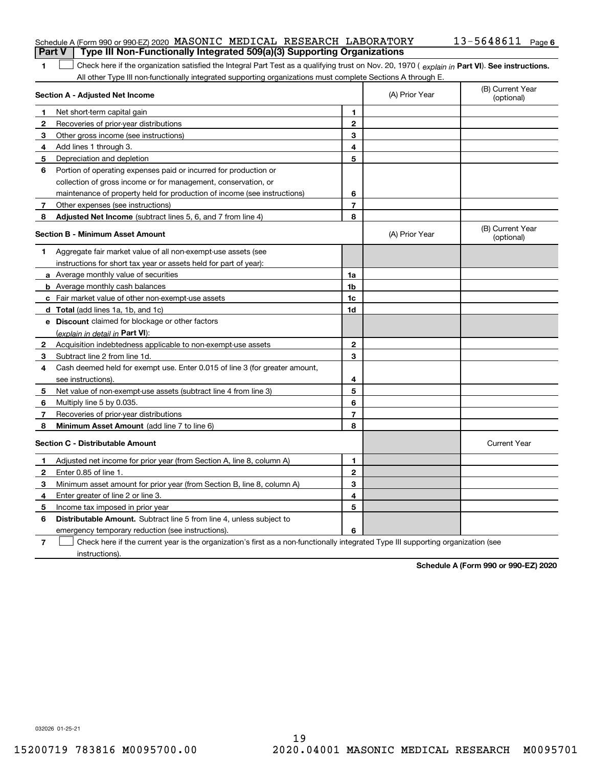|   | Schedule A (Form 990 or 990-EZ) 2020 MASONIC MEDICAL RESEARCH LABORATORY<br>Type III Non-Functionally Integrated 509(a)(3) Supporting Organizations<br><b>Part V</b> |                          |                | $13 - 5648611$ Page 6          |
|---|----------------------------------------------------------------------------------------------------------------------------------------------------------------------|--------------------------|----------------|--------------------------------|
| 1 | Check here if the organization satisfied the Integral Part Test as a qualifying trust on Nov. 20, 1970 (explain in Part VI). See instructions.                       |                          |                |                                |
|   | All other Type III non-functionally integrated supporting organizations must complete Sections A through E.                                                          |                          |                |                                |
|   | Section A - Adjusted Net Income                                                                                                                                      |                          | (A) Prior Year | (B) Current Year<br>(optional) |
| 1 | Net short-term capital gain                                                                                                                                          | 1                        |                |                                |
| 2 | Recoveries of prior-year distributions                                                                                                                               | $\overline{2}$           |                |                                |
| З | Other gross income (see instructions)                                                                                                                                | 3                        |                |                                |
| 4 | Add lines 1 through 3.                                                                                                                                               | 4                        |                |                                |
| 5 | Depreciation and depletion                                                                                                                                           | 5                        |                |                                |
| 6 | Portion of operating expenses paid or incurred for production or                                                                                                     |                          |                |                                |
|   | collection of gross income or for management, conservation, or                                                                                                       |                          |                |                                |
|   | maintenance of property held for production of income (see instructions)                                                                                             | 6                        |                |                                |
| 7 | Other expenses (see instructions)                                                                                                                                    | $\overline{7}$           |                |                                |
| 8 | Adjusted Net Income (subtract lines 5, 6, and 7 from line 4)                                                                                                         | 8                        |                |                                |
|   | <b>Section B - Minimum Asset Amount</b>                                                                                                                              |                          | (A) Prior Year | (B) Current Year<br>(optional) |
| 1 | Aggregate fair market value of all non-exempt-use assets (see                                                                                                        |                          |                |                                |
|   | instructions for short tax year or assets held for part of year):                                                                                                    |                          |                |                                |
|   | a Average monthly value of securities                                                                                                                                | 1a                       |                |                                |
|   | <b>b</b> Average monthly cash balances                                                                                                                               | 1b                       |                |                                |
|   | c Fair market value of other non-exempt-use assets                                                                                                                   | 1c                       |                |                                |
|   | d Total (add lines 1a, 1b, and 1c)                                                                                                                                   | 1d                       |                |                                |
|   | e Discount claimed for blockage or other factors                                                                                                                     |                          |                |                                |
|   | (explain in detail in Part VI):                                                                                                                                      |                          |                |                                |
| 2 | Acquisition indebtedness applicable to non-exempt-use assets                                                                                                         | $\mathbf 2$              |                |                                |
| 3 | Subtract line 2 from line 1d.                                                                                                                                        | 3                        |                |                                |
| 4 | Cash deemed held for exempt use. Enter 0.015 of line 3 (for greater amount,                                                                                          |                          |                |                                |
|   | see instructions)                                                                                                                                                    | 4                        |                |                                |
| 5 | Net value of non-exempt-use assets (subtract line 4 from line 3)                                                                                                     | 5                        |                |                                |
| 6 | Multiply line 5 by 0.035.                                                                                                                                            | 6                        |                |                                |
| 7 | Recoveries of prior-year distributions                                                                                                                               | $\overline{\phantom{a}}$ |                |                                |
| 8 | Minimum Asset Amount (add line 7 to line 6)                                                                                                                          | 8                        |                |                                |
|   | <b>Section C - Distributable Amount</b>                                                                                                                              |                          |                | <b>Current Year</b>            |
| 1 | Adjusted net income for prior year (from Section A, line 8, column A)                                                                                                | 1                        |                |                                |
| 2 | Enter 0.85 of line 1.                                                                                                                                                | $\overline{2}$           |                |                                |
| 3 | Minimum asset amount for prior year (from Section B, line 8, column A)                                                                                               | 3                        |                |                                |
| 4 | Enter greater of line 2 or line 3.                                                                                                                                   | 4                        |                |                                |
| 5 | Income tax imposed in prior year                                                                                                                                     | 5                        |                |                                |
| 6 | <b>Distributable Amount.</b> Subtract line 5 from line 4, unless subject to                                                                                          |                          |                |                                |
|   | emergency temporary reduction (see instructions).                                                                                                                    | 6                        |                |                                |

**7** Check here if the current year is the organization's first as a non-functionally integrated Type III supporting organization (see instructions).

**Schedule A (Form 990 or 990-EZ) 2020**

032026 01-25-21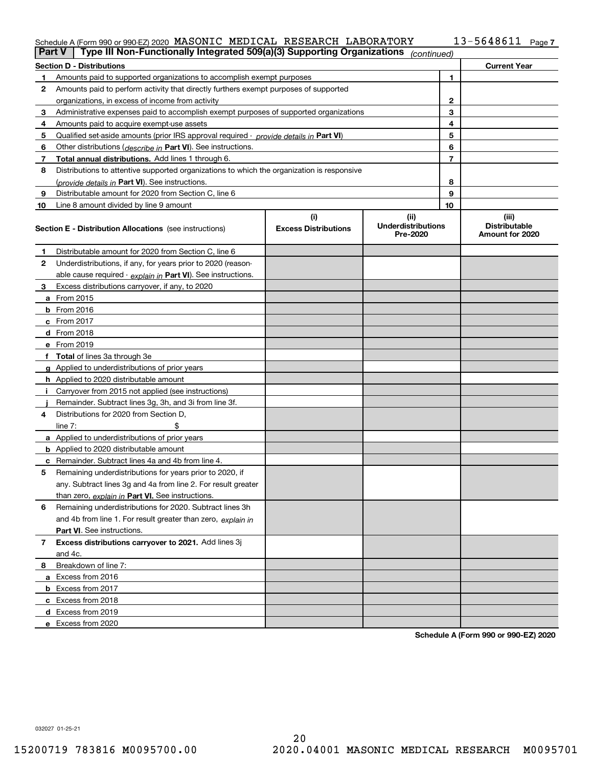#### Schedule A (Form 990 or 990-EZ) 2020 Page MASONIC MEDICAL RESEARCH LABORATORY 13-5648611

| Type III Non-Functionally Integrated 509(a)(3) Supporting Organizations<br>Part V<br>(continued) |                                                                                            |                             |                                       |    |                                         |  |
|--------------------------------------------------------------------------------------------------|--------------------------------------------------------------------------------------------|-----------------------------|---------------------------------------|----|-----------------------------------------|--|
|                                                                                                  | <b>Section D - Distributions</b>                                                           |                             |                                       |    | <b>Current Year</b>                     |  |
| 1                                                                                                | Amounts paid to supported organizations to accomplish exempt purposes                      |                             |                                       | 1  |                                         |  |
| 2                                                                                                | Amounts paid to perform activity that directly furthers exempt purposes of supported       |                             |                                       |    |                                         |  |
|                                                                                                  | organizations, in excess of income from activity                                           |                             |                                       | 2  |                                         |  |
| 3                                                                                                | Administrative expenses paid to accomplish exempt purposes of supported organizations      |                             |                                       | 3  |                                         |  |
| 4                                                                                                | Amounts paid to acquire exempt-use assets                                                  |                             |                                       | 4  |                                         |  |
| 5                                                                                                | Qualified set-aside amounts (prior IRS approval required - provide details in Part VI)     |                             |                                       | 5  |                                         |  |
| 6                                                                                                | Other distributions ( <i>describe in</i> Part VI). See instructions.                       |                             |                                       | 6  |                                         |  |
| 7                                                                                                | Total annual distributions. Add lines 1 through 6.                                         |                             |                                       | 7  |                                         |  |
| 8                                                                                                | Distributions to attentive supported organizations to which the organization is responsive |                             |                                       |    |                                         |  |
|                                                                                                  | (provide details in Part VI). See instructions.                                            |                             |                                       | 8  |                                         |  |
| 9                                                                                                | Distributable amount for 2020 from Section C, line 6                                       |                             |                                       | 9  |                                         |  |
| 10                                                                                               | Line 8 amount divided by line 9 amount                                                     |                             |                                       | 10 |                                         |  |
|                                                                                                  |                                                                                            | (i)                         | (ii)                                  |    | (iii)                                   |  |
|                                                                                                  | <b>Section E - Distribution Allocations</b> (see instructions)                             | <b>Excess Distributions</b> | <b>Underdistributions</b><br>Pre-2020 |    | <b>Distributable</b><br>Amount for 2020 |  |
| 1                                                                                                | Distributable amount for 2020 from Section C, line 6                                       |                             |                                       |    |                                         |  |
| 2                                                                                                | Underdistributions, if any, for years prior to 2020 (reason-                               |                             |                                       |    |                                         |  |
|                                                                                                  | able cause required - explain in Part VI). See instructions.                               |                             |                                       |    |                                         |  |
| 3                                                                                                | Excess distributions carryover, if any, to 2020                                            |                             |                                       |    |                                         |  |
|                                                                                                  | <b>a</b> From 2015                                                                         |                             |                                       |    |                                         |  |
|                                                                                                  | <b>b</b> From 2016                                                                         |                             |                                       |    |                                         |  |
|                                                                                                  | $c$ From 2017                                                                              |                             |                                       |    |                                         |  |
|                                                                                                  | d From 2018                                                                                |                             |                                       |    |                                         |  |
|                                                                                                  | e From 2019                                                                                |                             |                                       |    |                                         |  |
|                                                                                                  | f Total of lines 3a through 3e                                                             |                             |                                       |    |                                         |  |
|                                                                                                  | g Applied to underdistributions of prior years                                             |                             |                                       |    |                                         |  |
|                                                                                                  | <b>h</b> Applied to 2020 distributable amount                                              |                             |                                       |    |                                         |  |
|                                                                                                  | Carryover from 2015 not applied (see instructions)                                         |                             |                                       |    |                                         |  |
|                                                                                                  | Remainder. Subtract lines 3g, 3h, and 3i from line 3f.                                     |                             |                                       |    |                                         |  |
| 4                                                                                                | Distributions for 2020 from Section D.                                                     |                             |                                       |    |                                         |  |
|                                                                                                  | line $7:$                                                                                  |                             |                                       |    |                                         |  |
|                                                                                                  | a Applied to underdistributions of prior years                                             |                             |                                       |    |                                         |  |
|                                                                                                  | <b>b</b> Applied to 2020 distributable amount                                              |                             |                                       |    |                                         |  |
|                                                                                                  | c Remainder. Subtract lines 4a and 4b from line 4.                                         |                             |                                       |    |                                         |  |
| 5                                                                                                | Remaining underdistributions for years prior to 2020, if                                   |                             |                                       |    |                                         |  |
|                                                                                                  | any. Subtract lines 3g and 4a from line 2. For result greater                              |                             |                                       |    |                                         |  |
|                                                                                                  | than zero, explain in Part VI. See instructions.                                           |                             |                                       |    |                                         |  |
| 6                                                                                                | Remaining underdistributions for 2020. Subtract lines 3h                                   |                             |                                       |    |                                         |  |
|                                                                                                  | and 4b from line 1. For result greater than zero, explain in                               |                             |                                       |    |                                         |  |
|                                                                                                  | <b>Part VI.</b> See instructions.                                                          |                             |                                       |    |                                         |  |
| $\overline{7}$                                                                                   |                                                                                            |                             |                                       |    |                                         |  |
|                                                                                                  | Excess distributions carryover to 2021. Add lines 3j<br>and 4c.                            |                             |                                       |    |                                         |  |
|                                                                                                  |                                                                                            |                             |                                       |    |                                         |  |
| 8                                                                                                | Breakdown of line 7:<br>a Excess from 2016                                                 |                             |                                       |    |                                         |  |
|                                                                                                  |                                                                                            |                             |                                       |    |                                         |  |
|                                                                                                  | <b>b</b> Excess from 2017                                                                  |                             |                                       |    |                                         |  |
|                                                                                                  | c Excess from 2018                                                                         |                             |                                       |    |                                         |  |
|                                                                                                  | d Excess from 2019                                                                         |                             |                                       |    |                                         |  |
|                                                                                                  | e Excess from 2020                                                                         |                             |                                       |    |                                         |  |

**Schedule A (Form 990 or 990-EZ) 2020**

032027 01-25-21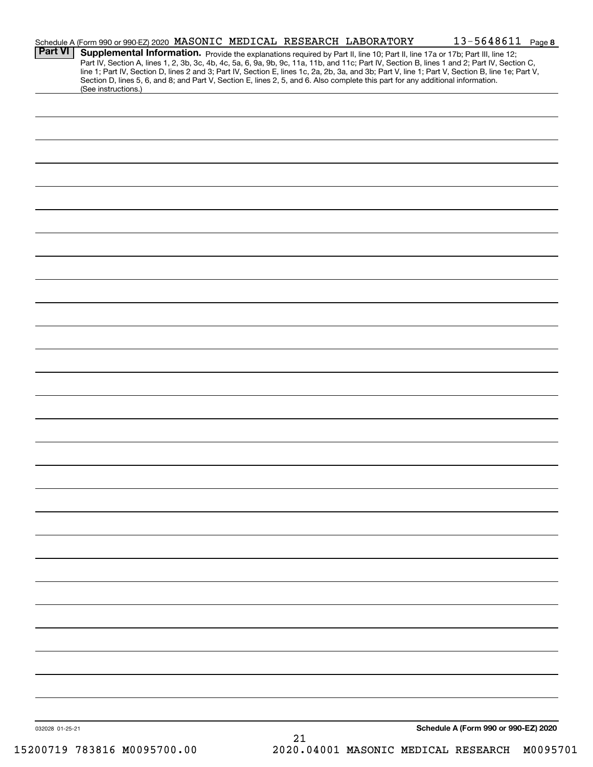|                 | Schedule A (Form 990 or 990-EZ) 2020 MASONIC MEDICAL RESEARCH LABORATORY                                                        |  |    | 13-5648611 Page 8                                                                                                                                                                                                                                                                                                                                                                                                                 |  |
|-----------------|---------------------------------------------------------------------------------------------------------------------------------|--|----|-----------------------------------------------------------------------------------------------------------------------------------------------------------------------------------------------------------------------------------------------------------------------------------------------------------------------------------------------------------------------------------------------------------------------------------|--|
| <b>Part VI</b>  | Section D, lines 5, 6, and 8; and Part V, Section E, lines 2, 5, and 6. Also complete this part for any additional information. |  |    | Supplemental Information. Provide the explanations required by Part II, line 10; Part II, line 17a or 17b; Part III, line 12;<br>Part IV, Section A, lines 1, 2, 3b, 3c, 4b, 4c, 5a, 6, 9a, 9b, 9c, 11a, 11b, and 11c; Part IV, Section B, lines 1 and 2; Part IV, Section C,<br>line 1; Part IV, Section D, lines 2 and 3; Part IV, Section E, lines 1c, 2a, 2b, 3a, and 3b; Part V, line 1; Part V, Section B, line 1e; Part V, |  |
|                 | (See instructions.)                                                                                                             |  |    |                                                                                                                                                                                                                                                                                                                                                                                                                                   |  |
|                 |                                                                                                                                 |  |    |                                                                                                                                                                                                                                                                                                                                                                                                                                   |  |
|                 |                                                                                                                                 |  |    |                                                                                                                                                                                                                                                                                                                                                                                                                                   |  |
|                 |                                                                                                                                 |  |    |                                                                                                                                                                                                                                                                                                                                                                                                                                   |  |
|                 |                                                                                                                                 |  |    |                                                                                                                                                                                                                                                                                                                                                                                                                                   |  |
|                 |                                                                                                                                 |  |    |                                                                                                                                                                                                                                                                                                                                                                                                                                   |  |
|                 |                                                                                                                                 |  |    |                                                                                                                                                                                                                                                                                                                                                                                                                                   |  |
|                 |                                                                                                                                 |  |    |                                                                                                                                                                                                                                                                                                                                                                                                                                   |  |
|                 |                                                                                                                                 |  |    |                                                                                                                                                                                                                                                                                                                                                                                                                                   |  |
|                 |                                                                                                                                 |  |    |                                                                                                                                                                                                                                                                                                                                                                                                                                   |  |
|                 |                                                                                                                                 |  |    |                                                                                                                                                                                                                                                                                                                                                                                                                                   |  |
|                 |                                                                                                                                 |  |    |                                                                                                                                                                                                                                                                                                                                                                                                                                   |  |
|                 |                                                                                                                                 |  |    |                                                                                                                                                                                                                                                                                                                                                                                                                                   |  |
|                 |                                                                                                                                 |  |    |                                                                                                                                                                                                                                                                                                                                                                                                                                   |  |
|                 |                                                                                                                                 |  |    |                                                                                                                                                                                                                                                                                                                                                                                                                                   |  |
|                 |                                                                                                                                 |  |    |                                                                                                                                                                                                                                                                                                                                                                                                                                   |  |
|                 |                                                                                                                                 |  |    |                                                                                                                                                                                                                                                                                                                                                                                                                                   |  |
|                 |                                                                                                                                 |  |    |                                                                                                                                                                                                                                                                                                                                                                                                                                   |  |
|                 |                                                                                                                                 |  |    |                                                                                                                                                                                                                                                                                                                                                                                                                                   |  |
|                 |                                                                                                                                 |  |    |                                                                                                                                                                                                                                                                                                                                                                                                                                   |  |
|                 |                                                                                                                                 |  |    |                                                                                                                                                                                                                                                                                                                                                                                                                                   |  |
|                 |                                                                                                                                 |  |    |                                                                                                                                                                                                                                                                                                                                                                                                                                   |  |
|                 |                                                                                                                                 |  |    |                                                                                                                                                                                                                                                                                                                                                                                                                                   |  |
|                 |                                                                                                                                 |  |    |                                                                                                                                                                                                                                                                                                                                                                                                                                   |  |
|                 |                                                                                                                                 |  |    |                                                                                                                                                                                                                                                                                                                                                                                                                                   |  |
|                 |                                                                                                                                 |  |    |                                                                                                                                                                                                                                                                                                                                                                                                                                   |  |
|                 |                                                                                                                                 |  |    |                                                                                                                                                                                                                                                                                                                                                                                                                                   |  |
|                 |                                                                                                                                 |  |    |                                                                                                                                                                                                                                                                                                                                                                                                                                   |  |
|                 |                                                                                                                                 |  |    |                                                                                                                                                                                                                                                                                                                                                                                                                                   |  |
|                 |                                                                                                                                 |  |    |                                                                                                                                                                                                                                                                                                                                                                                                                                   |  |
|                 |                                                                                                                                 |  |    |                                                                                                                                                                                                                                                                                                                                                                                                                                   |  |
|                 |                                                                                                                                 |  |    |                                                                                                                                                                                                                                                                                                                                                                                                                                   |  |
|                 |                                                                                                                                 |  |    |                                                                                                                                                                                                                                                                                                                                                                                                                                   |  |
|                 |                                                                                                                                 |  |    |                                                                                                                                                                                                                                                                                                                                                                                                                                   |  |
| 032028 01-25-21 |                                                                                                                                 |  |    | Schedule A (Form 990 or 990-EZ) 2020                                                                                                                                                                                                                                                                                                                                                                                              |  |
|                 |                                                                                                                                 |  | 21 |                                                                                                                                                                                                                                                                                                                                                                                                                                   |  |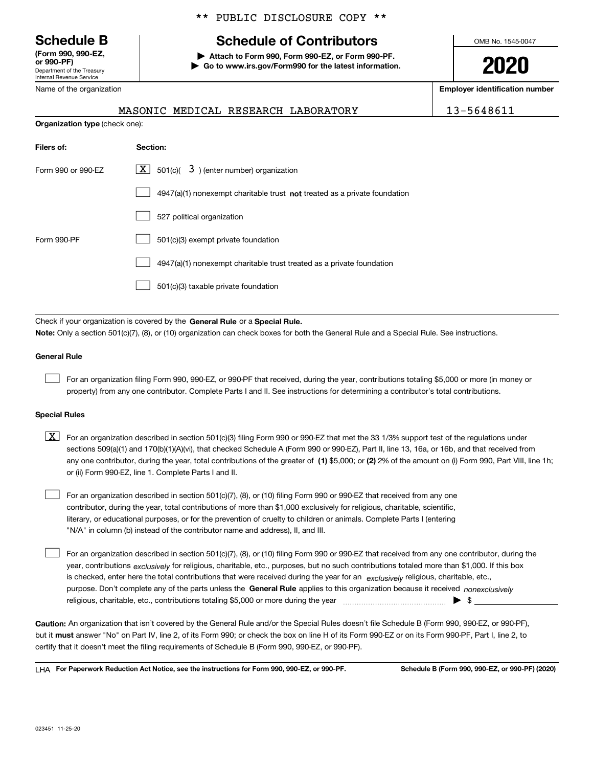Department of the Treasury Internal Revenue Service **(Form 990, 990-EZ, or 990-PF)**

Name of the organization

#### \*\* PUBLIC DISCLOSURE COPY \*\*

## **Schedule B Schedule of Contributors**

**| Attach to Form 990, Form 990-EZ, or Form 990-PF. | Go to www.irs.gov/Form990 for the latest information.** OMB No. 1545-0047

**2020**

**Employer identification number**

| 1<br>-564861 |
|--------------|
|--------------|

|                                       | MASONIC MEDICAL RESEARCH LABORATORY | 13-5648611 |
|---------------------------------------|-------------------------------------|------------|
| <b>Organization type (check one):</b> |                                     |            |

| Filers of:         | Section:                                                                    |  |  |  |  |  |
|--------------------|-----------------------------------------------------------------------------|--|--|--|--|--|
| Form 990 or 990-FZ | $X$ 501(c)( 3) (enter number) organization                                  |  |  |  |  |  |
|                    | $4947(a)(1)$ nonexempt charitable trust not treated as a private foundation |  |  |  |  |  |
|                    | 527 political organization                                                  |  |  |  |  |  |
| Form 990-PF        | 501(c)(3) exempt private foundation                                         |  |  |  |  |  |
|                    | 4947(a)(1) nonexempt charitable trust treated as a private foundation       |  |  |  |  |  |
|                    | 501(c)(3) taxable private foundation                                        |  |  |  |  |  |

Check if your organization is covered by the **General Rule** or a **Special Rule. Note:**  Only a section 501(c)(7), (8), or (10) organization can check boxes for both the General Rule and a Special Rule. See instructions.

#### **General Rule**

 $\mathcal{L}^{\text{max}}$ 

For an organization filing Form 990, 990-EZ, or 990-PF that received, during the year, contributions totaling \$5,000 or more (in money or property) from any one contributor. Complete Parts I and II. See instructions for determining a contributor's total contributions.

#### **Special Rules**

any one contributor, during the year, total contributions of the greater of  $\,$  (1) \$5,000; or **(2)** 2% of the amount on (i) Form 990, Part VIII, line 1h;  $\boxed{\textbf{X}}$  For an organization described in section 501(c)(3) filing Form 990 or 990-EZ that met the 33 1/3% support test of the regulations under sections 509(a)(1) and 170(b)(1)(A)(vi), that checked Schedule A (Form 990 or 990-EZ), Part II, line 13, 16a, or 16b, and that received from or (ii) Form 990-EZ, line 1. Complete Parts I and II.

For an organization described in section 501(c)(7), (8), or (10) filing Form 990 or 990-EZ that received from any one contributor, during the year, total contributions of more than \$1,000 exclusively for religious, charitable, scientific, literary, or educational purposes, or for the prevention of cruelty to children or animals. Complete Parts I (entering "N/A" in column (b) instead of the contributor name and address), II, and III.  $\mathcal{L}^{\text{max}}$ 

purpose. Don't complete any of the parts unless the **General Rule** applies to this organization because it received *nonexclusively* year, contributions <sub>exclusively</sub> for religious, charitable, etc., purposes, but no such contributions totaled more than \$1,000. If this box is checked, enter here the total contributions that were received during the year for an  $\;$ exclusively religious, charitable, etc., For an organization described in section 501(c)(7), (8), or (10) filing Form 990 or 990-EZ that received from any one contributor, during the religious, charitable, etc., contributions totaling \$5,000 or more during the year  $\Box$ — $\Box$   $\Box$  $\mathcal{L}^{\text{max}}$ 

**Caution:**  An organization that isn't covered by the General Rule and/or the Special Rules doesn't file Schedule B (Form 990, 990-EZ, or 990-PF),  **must** but it answer "No" on Part IV, line 2, of its Form 990; or check the box on line H of its Form 990-EZ or on its Form 990-PF, Part I, line 2, to certify that it doesn't meet the filing requirements of Schedule B (Form 990, 990-EZ, or 990-PF).

**For Paperwork Reduction Act Notice, see the instructions for Form 990, 990-EZ, or 990-PF. Schedule B (Form 990, 990-EZ, or 990-PF) (2020)** LHA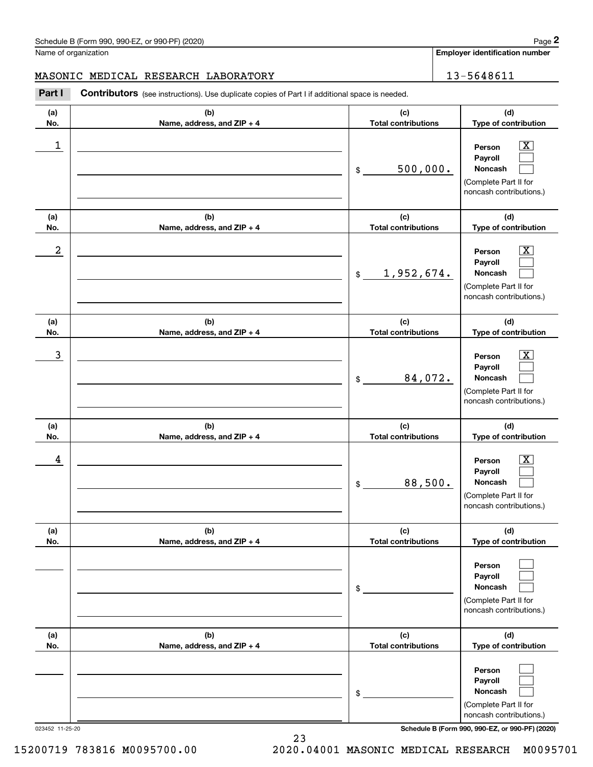**Employer identification number**

#### MASONIC MEDICAL RESEARCH LABORATORY | 13-5648611

Contributors (see instructions). Use duplicate copies of Part I if additional space is needed. Chedule B (Form 990, 990-EZ, or 990-PF) (2020)<br>Iame of organization<br>**13-5648611**<br>**2Part I Contributors** (see instructions). Use duplicate copies of Part I if additional space is needed.

| (a)        | (b)                               | (c)                               | (d)                                                                                                       |
|------------|-----------------------------------|-----------------------------------|-----------------------------------------------------------------------------------------------------------|
| No.        | Name, address, and ZIP + 4        | <b>Total contributions</b>        | Type of contribution                                                                                      |
| 1          |                                   | 500,000.<br>\$                    | $\overline{\text{X}}$<br>Person<br>Payroll<br>Noncash<br>(Complete Part II for<br>noncash contributions.) |
| (a)<br>No. | (b)<br>Name, address, and ZIP + 4 | (c)<br><b>Total contributions</b> | (d)<br>Type of contribution                                                                               |
| 2          |                                   | 1,952,674.<br>$\frac{1}{2}$       | $\overline{\text{X}}$<br>Person<br>Payroll<br>Noncash<br>(Complete Part II for<br>noncash contributions.) |
| (a)<br>No. | (b)<br>Name, address, and ZIP + 4 | (c)<br><b>Total contributions</b> | (d)<br>Type of contribution                                                                               |
| 3          |                                   | 84,072.<br>\$                     | $\overline{\text{X}}$<br>Person<br>Payroll<br>Noncash<br>(Complete Part II for<br>noncash contributions.) |
| (a)<br>No. | (b)<br>Name, address, and ZIP + 4 | (c)<br><b>Total contributions</b> | (d)<br>Type of contribution                                                                               |
| 4          |                                   | 88,500.<br>\$                     | $\overline{\text{X}}$<br>Person<br>Payroll<br>Noncash<br>(Complete Part II for<br>noncash contributions.) |
| (a)<br>No. | (b)<br>Name, address, and ZIP + 4 | (c)<br><b>Total contributions</b> | (d)<br>Type of contribution                                                                               |
|            |                                   | \$                                | Person<br>Payroll<br>Noncash<br>(Complete Part II for<br>noncash contributions.)                          |
| (a)<br>No. | (b)<br>Name, address, and ZIP + 4 | (c)<br><b>Total contributions</b> | (d)<br>Type of contribution                                                                               |
|            |                                   | \$                                | Person<br>Payroll<br>Noncash<br>(Complete Part II for<br>noncash contributions.)                          |

023452 11-25-20 **Schedule B (Form 990, 990-EZ, or 990-PF) (2020)**

15200719 783816 M0095700.00 2020.04001 MASONIC MEDICAL RESEARCH M0095701

23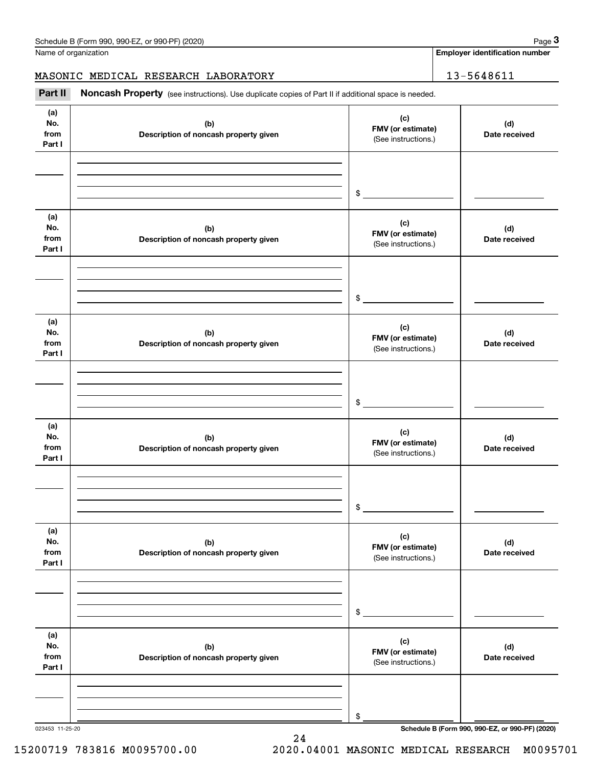**Employer identification number**

MASONIC MEDICAL RESEARCH LABORATORY | 13-5648611

Chedule B (Form 990, 990-EZ, or 990-PF) (2020)<br>
lame of organization<br> **13-5648611**<br> **2Part II if additional space is needed.**<br> **Part II Noncash Property** (see instructions). Use duplicate copies of Part II if additional sp

| (a)<br>No.<br>from<br>Part I | (b)<br>Description of noncash property given | (c)<br>FMV (or estimate)<br>(See instructions.) | (d)<br>Date received |
|------------------------------|----------------------------------------------|-------------------------------------------------|----------------------|
|                              |                                              |                                                 |                      |
|                              |                                              |                                                 |                      |
|                              |                                              | $\frac{1}{2}$                                   |                      |
| (a)<br>No.<br>from<br>Part I | (b)<br>Description of noncash property given | (c)<br>FMV (or estimate)<br>(See instructions.) | (d)<br>Date received |
|                              |                                              |                                                 |                      |
|                              |                                              |                                                 |                      |
|                              |                                              | $$^{\circ}$                                     |                      |
| (a)<br>No.<br>from<br>Part I | (b)<br>Description of noncash property given | (c)<br>FMV (or estimate)<br>(See instructions.) | (d)<br>Date received |
|                              |                                              |                                                 |                      |
|                              |                                              |                                                 |                      |
|                              |                                              | \$                                              |                      |
| (a)<br>No.<br>from<br>Part I | (b)<br>Description of noncash property given | (c)<br>FMV (or estimate)<br>(See instructions.) | (d)<br>Date received |
|                              |                                              |                                                 |                      |
|                              |                                              |                                                 |                      |
|                              |                                              | \$                                              |                      |
| (a)<br>No.<br>from<br>Part I | (b)<br>Description of noncash property given | (c)<br>FMV (or estimate)<br>(See instructions.) | (d)<br>Date received |
|                              |                                              |                                                 |                      |
|                              |                                              |                                                 |                      |
|                              |                                              | \$                                              |                      |
| (a)<br>No.<br>from<br>Part I | (b)<br>Description of noncash property given | (c)<br>FMV (or estimate)<br>(See instructions.) | (d)<br>Date received |
|                              |                                              |                                                 |                      |
|                              |                                              |                                                 |                      |
|                              |                                              | \$                                              |                      |

24

023453 11-25-20 **Schedule B (Form 990, 990-EZ, or 990-PF) (2020)**

15200719 783816 M0095700.00 2020.04001 MASONIC MEDICAL RESEARCH M0095701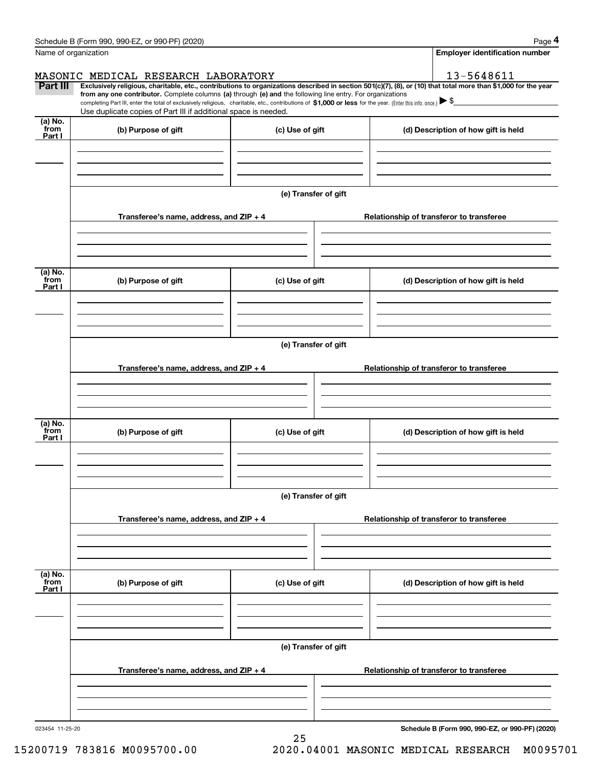|                      | Schedule B (Form 990, 990-EZ, or 990-PF) (2020)                                                                                                                                                                                                                              |                                          |                                          | Page 4                                |  |  |  |
|----------------------|------------------------------------------------------------------------------------------------------------------------------------------------------------------------------------------------------------------------------------------------------------------------------|------------------------------------------|------------------------------------------|---------------------------------------|--|--|--|
| Name of organization |                                                                                                                                                                                                                                                                              |                                          |                                          | <b>Employer identification number</b> |  |  |  |
|                      | MASONIC MEDICAL RESEARCH LABORATORY                                                                                                                                                                                                                                          |                                          |                                          | 13-5648611                            |  |  |  |
| Part III             | Exclusively religious, charitable, etc., contributions to organizations described in section 501(c)(7), (8), or (10) that total more than \$1,000 for the year<br>from any one contributor. Complete columns (a) through (e) and the following line entry. For organizations |                                          |                                          |                                       |  |  |  |
|                      | completing Part III, enter the total of exclusively religious, charitable, etc., contributions of \$1,000 or less for the year. (Enter this info. once.) \\$<br>Use duplicate copies of Part III if additional space is needed.                                              |                                          |                                          |                                       |  |  |  |
| $(a)$ No.            |                                                                                                                                                                                                                                                                              |                                          |                                          |                                       |  |  |  |
| from<br>Part I       | (b) Purpose of gift                                                                                                                                                                                                                                                          | (c) Use of gift                          | (d) Description of how gift is held      |                                       |  |  |  |
|                      |                                                                                                                                                                                                                                                                              |                                          |                                          |                                       |  |  |  |
|                      |                                                                                                                                                                                                                                                                              |                                          |                                          |                                       |  |  |  |
|                      |                                                                                                                                                                                                                                                                              |                                          |                                          |                                       |  |  |  |
|                      |                                                                                                                                                                                                                                                                              | (e) Transfer of gift                     |                                          |                                       |  |  |  |
|                      | Transferee's name, address, and ZIP + 4                                                                                                                                                                                                                                      |                                          | Relationship of transferor to transferee |                                       |  |  |  |
|                      |                                                                                                                                                                                                                                                                              |                                          |                                          |                                       |  |  |  |
|                      |                                                                                                                                                                                                                                                                              |                                          |                                          |                                       |  |  |  |
|                      |                                                                                                                                                                                                                                                                              |                                          |                                          |                                       |  |  |  |
| (a) No.<br>from      | (b) Purpose of gift<br>(c) Use of gift                                                                                                                                                                                                                                       |                                          | (d) Description of how gift is held      |                                       |  |  |  |
| Part I               |                                                                                                                                                                                                                                                                              |                                          |                                          |                                       |  |  |  |
|                      |                                                                                                                                                                                                                                                                              |                                          |                                          |                                       |  |  |  |
|                      |                                                                                                                                                                                                                                                                              |                                          |                                          |                                       |  |  |  |
|                      | (e) Transfer of gift                                                                                                                                                                                                                                                         |                                          |                                          |                                       |  |  |  |
|                      |                                                                                                                                                                                                                                                                              | Relationship of transferor to transferee |                                          |                                       |  |  |  |
|                      | Transferee's name, address, and ZIP + 4                                                                                                                                                                                                                                      |                                          |                                          |                                       |  |  |  |
|                      |                                                                                                                                                                                                                                                                              |                                          |                                          |                                       |  |  |  |
|                      |                                                                                                                                                                                                                                                                              |                                          |                                          |                                       |  |  |  |
| $(a)$ No.<br>from    | (b) Purpose of gift<br>(c) Use of gift                                                                                                                                                                                                                                       |                                          | (d) Description of how gift is held      |                                       |  |  |  |
| Part I               |                                                                                                                                                                                                                                                                              |                                          |                                          |                                       |  |  |  |
|                      |                                                                                                                                                                                                                                                                              |                                          |                                          |                                       |  |  |  |
|                      |                                                                                                                                                                                                                                                                              |                                          |                                          |                                       |  |  |  |
|                      | (e) Transfer of gift                                                                                                                                                                                                                                                         |                                          |                                          |                                       |  |  |  |
|                      |                                                                                                                                                                                                                                                                              |                                          |                                          |                                       |  |  |  |
|                      | Transferee's name, address, and $ZIP + 4$                                                                                                                                                                                                                                    | Relationship of transferor to transferee |                                          |                                       |  |  |  |
|                      |                                                                                                                                                                                                                                                                              |                                          |                                          |                                       |  |  |  |
|                      |                                                                                                                                                                                                                                                                              |                                          |                                          |                                       |  |  |  |
| (a) No.<br>from      |                                                                                                                                                                                                                                                                              |                                          |                                          |                                       |  |  |  |
| Part I               | (b) Purpose of gift                                                                                                                                                                                                                                                          | (c) Use of gift                          | (d) Description of how gift is held      |                                       |  |  |  |
|                      |                                                                                                                                                                                                                                                                              |                                          |                                          |                                       |  |  |  |
|                      |                                                                                                                                                                                                                                                                              |                                          |                                          |                                       |  |  |  |
|                      |                                                                                                                                                                                                                                                                              |                                          |                                          |                                       |  |  |  |
|                      | (e) Transfer of gift                                                                                                                                                                                                                                                         |                                          |                                          |                                       |  |  |  |
|                      | Transferee's name, address, and $ZIP + 4$                                                                                                                                                                                                                                    |                                          | Relationship of transferor to transferee |                                       |  |  |  |
|                      |                                                                                                                                                                                                                                                                              |                                          |                                          |                                       |  |  |  |
|                      |                                                                                                                                                                                                                                                                              |                                          |                                          |                                       |  |  |  |
|                      |                                                                                                                                                                                                                                                                              |                                          |                                          |                                       |  |  |  |

Schedule B (Form 990, 990-EZ, or 990-PF) (2020) Page 4

023454 11-25-20

**Schedule B (Form 990, 990-EZ, or 990-PF) (2020)**

15200719 783816 M0095700.00 2020.04001 MASONIC MEDICAL RESEARCH M0095701

25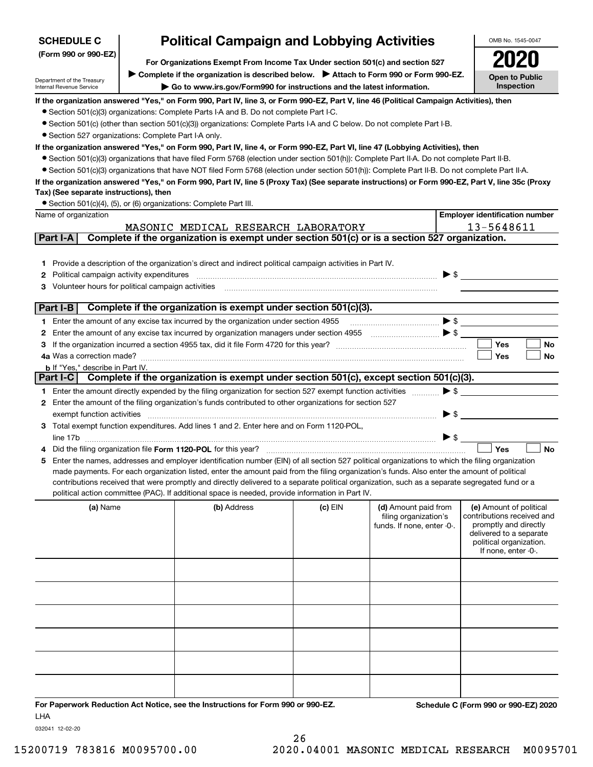| <b>SCHEDULE C</b>                                      | <b>Political Campaign and Lobbying Activities</b>                                                                                                                                                                                                                                              | OMB No. 1545-0047                                                                                                                                                         |         |                            |                                                  |  |  |  |  |
|--------------------------------------------------------|------------------------------------------------------------------------------------------------------------------------------------------------------------------------------------------------------------------------------------------------------------------------------------------------|---------------------------------------------------------------------------------------------------------------------------------------------------------------------------|---------|----------------------------|--------------------------------------------------|--|--|--|--|
| (Form 990 or 990-EZ)                                   |                                                                                                                                                                                                                                                                                                |                                                                                                                                                                           |         |                            |                                                  |  |  |  |  |
|                                                        |                                                                                                                                                                                                                                                                                                | For Organizations Exempt From Income Tax Under section 501(c) and section 527<br>Complete if the organization is described below.<br>> Attach to Form 990 or Form 990-EZ. |         |                            |                                                  |  |  |  |  |
| Department of the Treasury<br>Internal Revenue Service |                                                                                                                                                                                                                                                                                                | Go to www.irs.gov/Form990 for instructions and the latest information.                                                                                                    |         |                            | <b>Open to Public</b><br>Inspection              |  |  |  |  |
|                                                        |                                                                                                                                                                                                                                                                                                | If the organization answered "Yes," on Form 990, Part IV, line 3, or Form 990-EZ, Part V, line 46 (Political Campaign Activities), then                                   |         |                            |                                                  |  |  |  |  |
|                                                        |                                                                                                                                                                                                                                                                                                | • Section 501(c)(3) organizations: Complete Parts I-A and B. Do not complete Part I-C.                                                                                    |         |                            |                                                  |  |  |  |  |
|                                                        |                                                                                                                                                                                                                                                                                                | • Section 501(c) (other than section 501(c)(3)) organizations: Complete Parts I-A and C below. Do not complete Part I-B.                                                  |         |                            |                                                  |  |  |  |  |
| • Section 527 organizations: Complete Part I-A only.   |                                                                                                                                                                                                                                                                                                |                                                                                                                                                                           |         |                            |                                                  |  |  |  |  |
|                                                        | If the organization answered "Yes," on Form 990, Part IV, line 4, or Form 990-EZ, Part VI, line 47 (Lobbying Activities), then                                                                                                                                                                 |                                                                                                                                                                           |         |                            |                                                  |  |  |  |  |
|                                                        | • Section 501(c)(3) organizations that have filed Form 5768 (election under section 501(h)): Complete Part II-A. Do not complete Part II-B.<br>• Section 501(c)(3) organizations that have NOT filed Form 5768 (election under section 501(h)): Complete Part II-B. Do not complete Part II-A. |                                                                                                                                                                           |         |                            |                                                  |  |  |  |  |
|                                                        |                                                                                                                                                                                                                                                                                                |                                                                                                                                                                           |         |                            |                                                  |  |  |  |  |
| Tax) (See separate instructions), then                 |                                                                                                                                                                                                                                                                                                | If the organization answered "Yes," on Form 990, Part IV, line 5 (Proxy Tax) (See separate instructions) or Form 990-EZ, Part V, line 35c (Proxy                          |         |                            |                                                  |  |  |  |  |
|                                                        |                                                                                                                                                                                                                                                                                                | • Section 501(c)(4), (5), or (6) organizations: Complete Part III.                                                                                                        |         |                            |                                                  |  |  |  |  |
| Name of organization                                   |                                                                                                                                                                                                                                                                                                |                                                                                                                                                                           |         |                            | <b>Employer identification number</b>            |  |  |  |  |
|                                                        |                                                                                                                                                                                                                                                                                                | MASONIC MEDICAL RESEARCH LABORATORY                                                                                                                                       |         |                            | 13-5648611                                       |  |  |  |  |
| Part I-A                                               |                                                                                                                                                                                                                                                                                                | Complete if the organization is exempt under section 501(c) or is a section 527 organization.                                                                             |         |                            |                                                  |  |  |  |  |
|                                                        |                                                                                                                                                                                                                                                                                                |                                                                                                                                                                           |         |                            |                                                  |  |  |  |  |
| 1.                                                     |                                                                                                                                                                                                                                                                                                | Provide a description of the organization's direct and indirect political campaign activities in Part IV.                                                                 |         |                            |                                                  |  |  |  |  |
| Political campaign activity expenditures<br>2          |                                                                                                                                                                                                                                                                                                |                                                                                                                                                                           |         | $\blacktriangleright$ \$   |                                                  |  |  |  |  |
| Volunteer hours for political campaign activities      |                                                                                                                                                                                                                                                                                                |                                                                                                                                                                           |         |                            |                                                  |  |  |  |  |
|                                                        |                                                                                                                                                                                                                                                                                                |                                                                                                                                                                           |         |                            |                                                  |  |  |  |  |
| Part I-B                                               |                                                                                                                                                                                                                                                                                                | Complete if the organization is exempt under section 501(c)(3).                                                                                                           |         |                            |                                                  |  |  |  |  |
|                                                        |                                                                                                                                                                                                                                                                                                | 1 Enter the amount of any excise tax incurred by the organization under section 4955                                                                                      |         | $\blacktriangleright$ \$   |                                                  |  |  |  |  |
| 2                                                      |                                                                                                                                                                                                                                                                                                |                                                                                                                                                                           |         |                            |                                                  |  |  |  |  |
|                                                        |                                                                                                                                                                                                                                                                                                |                                                                                                                                                                           |         |                            | <b>Yes</b><br>No                                 |  |  |  |  |
| 4a Was a correction made?                              |                                                                                                                                                                                                                                                                                                |                                                                                                                                                                           |         |                            | Yes<br>No                                        |  |  |  |  |
| <b>b</b> If "Yes," describe in Part IV.                |                                                                                                                                                                                                                                                                                                | Part I-C Complete if the organization is exempt under section 501(c), except section 501(c)(3).                                                                           |         |                            |                                                  |  |  |  |  |
|                                                        |                                                                                                                                                                                                                                                                                                |                                                                                                                                                                           |         |                            |                                                  |  |  |  |  |
|                                                        |                                                                                                                                                                                                                                                                                                | 1 Enter the amount directly expended by the filing organization for section 527 exempt function activities                                                                |         | $\blacktriangleright$ \$   |                                                  |  |  |  |  |
|                                                        |                                                                                                                                                                                                                                                                                                | 2 Enter the amount of the filing organization's funds contributed to other organizations for section 527                                                                  |         | $\blacktriangleright$ \$   |                                                  |  |  |  |  |
| exempt function activities                             |                                                                                                                                                                                                                                                                                                | 3 Total exempt function expenditures. Add lines 1 and 2. Enter here and on Form 1120-POL,                                                                                 |         |                            |                                                  |  |  |  |  |
|                                                        |                                                                                                                                                                                                                                                                                                |                                                                                                                                                                           |         | ▶ \$                       |                                                  |  |  |  |  |
|                                                        |                                                                                                                                                                                                                                                                                                | Did the filing organization file Form 1120-POL for this year?                                                                                                             |         |                            | Yes<br><b>No</b>                                 |  |  |  |  |
| 5                                                      |                                                                                                                                                                                                                                                                                                | Enter the names, addresses and employer identification number (EIN) of all section 527 political organizations to which the filing organization                           |         |                            |                                                  |  |  |  |  |
|                                                        |                                                                                                                                                                                                                                                                                                | made payments. For each organization listed, enter the amount paid from the filing organization's funds. Also enter the amount of political                               |         |                            |                                                  |  |  |  |  |
|                                                        |                                                                                                                                                                                                                                                                                                | contributions received that were promptly and directly delivered to a separate political organization, such as a separate segregated fund or a                            |         |                            |                                                  |  |  |  |  |
|                                                        |                                                                                                                                                                                                                                                                                                | political action committee (PAC). If additional space is needed, provide information in Part IV.                                                                          |         |                            |                                                  |  |  |  |  |
| (a) Name                                               |                                                                                                                                                                                                                                                                                                | (b) Address                                                                                                                                                               | (c) EIN | (d) Amount paid from       | (e) Amount of political                          |  |  |  |  |
|                                                        |                                                                                                                                                                                                                                                                                                |                                                                                                                                                                           |         | filing organization's      | contributions received and                       |  |  |  |  |
|                                                        |                                                                                                                                                                                                                                                                                                |                                                                                                                                                                           |         | funds. If none, enter -0-. | promptly and directly<br>delivered to a separate |  |  |  |  |
|                                                        |                                                                                                                                                                                                                                                                                                |                                                                                                                                                                           |         |                            | political organization.                          |  |  |  |  |
|                                                        |                                                                                                                                                                                                                                                                                                |                                                                                                                                                                           |         |                            | If none, enter -0-.                              |  |  |  |  |
|                                                        |                                                                                                                                                                                                                                                                                                |                                                                                                                                                                           |         |                            |                                                  |  |  |  |  |
|                                                        |                                                                                                                                                                                                                                                                                                |                                                                                                                                                                           |         |                            |                                                  |  |  |  |  |
|                                                        |                                                                                                                                                                                                                                                                                                |                                                                                                                                                                           |         |                            |                                                  |  |  |  |  |
|                                                        |                                                                                                                                                                                                                                                                                                |                                                                                                                                                                           |         |                            |                                                  |  |  |  |  |
|                                                        |                                                                                                                                                                                                                                                                                                |                                                                                                                                                                           |         |                            |                                                  |  |  |  |  |
|                                                        |                                                                                                                                                                                                                                                                                                |                                                                                                                                                                           |         |                            |                                                  |  |  |  |  |
|                                                        |                                                                                                                                                                                                                                                                                                |                                                                                                                                                                           |         |                            |                                                  |  |  |  |  |
|                                                        |                                                                                                                                                                                                                                                                                                |                                                                                                                                                                           |         |                            |                                                  |  |  |  |  |
|                                                        |                                                                                                                                                                                                                                                                                                |                                                                                                                                                                           |         |                            |                                                  |  |  |  |  |
|                                                        |                                                                                                                                                                                                                                                                                                |                                                                                                                                                                           |         |                            |                                                  |  |  |  |  |
|                                                        |                                                                                                                                                                                                                                                                                                |                                                                                                                                                                           |         |                            |                                                  |  |  |  |  |
|                                                        |                                                                                                                                                                                                                                                                                                | For Paperwork Reduction Act Notice, see the Instructions for Form 990 or 990-EZ.                                                                                          |         |                            | Schedule C (Form 990 or 990-EZ) 2020             |  |  |  |  |

ror Pap<br>LHA

032041 12-02-20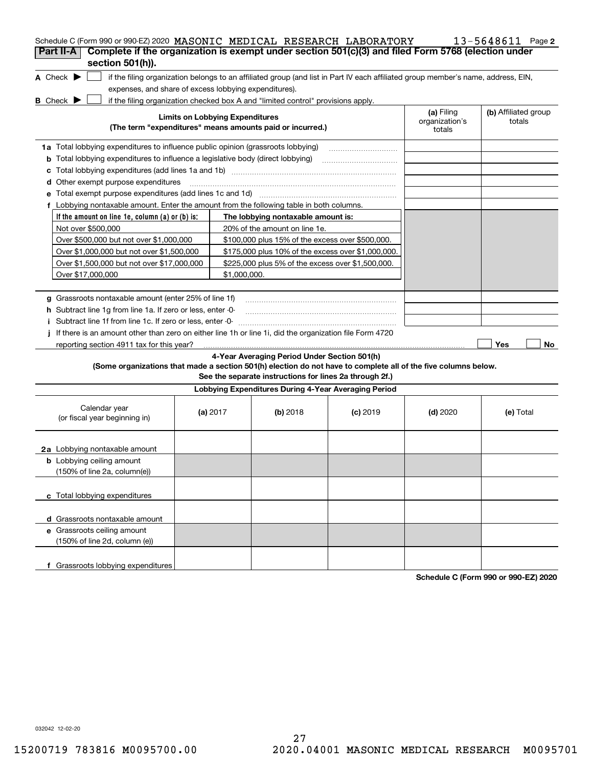| Schedule C (Form 990 or 990-EZ) 2020 MASONIC MEDICAL RESEARCH LABORATORY                                                                                           |                                        |                                                         |            |                              | 13-5648611 Page 2              |
|--------------------------------------------------------------------------------------------------------------------------------------------------------------------|----------------------------------------|---------------------------------------------------------|------------|------------------------------|--------------------------------|
| Complete if the organization is exempt under section 501(c)(3) and filed Form 5768 (election under<br>Part II-A                                                    |                                        |                                                         |            |                              |                                |
| section 501(h)).                                                                                                                                                   |                                        |                                                         |            |                              |                                |
| A Check $\blacktriangleright$<br>if the filing organization belongs to an affiliated group (and list in Part IV each affiliated group member's name, address, EIN, |                                        |                                                         |            |                              |                                |
| expenses, and share of excess lobbying expenditures).                                                                                                              |                                        |                                                         |            |                              |                                |
| <b>B</b> Check <b>D</b><br>if the filing organization checked box A and "limited control" provisions apply.                                                        | <b>Limits on Lobbying Expenditures</b> |                                                         |            | (a) Filing<br>organization's | (b) Affiliated group<br>totals |
| (The term "expenditures" means amounts paid or incurred.)                                                                                                          |                                        |                                                         |            | totals                       |                                |
| 1a Total lobbying expenditures to influence public opinion (grassroots lobbying)                                                                                   |                                        |                                                         |            |                              |                                |
| Total lobbying expenditures to influence a legislative body (direct lobbying)<br>b                                                                                 |                                        |                                                         |            |                              |                                |
| с                                                                                                                                                                  |                                        |                                                         |            |                              |                                |
| Other exempt purpose expenditures<br>d                                                                                                                             |                                        |                                                         |            |                              |                                |
|                                                                                                                                                                    |                                        |                                                         |            |                              |                                |
| f Lobbying nontaxable amount. Enter the amount from the following table in both columns.                                                                           |                                        |                                                         |            |                              |                                |
| If the amount on line 1e, column $(a)$ or $(b)$ is:                                                                                                                |                                        | The lobbying nontaxable amount is:                      |            |                              |                                |
| Not over \$500,000                                                                                                                                                 |                                        | 20% of the amount on line 1e.                           |            |                              |                                |
| Over \$500,000 but not over \$1,000,000                                                                                                                            |                                        | \$100,000 plus 15% of the excess over \$500,000.        |            |                              |                                |
| Over \$1,000,000 but not over \$1,500,000                                                                                                                          |                                        | \$175,000 plus 10% of the excess over \$1,000,000.      |            |                              |                                |
| Over \$1,500,000 but not over \$17,000,000                                                                                                                         |                                        | \$225,000 plus 5% of the excess over \$1,500,000.       |            |                              |                                |
| Over \$17,000,000                                                                                                                                                  | \$1,000,000.                           |                                                         |            |                              |                                |
|                                                                                                                                                                    |                                        |                                                         |            |                              |                                |
| g Grassroots nontaxable amount (enter 25% of line 1f)                                                                                                              |                                        |                                                         |            |                              |                                |
| <b>h</b> Subtract line 1g from line 1a. If zero or less, enter -0-                                                                                                 |                                        |                                                         |            |                              |                                |
| i Subtract line 1f from line 1c. If zero or less, enter 0                                                                                                          |                                        |                                                         |            |                              |                                |
| If there is an amount other than zero on either line 1h or line 1i, did the organization file Form 4720                                                            |                                        |                                                         |            |                              |                                |
| reporting section 4911 tax for this year?                                                                                                                          |                                        |                                                         |            |                              | Yes<br>No                      |
|                                                                                                                                                                    |                                        | 4-Year Averaging Period Under Section 501(h)            |            |                              |                                |
| (Some organizations that made a section 501(h) election do not have to complete all of the five columns below.                                                     |                                        | See the separate instructions for lines 2a through 2f.) |            |                              |                                |
|                                                                                                                                                                    |                                        | Lobbying Expenditures During 4-Year Averaging Period    |            |                              |                                |
| Calendar year<br>(or fiscal year beginning in)                                                                                                                     | (a) $2017$                             | $(b)$ 2018                                              | $(c)$ 2019 | $(d)$ 2020                   | (e) Total                      |
| <b>2a</b> Lobbying nontaxable amount                                                                                                                               |                                        |                                                         |            |                              |                                |
| <b>b</b> Lobbying ceiling amount<br>(150% of line 2a, column(e))                                                                                                   |                                        |                                                         |            |                              |                                |
| c Total lobbying expenditures                                                                                                                                      |                                        |                                                         |            |                              |                                |
| d Grassroots nontaxable amount                                                                                                                                     |                                        |                                                         |            |                              |                                |
| e Grassroots ceiling amount<br>(150% of line 2d, column (e))                                                                                                       |                                        |                                                         |            |                              |                                |
| f Grassroots lobbying expenditures                                                                                                                                 |                                        |                                                         |            |                              |                                |

**Schedule C (Form 990 or 990-EZ) 2020**

032042 12-02-20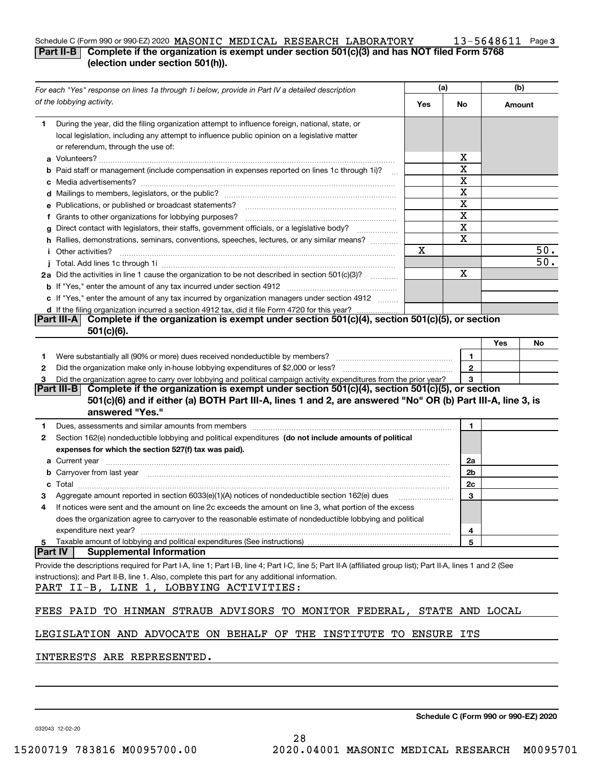#### Schedule C (Form 990 or 990-EZ) 2020 Page MASONIC MEDICAL RESEARCH LABORATORY 13-5648611

#### **3**

### **Part II-B** Complete if the organization is exempt under section 501(c)(3) and has NOT filed Form 5768 **(election under section 501(h)).**

| For each "Yes" response on lines 1a through 1i below, provide in Part IV a detailed description                                                                                                                                                                                                                                                                                                                                                                                                  |     | (a)          |                 | (b) |  |
|--------------------------------------------------------------------------------------------------------------------------------------------------------------------------------------------------------------------------------------------------------------------------------------------------------------------------------------------------------------------------------------------------------------------------------------------------------------------------------------------------|-----|--------------|-----------------|-----|--|
| of the lobbying activity.                                                                                                                                                                                                                                                                                                                                                                                                                                                                        | Yes | No           | Amount          |     |  |
| During the year, did the filing organization attempt to influence foreign, national, state, or<br>1.                                                                                                                                                                                                                                                                                                                                                                                             |     |              |                 |     |  |
| local legislation, including any attempt to influence public opinion on a legislative matter                                                                                                                                                                                                                                                                                                                                                                                                     |     |              |                 |     |  |
| or referendum, through the use of:                                                                                                                                                                                                                                                                                                                                                                                                                                                               |     |              |                 |     |  |
|                                                                                                                                                                                                                                                                                                                                                                                                                                                                                                  |     | x            |                 |     |  |
| <b>b</b> Paid staff or management (include compensation in expenses reported on lines 1c through 1i)?<br>$\sim$                                                                                                                                                                                                                                                                                                                                                                                  |     | x            |                 |     |  |
|                                                                                                                                                                                                                                                                                                                                                                                                                                                                                                  |     | X            |                 |     |  |
|                                                                                                                                                                                                                                                                                                                                                                                                                                                                                                  |     | х            |                 |     |  |
| <b>e</b> Publications, or published or broadcast statements?                                                                                                                                                                                                                                                                                                                                                                                                                                     |     | X            |                 |     |  |
| f Grants to other organizations for lobbying purposes?                                                                                                                                                                                                                                                                                                                                                                                                                                           |     | х<br>X       |                 |     |  |
| g Direct contact with legislators, their staffs, government officials, or a legislative body?                                                                                                                                                                                                                                                                                                                                                                                                    |     | X            |                 |     |  |
| h Rallies, demonstrations, seminars, conventions, speeches, lectures, or any similar means?                                                                                                                                                                                                                                                                                                                                                                                                      | Χ   |              |                 | 50. |  |
| <i>i</i> Other activities?                                                                                                                                                                                                                                                                                                                                                                                                                                                                       |     |              |                 | 50. |  |
| 2a Did the activities in line 1 cause the organization to be not described in section 501(c)(3)?                                                                                                                                                                                                                                                                                                                                                                                                 |     | x            |                 |     |  |
|                                                                                                                                                                                                                                                                                                                                                                                                                                                                                                  |     |              |                 |     |  |
| c If "Yes," enter the amount of any tax incurred by organization managers under section 4912                                                                                                                                                                                                                                                                                                                                                                                                     |     |              |                 |     |  |
| d If the filing organization incurred a section 4912 tax, did it file Form 4720 for this year?                                                                                                                                                                                                                                                                                                                                                                                                   |     |              |                 |     |  |
| Complete if the organization is exempt under section 501(c)(4), section 501(c)(5), or section<br> Part III-A                                                                                                                                                                                                                                                                                                                                                                                     |     |              |                 |     |  |
| $501(c)(6)$ .                                                                                                                                                                                                                                                                                                                                                                                                                                                                                    |     |              |                 |     |  |
|                                                                                                                                                                                                                                                                                                                                                                                                                                                                                                  |     |              | Yes             | No  |  |
| Were substantially all (90% or more) dues received nondeductible by members? [11] www.community.community.com<br>1.                                                                                                                                                                                                                                                                                                                                                                              |     | 1            |                 |     |  |
| 2                                                                                                                                                                                                                                                                                                                                                                                                                                                                                                |     | $\mathbf{2}$ |                 |     |  |
| Did the organization agree to carry over lobbying and political campaign activity expenditures from the prior year?<br>3                                                                                                                                                                                                                                                                                                                                                                         |     | 3            |                 |     |  |
| Part III-B Complete if the organization is exempt under section $501(c)(4)$ , section $501(c)(5)$ , or section                                                                                                                                                                                                                                                                                                                                                                                   |     |              |                 |     |  |
| 501(c)(6) and if either (a) BOTH Part III-A, lines 1 and 2, are answered "No" OR (b) Part III-A, line 3, is                                                                                                                                                                                                                                                                                                                                                                                      |     |              |                 |     |  |
| answered "Yes."                                                                                                                                                                                                                                                                                                                                                                                                                                                                                  |     |              |                 |     |  |
| Dues, assessments and similar amounts from members [11] matter contracts and similar amounts from members [11] matter contracts and similar amounts from members [11] matter contracts and similar amounts from members [11] m<br>1.                                                                                                                                                                                                                                                             |     | 1            |                 |     |  |
| Section 162(e) nondeductible lobbying and political expenditures (do not include amounts of political<br>2                                                                                                                                                                                                                                                                                                                                                                                       |     |              |                 |     |  |
| expenses for which the section 527(f) tax was paid).                                                                                                                                                                                                                                                                                                                                                                                                                                             |     |              |                 |     |  |
| <b>a</b> Current year                                                                                                                                                                                                                                                                                                                                                                                                                                                                            |     | 2a           |                 |     |  |
| b Carryover from last year manufactured and contain a series of the contract of the contract of the contract of the contract of the contract of the contract of the contract of the contract of the contract of the contract o                                                                                                                                                                                                                                                                   |     | 2b           |                 |     |  |
| $\textbf{Total} \textcolor{red}{\overbrace{\hspace{15em}}\hspace{15em}}\hspace{15em}\textcolor{red}{\overbrace{\hspace{15em}}\hspace{15em}}\hspace{15em}\textcolor{red}{\overbrace{\hspace{15em}}\hspace{15em}}\hspace{15em}\textcolor{red}{\overbrace{\hspace{15em}}\hspace{15em}}\hspace{15em}\textcolor{red}{\overbrace{\hspace{15em}}\hspace{15em}}\hspace{15em}\textcolor{red}{\overbrace{\hspace{15em}}\hspace{15em}}\hspace{15em}\textcolor{red}{\overbrace{\hspace{15em}}\hspace{1$<br>c |     | 2c           |                 |     |  |
| Aggregate amount reported in section 6033(e)(1)(A) notices of nondeductible section 162(e) dues                                                                                                                                                                                                                                                                                                                                                                                                  |     | 3            |                 |     |  |
| If notices were sent and the amount on line 2c exceeds the amount on line 3, what portion of the excess<br>4                                                                                                                                                                                                                                                                                                                                                                                     |     |              |                 |     |  |
| does the organization agree to carryover to the reasonable estimate of nondeductible lobbying and political<br>expenditure next year?                                                                                                                                                                                                                                                                                                                                                            |     | 4            |                 |     |  |
| Taxable amount of lobbying and political expenditures (See instructions)<br>5                                                                                                                                                                                                                                                                                                                                                                                                                    |     | 5            |                 |     |  |
| <b>Part IV</b><br><b>Supplemental Information</b>                                                                                                                                                                                                                                                                                                                                                                                                                                                |     |              |                 |     |  |
| Provide the descriptions required for Part I-A, line 1; Part I-B, line 4; Part I-C, line 5; Part II-A (affiliated group list); Part II-A, lines 1 and 2 (See                                                                                                                                                                                                                                                                                                                                     |     |              |                 |     |  |
| instructions); and Part II-B, line 1. Also, complete this part for any additional information.                                                                                                                                                                                                                                                                                                                                                                                                   |     |              |                 |     |  |
| PART II-B, LINE 1, LOBBYING ACTIVITIES:                                                                                                                                                                                                                                                                                                                                                                                                                                                          |     |              |                 |     |  |
|                                                                                                                                                                                                                                                                                                                                                                                                                                                                                                  |     |              |                 |     |  |
| FEES PAID TO HINMAN STRAUB ADVISORS TO MONITOR FEDERAL,                                                                                                                                                                                                                                                                                                                                                                                                                                          |     |              | STATE AND LOCAL |     |  |
|                                                                                                                                                                                                                                                                                                                                                                                                                                                                                                  |     |              |                 |     |  |
| LEGISLATION AND ADVOCATE ON BEHALF OF THE INSTITUTE TO ENSURE                                                                                                                                                                                                                                                                                                                                                                                                                                    |     | ITS          |                 |     |  |
| INTERESTS ARE REPRESENTED.                                                                                                                                                                                                                                                                                                                                                                                                                                                                       |     |              |                 |     |  |
|                                                                                                                                                                                                                                                                                                                                                                                                                                                                                                  |     |              |                 |     |  |

28

**Schedule C (Form 990 or 990-EZ) 2020**

032043 12-02-20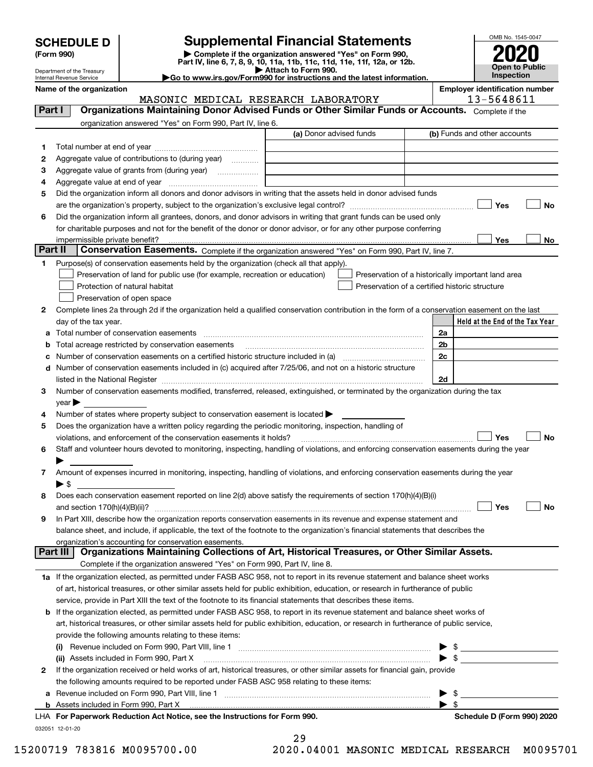| <b>SCHEDULE D</b> |  |
|-------------------|--|
|-------------------|--|

| (Form 990) |  |
|------------|--|
|------------|--|

## **Supplemental Financial Statements**

**(Form 990)** (**Form 990,**<br>Part IV, line 6, 7, 8, 9, 10, 11a, 11b, 11c, 11d, 11e, 11f, 12a, or 12b.<br>Department of the Treasury **and Exercise Connect Connect Connect Connect Connect Connect Connect Connect Connect** 



Department of the Treasury Internal Revenue Service

**|Go to www.irs.gov/Form990 for instructions and the latest information. Name of the organization Employer identification number**

032051 12-01-20 **Held at the End of the Tax Year** (a) Donor advised funds **123456Yes No Yes**<u>es \_\_\_\_\_\_\_\_ No</u> **12**Complete lines 2a through 2d if the organization held a qualified conservation contribution in the form of a conservation easement on the last **3456789abc** Number of conservation easements on a certified historic structure included in (a) www.communically **d2a2b2c2dYes No Yes No 1a** If the organization elected, as permitted under FASB ASC 958, not to report in its revenue statement and balance sheet works **2b** If the organization elected, as permitted under FASB ASC 958, to report in its revenue statement and balance sheet works of **(i)** Revenue included on Form 990, Part VIII, line 1  $\ldots$   $\ldots$   $\ldots$   $\ldots$   $\ldots$   $\ldots$   $\ldots$   $\ldots$   $\ldots$   $\ldots$   $\ldots$   $\ldots$   $\ldots$   $\ldots$ **(ii)** Assets included in Form 990, Part X ~~~~~~~~~~~~~~~~~~~~~~~~~~~~~~~~~ | \$ **a**Revenue included on Form 990, Part VIII, line 1 ~~~~~~~~~~~~~~~~~~~~~~~~~~~~~~**bFor Paperwork Reduction Act Notice, see the Instructions for Form 990. Schedule D (Form 990) 2020** LHAComplete if the organization answered "Yes" on Form 990, Part IV, line 6. (b) Funds and other accounts Total number at end of year ~~~~~~~~~~~~~~~ Aggregate value of contributions to (during year)  $\quad \quad \ldots \ldots \ldots$ Aggregate value of grants from (during year) www.community Aggregate value at end of year ~~~~~~~~~~~~~ Did the organization inform all donors and donor advisors in writing that the assets held in donor advised funds are the organization's property, subject to the organization's exclusive legal control? ~~~~~~~~~~~~~~~~~~ Did the organization inform all grantees, donors, and donor advisors in writing that grant funds can be used only for charitable purposes and not for the benefit of the donor or donor advisor, or for any other purpose conferring impermissible private benefit? **Part II | Conservation Easements.** Complete if the organization answered "Yes" on Form 990, Part IV, line 7. Purpose(s) of conservation easements held by the organization (check all that apply). Preservation of land for public use (for example, recreation or education) **Protection of natural habitat Example 2014** Preservation of open space Preservation of a historically important land area Preservation of a certified historic structure day of the tax year. Total number of conservation easements ~~~~~~~~~~~~~~~~~~~~~~~~~~~~~~~~ Total acreage restricted by conservation easements ~~~~~~~~~~~~~~~~~~~~~~~~~~Number of conservation easements included in (c) acquired after 7/25/06, and not on a historic structure listed in the National Register ~~~~~~~~~~~~~~~~~~~~~~~~~~~~~~~~~~~~~~ Number of conservation easements modified, transferred, released, extinguished, or terminated by the organization during the tax  $\vee$ ear $\blacktriangleright$ Number of states where property subject to conservation easement is located  $\blacktriangleright$ Does the organization have a written policy regarding the periodic monitoring, inspection, handling of violations, and enforcement of the conservation easements it holds? ~~~~~~~~~~~~~~~~~~~~~~~~~ Staff and volunteer hours devoted to monitoring, inspecting, handling of violations, and enforcing conservation easements during the year  $\blacktriangleright$ Amount of expenses incurred in monitoring, inspecting, handling of violations, and enforcing conservation easements during the year  $\blacktriangleright$  \$ Does each conservation easement reported on line 2(d) above satisfy the requirements of section 170(h)(4)(B)(i) and section 170(h)(4)(B)(ii)? ~~~~~~~~~~~~~~~~~~~~~~~~~~~~~~~~~~~~~~~~~~~~~~ In Part XIII, describe how the organization reports conservation easements in its revenue and expense statement and balance sheet, and include, if applicable, the text of the footnote to the organization's financial statements that describes the organization's accounting for conservation easements. Complete if the organization answered "Yes" on Form 990, Part IV, line 8. of art, historical treasures, or other similar assets held for public exhibition, education, or research in furtherance of public service, provide in Part XIII the text of the footnote to its financial statements that describes these items. art, historical treasures, or other similar assets held for public exhibition, education, or research in furtherance of public service, provide the following amounts relating to these items: If the organization received or held works of art, historical treasures, or other similar assets for financial gain, provide the following amounts required to be reported under FASB ASC 958 relating to these items: Assets included in Form 990, Part X  $\blacktriangleright$  \$  $\ldots$   $\blacktriangleright$  \$ **Part I Organizations Maintaining Donor Advised Funds or Other Similar Funds or Accounts. Part III Organizations Maintaining Collections of Art, Historical Treasures, or Other Similar Assets.**  $\mathcal{L}^{\text{max}}$  $\mathcal{L}^{\text{max}}$  $\Box$  Yes  $\Box$  $\mathcal{L}^{\text{max}}$  $\mathcal{L}^{\text{max}}$  $\mathcal{L}^{\text{max}}$ MASONIC MEDICAL RESEARCH LABORATORY | 13-5648611  $\sim$ 

| -49 |  |  |                     |
|-----|--|--|---------------------|
|     |  |  | $0.01001 \text{ m}$ |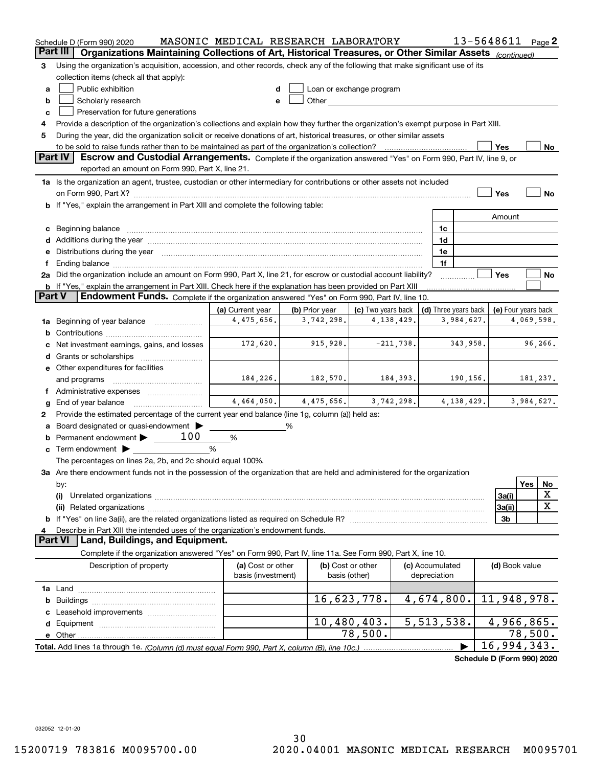|        | Schedule D (Form 990) 2020                                                                                                                                                                                                                  | MASONIC MEDICAL RESEARCH LABORATORY     |                |                                                                                                                                                                                                                               |          |                                 |              | 13-5648611                  |            | Page $2$    |
|--------|---------------------------------------------------------------------------------------------------------------------------------------------------------------------------------------------------------------------------------------------|-----------------------------------------|----------------|-------------------------------------------------------------------------------------------------------------------------------------------------------------------------------------------------------------------------------|----------|---------------------------------|--------------|-----------------------------|------------|-------------|
|        | Part III<br>Organizations Maintaining Collections of Art, Historical Treasures, or Other Similar Assets (continued)                                                                                                                         |                                         |                |                                                                                                                                                                                                                               |          |                                 |              |                             |            |             |
| з      | Using the organization's acquisition, accession, and other records, check any of the following that make significant use of its                                                                                                             |                                         |                |                                                                                                                                                                                                                               |          |                                 |              |                             |            |             |
|        | collection items (check all that apply):                                                                                                                                                                                                    |                                         |                |                                                                                                                                                                                                                               |          |                                 |              |                             |            |             |
| a      | Public exhibition                                                                                                                                                                                                                           |                                         |                | Loan or exchange program                                                                                                                                                                                                      |          |                                 |              |                             |            |             |
| b      | Scholarly research                                                                                                                                                                                                                          |                                         |                | Other and the contract of the contract of the contract of the contract of the contract of the contract of the contract of the contract of the contract of the contract of the contract of the contract of the contract of the |          |                                 |              |                             |            |             |
| c      | Preservation for future generations                                                                                                                                                                                                         |                                         |                |                                                                                                                                                                                                                               |          |                                 |              |                             |            |             |
| 4      | Provide a description of the organization's collections and explain how they further the organization's exempt purpose in Part XIII.                                                                                                        |                                         |                |                                                                                                                                                                                                                               |          |                                 |              |                             |            |             |
| 5      | During the year, did the organization solicit or receive donations of art, historical treasures, or other similar assets                                                                                                                    |                                         |                |                                                                                                                                                                                                                               |          |                                 |              |                             |            |             |
|        | to be sold to raise funds rather than to be maintained as part of the organization's collection?<br>Yes<br>No                                                                                                                               |                                         |                |                                                                                                                                                                                                                               |          |                                 |              |                             |            |             |
|        | <b>Part IV</b><br>Escrow and Custodial Arrangements. Complete if the organization answered "Yes" on Form 990, Part IV, line 9, or                                                                                                           |                                         |                |                                                                                                                                                                                                                               |          |                                 |              |                             |            |             |
|        | reported an amount on Form 990, Part X, line 21.                                                                                                                                                                                            |                                         |                |                                                                                                                                                                                                                               |          |                                 |              |                             |            |             |
|        | 1a Is the organization an agent, trustee, custodian or other intermediary for contributions or other assets not included                                                                                                                    |                                         |                |                                                                                                                                                                                                                               |          |                                 |              |                             |            |             |
|        |                                                                                                                                                                                                                                             |                                         |                |                                                                                                                                                                                                                               |          |                                 |              | Yes                         |            | No          |
|        | b If "Yes," explain the arrangement in Part XIII and complete the following table:                                                                                                                                                          |                                         |                |                                                                                                                                                                                                                               |          |                                 |              |                             |            |             |
|        |                                                                                                                                                                                                                                             |                                         |                |                                                                                                                                                                                                                               |          |                                 |              | Amount                      |            |             |
|        |                                                                                                                                                                                                                                             |                                         |                |                                                                                                                                                                                                                               |          | 1c                              |              |                             |            |             |
|        | d Additions during the year measurement contains and a state of the year measurement of the year measurement of                                                                                                                             |                                         |                |                                                                                                                                                                                                                               |          | 1d                              |              |                             |            |             |
|        | e Distributions during the year manufactured and an according to the year manufactured and the year manufactur                                                                                                                              |                                         |                |                                                                                                                                                                                                                               |          | 1e                              |              |                             |            |             |
| Ť.     |                                                                                                                                                                                                                                             |                                         |                |                                                                                                                                                                                                                               |          | 1f                              |              | Yes                         |            | No          |
|        | 2a Did the organization include an amount on Form 990, Part X, line 21, for escrow or custodial account liability?<br><b>b</b> If "Yes," explain the arrangement in Part XIII. Check here if the explanation has been provided on Part XIII |                                         |                |                                                                                                                                                                                                                               |          |                                 |              |                             |            |             |
| Part V | Endowment Funds. Complete if the organization answered "Yes" on Form 990, Part IV, line 10.                                                                                                                                                 |                                         |                |                                                                                                                                                                                                                               |          |                                 |              |                             |            |             |
|        |                                                                                                                                                                                                                                             | (a) Current year                        | (b) Prior year | (c) Two years back                                                                                                                                                                                                            |          | (d) Three years back            |              | (e) Four years back         |            |             |
| 1a     | Beginning of year balance                                                                                                                                                                                                                   | 4,475,656.                              | 3,742,298.     | 4,138,429.                                                                                                                                                                                                                    |          |                                 | 3,984,627.   |                             | 4,069,598. |             |
|        |                                                                                                                                                                                                                                             |                                         |                |                                                                                                                                                                                                                               |          |                                 |              |                             |            |             |
|        | Net investment earnings, gains, and losses                                                                                                                                                                                                  | 172,620.                                | 915,928.       | $-211,738.$                                                                                                                                                                                                                   |          |                                 | 343,958.     |                             |            | 96,266.     |
| d      |                                                                                                                                                                                                                                             |                                         |                |                                                                                                                                                                                                                               |          |                                 |              |                             |            |             |
|        | e Other expenditures for facilities                                                                                                                                                                                                         |                                         |                |                                                                                                                                                                                                                               |          |                                 |              |                             |            |             |
|        | and programs                                                                                                                                                                                                                                | 184,226.                                | 182,570.       |                                                                                                                                                                                                                               | 184,393. |                                 | 190,156.     |                             | 181,237.   |             |
|        |                                                                                                                                                                                                                                             |                                         |                |                                                                                                                                                                                                                               |          |                                 |              |                             |            |             |
| g      | End of year balance                                                                                                                                                                                                                         | 4,464,050.                              | 4,475,656.     | 3,742,298.                                                                                                                                                                                                                    |          |                                 | 4, 138, 429. |                             | 3,984,627. |             |
| 2      | Provide the estimated percentage of the current year end balance (line 1g, column (a)) held as:                                                                                                                                             |                                         |                |                                                                                                                                                                                                                               |          |                                 |              |                             |            |             |
| а      | Board designated or quasi-endowment                                                                                                                                                                                                         |                                         | %              |                                                                                                                                                                                                                               |          |                                 |              |                             |            |             |
| b      | 100<br>Permanent endowment >                                                                                                                                                                                                                | %                                       |                |                                                                                                                                                                                                                               |          |                                 |              |                             |            |             |
|        | <b>c</b> Term endowment $\blacktriangleright$                                                                                                                                                                                               | %                                       |                |                                                                                                                                                                                                                               |          |                                 |              |                             |            |             |
|        | The percentages on lines 2a, 2b, and 2c should equal 100%.                                                                                                                                                                                  |                                         |                |                                                                                                                                                                                                                               |          |                                 |              |                             |            |             |
|        | 3a Are there endowment funds not in the possession of the organization that are held and administered for the organization                                                                                                                  |                                         |                |                                                                                                                                                                                                                               |          |                                 |              |                             |            |             |
|        | by:                                                                                                                                                                                                                                         |                                         |                |                                                                                                                                                                                                                               |          |                                 |              |                             | <b>Yes</b> | No          |
|        | (i)                                                                                                                                                                                                                                         |                                         |                |                                                                                                                                                                                                                               |          |                                 |              | 3a(i)                       |            | х           |
|        |                                                                                                                                                                                                                                             |                                         |                |                                                                                                                                                                                                                               |          |                                 |              | 3a(ii)                      |            | $\mathbf X$ |
|        |                                                                                                                                                                                                                                             |                                         |                |                                                                                                                                                                                                                               |          |                                 |              | 3b                          |            |             |
| 4      | Describe in Part XIII the intended uses of the organization's endowment funds.                                                                                                                                                              |                                         |                |                                                                                                                                                                                                                               |          |                                 |              |                             |            |             |
|        | Land, Buildings, and Equipment.<br>Part VI                                                                                                                                                                                                  |                                         |                |                                                                                                                                                                                                                               |          |                                 |              |                             |            |             |
|        | Complete if the organization answered "Yes" on Form 990, Part IV, line 11a. See Form 990, Part X, line 10.                                                                                                                                  |                                         |                |                                                                                                                                                                                                                               |          |                                 |              |                             |            |             |
|        | Description of property                                                                                                                                                                                                                     | (a) Cost or other<br>basis (investment) |                | (b) Cost or other<br>basis (other)                                                                                                                                                                                            |          | (c) Accumulated<br>depreciation |              | (d) Book value              |            |             |
|        |                                                                                                                                                                                                                                             |                                         |                |                                                                                                                                                                                                                               |          |                                 |              |                             |            |             |
| b      |                                                                                                                                                                                                                                             |                                         |                | 16,623,778.                                                                                                                                                                                                                   |          | 4,674,800.                      |              | 11,948,978.                 |            |             |
|        |                                                                                                                                                                                                                                             |                                         |                |                                                                                                                                                                                                                               |          |                                 |              |                             |            |             |
| d      |                                                                                                                                                                                                                                             |                                         |                | 10,480,403.                                                                                                                                                                                                                   |          | 5,513,538.                      |              | 4,966,865.                  |            |             |
|        | e Other                                                                                                                                                                                                                                     |                                         |                | 78,500.                                                                                                                                                                                                                       |          |                                 |              |                             | 78,500.    |             |
|        |                                                                                                                                                                                                                                             |                                         |                |                                                                                                                                                                                                                               |          |                                 |              | $\overline{16}$ , 994, 343. |            |             |

**Schedule D (Form 990) 2020**

032052 12-01-20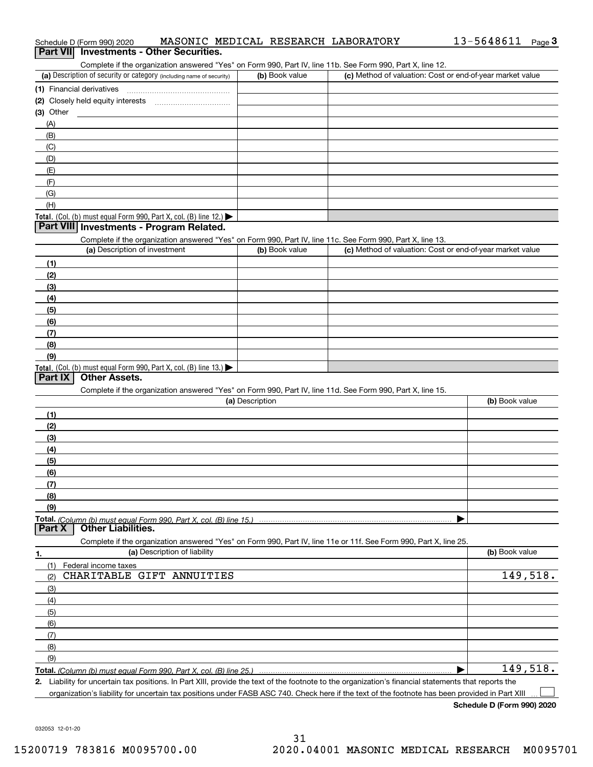| Schedule D (Form 990) 2020                                                                                                                                                                                                 | MASONIC MEDICAL RESEARCH LABORATORY | 13-5648611<br>Page $3$                                    |
|----------------------------------------------------------------------------------------------------------------------------------------------------------------------------------------------------------------------------|-------------------------------------|-----------------------------------------------------------|
| Part VII Investments - Other Securities.                                                                                                                                                                                   |                                     |                                                           |
| Complete if the organization answered "Yes" on Form 990, Part IV, line 11b. See Form 990, Part X, line 12.                                                                                                                 |                                     |                                                           |
| (a) Description of security or category (including name of security)                                                                                                                                                       | (b) Book value                      | (c) Method of valuation: Cost or end-of-year market value |
|                                                                                                                                                                                                                            |                                     |                                                           |
|                                                                                                                                                                                                                            |                                     |                                                           |
| (3) Other                                                                                                                                                                                                                  |                                     |                                                           |
| (A)                                                                                                                                                                                                                        |                                     |                                                           |
| (B)<br>(C)                                                                                                                                                                                                                 |                                     |                                                           |
| (D)                                                                                                                                                                                                                        |                                     |                                                           |
| (E)                                                                                                                                                                                                                        |                                     |                                                           |
| (F)                                                                                                                                                                                                                        |                                     |                                                           |
| (G)                                                                                                                                                                                                                        |                                     |                                                           |
| (H)                                                                                                                                                                                                                        |                                     |                                                           |
| Total. (Col. (b) must equal Form 990, Part X, col. (B) line 12.)                                                                                                                                                           |                                     |                                                           |
| Part VIII Investments - Program Related.                                                                                                                                                                                   |                                     |                                                           |
| Complete if the organization answered "Yes" on Form 990, Part IV, line 11c. See Form 990, Part X, line 13.                                                                                                                 |                                     |                                                           |
| (a) Description of investment                                                                                                                                                                                              | (b) Book value                      | (c) Method of valuation: Cost or end-of-year market value |
| (1)                                                                                                                                                                                                                        |                                     |                                                           |
| (2)                                                                                                                                                                                                                        |                                     |                                                           |
| (3)                                                                                                                                                                                                                        |                                     |                                                           |
| (4)                                                                                                                                                                                                                        |                                     |                                                           |
| (5)                                                                                                                                                                                                                        |                                     |                                                           |
| (6)                                                                                                                                                                                                                        |                                     |                                                           |
| (7)                                                                                                                                                                                                                        |                                     |                                                           |
| (8)                                                                                                                                                                                                                        |                                     |                                                           |
| (9)                                                                                                                                                                                                                        |                                     |                                                           |
| Total. (Col. (b) must equal Form 990, Part X, col. (B) line 13.)                                                                                                                                                           |                                     |                                                           |
| <b>Other Assets.</b><br>Part IX                                                                                                                                                                                            |                                     |                                                           |
| Complete if the organization answered "Yes" on Form 990, Part IV, line 11d. See Form 990, Part X, line 15.                                                                                                                 | (a) Description                     | (b) Book value                                            |
|                                                                                                                                                                                                                            |                                     |                                                           |
| (1)                                                                                                                                                                                                                        |                                     |                                                           |
| (2)<br>(3)                                                                                                                                                                                                                 |                                     |                                                           |
| (4)                                                                                                                                                                                                                        |                                     |                                                           |
| (5)                                                                                                                                                                                                                        |                                     |                                                           |
| (6)                                                                                                                                                                                                                        |                                     |                                                           |
| (7)                                                                                                                                                                                                                        |                                     |                                                           |
| (8)                                                                                                                                                                                                                        |                                     |                                                           |
| (9)                                                                                                                                                                                                                        |                                     |                                                           |
|                                                                                                                                                                                                                            |                                     |                                                           |
| <b>Other Liabilities.</b><br>Part X                                                                                                                                                                                        |                                     |                                                           |
| Complete if the organization answered "Yes" on Form 990, Part IV, line 11e or 11f. See Form 990, Part X, line 25.                                                                                                          |                                     |                                                           |
| (a) Description of liability<br>1.                                                                                                                                                                                         |                                     | (b) Book value                                            |
| (1)<br>Federal income taxes                                                                                                                                                                                                |                                     |                                                           |
| CHARITABLE GIFT ANNUITIES<br>(2)                                                                                                                                                                                           |                                     | 149,518.                                                  |
| (3)                                                                                                                                                                                                                        |                                     |                                                           |
| (4)                                                                                                                                                                                                                        |                                     |                                                           |
| (5)                                                                                                                                                                                                                        |                                     |                                                           |
| (6)                                                                                                                                                                                                                        |                                     |                                                           |
| (7)                                                                                                                                                                                                                        |                                     |                                                           |
| (8)                                                                                                                                                                                                                        |                                     |                                                           |
| (9)                                                                                                                                                                                                                        |                                     |                                                           |
| Total. (Column (b) must equal Form 990, Part X, col. (B) line 25.)<br>2. Liability for uncertain tax positions. In Part XIII, provide the text of the footnote to the organization's financial statements that reports the |                                     | 149,518.                                                  |
|                                                                                                                                                                                                                            |                                     |                                                           |

organization's liability for uncertain tax positions under FASB ASC 740. Check here if the text of the footnote has been provided in Part XIII

13-5648611 Page 3

 $\mathcal{L}^{\text{max}}$ 

032053 12-01-20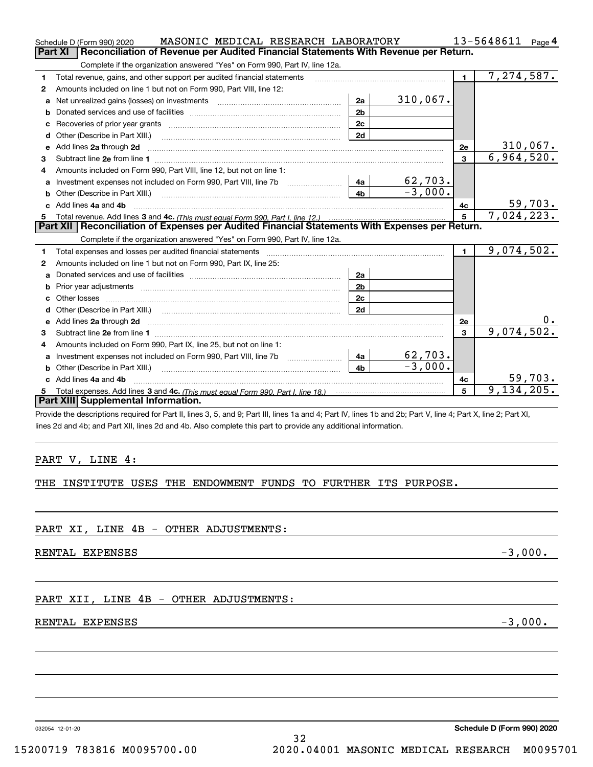|    | MASONIC MEDICAL RESEARCH LABORATORY<br>Schedule D (Form 990) 2020                                                   |                | 13-5648611<br>Page $4$    |                         |            |  |  |  |  |
|----|---------------------------------------------------------------------------------------------------------------------|----------------|---------------------------|-------------------------|------------|--|--|--|--|
|    | Reconciliation of Revenue per Audited Financial Statements With Revenue per Return.<br>Part XI                      |                |                           |                         |            |  |  |  |  |
|    | Complete if the organization answered "Yes" on Form 990, Part IV, line 12a.                                         |                |                           |                         |            |  |  |  |  |
| 1  | Total revenue, gains, and other support per audited financial statements                                            | $\blacksquare$ | 7,274,587.                |                         |            |  |  |  |  |
| 2  | Amounts included on line 1 but not on Form 990, Part VIII, line 12:                                                 |                |                           |                         |            |  |  |  |  |
| a  | Net unrealized gains (losses) on investments [11] matter contracts and the unrealized gains (losses) on investments | 2a             | $310,067$ .               |                         |            |  |  |  |  |
| b  |                                                                                                                     | 2 <sub>b</sub> |                           |                         |            |  |  |  |  |
|    |                                                                                                                     | 2c             |                           |                         |            |  |  |  |  |
| d  |                                                                                                                     | 2d             |                           |                         |            |  |  |  |  |
| е  | Add lines 2a through 2d                                                                                             |                |                           | 2e                      | 310,067.   |  |  |  |  |
| 3  |                                                                                                                     |                |                           | $\overline{\mathbf{3}}$ | 6,964,520. |  |  |  |  |
| 4  | Amounts included on Form 990, Part VIII, line 12, but not on line 1:                                                |                |                           |                         |            |  |  |  |  |
| a  | Investment expenses not included on Form 990, Part VIII, line 7b [1000000000000000000000000000000000                | 4a             | $\frac{62,703}{-3,000}$ . |                         |            |  |  |  |  |
|    |                                                                                                                     | 4 <sub>h</sub> |                           |                         |            |  |  |  |  |
|    | c Add lines 4a and 4b                                                                                               |                |                           | 4c                      | 59,703.    |  |  |  |  |
|    |                                                                                                                     |                |                           | 5                       | 7,024,223. |  |  |  |  |
|    | Part XII   Reconciliation of Expenses per Audited Financial Statements With Expenses per Return.                    |                |                           |                         |            |  |  |  |  |
|    | Complete if the organization answered "Yes" on Form 990, Part IV, line 12a.                                         |                |                           |                         |            |  |  |  |  |
| 1  | Total expenses and losses per audited financial statements                                                          |                |                           | $\mathbf{1}$            | 9,074,502. |  |  |  |  |
| 2  | Amounts included on line 1 but not on Form 990, Part IX, line 25:                                                   |                |                           |                         |            |  |  |  |  |
| a  |                                                                                                                     | 2a             |                           |                         |            |  |  |  |  |
| b  |                                                                                                                     | 2 <sub>b</sub> |                           |                         |            |  |  |  |  |
|    | Other losses                                                                                                        | 2c             |                           |                         |            |  |  |  |  |
|    | Other (Describe in Part XIII.) (Contract and the contract of the contract of the contract of the contract of t      | 2d             |                           |                         |            |  |  |  |  |
| е  | Add lines 2a through 2d                                                                                             |                |                           | 2e                      |            |  |  |  |  |
| з  |                                                                                                                     |                |                           | 3                       | 9,074,502. |  |  |  |  |
| 4  | Amounts included on Form 990, Part IX, line 25, but not on line 1:                                                  |                |                           |                         |            |  |  |  |  |
| a  |                                                                                                                     | 4a             | 62,703.                   |                         |            |  |  |  |  |
| b  | Other (Describe in Part XIII.)                                                                                      | 4 <sub>b</sub> | $-3,000.$                 |                         |            |  |  |  |  |
| c  | Add lines 4a and 4b                                                                                                 |                |                           | 4c                      | 59,703.    |  |  |  |  |
| 5. |                                                                                                                     |                |                           | 5                       | 9,134,205. |  |  |  |  |
|    | Part XIII Supplemental Information.                                                                                 |                |                           |                         |            |  |  |  |  |
|    |                                                                                                                     |                |                           |                         |            |  |  |  |  |

Provide the descriptions required for Part II, lines 3, 5, and 9; Part III, lines 1a and 4; Part IV, lines 1b and 2b; Part V, line 4; Part X, line 2; Part XI, lines 2d and 4b; and Part XII, lines 2d and 4b. Also complete this part to provide any additional information.

#### PART V, LINE 4:

THE INSTITUTE USES THE ENDOWMENT FUNDS TO FURTHER ITS PURPOSE.

PART XI, LINE 4B - OTHER ADJUSTMENTS:

RENTAL EXPENSES  $-3,000$ .

#### PART XII, LINE 4B - OTHER ADJUSTMENTS:

#### RENTAL EXPENSES  $-3,000$ .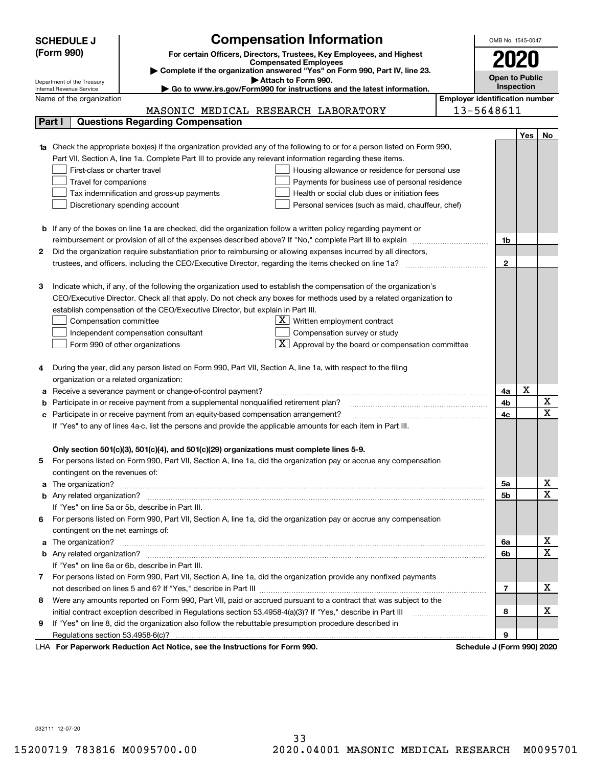|    | <b>Compensation Information</b><br><b>SCHEDULE J</b>                                                                                                                                                                                 |                                       | OMB No. 1545-0047          |     |                       |  |  |
|----|--------------------------------------------------------------------------------------------------------------------------------------------------------------------------------------------------------------------------------------|---------------------------------------|----------------------------|-----|-----------------------|--|--|
|    | (Form 990)<br>For certain Officers, Directors, Trustees, Key Employees, and Highest                                                                                                                                                  |                                       |                            |     |                       |  |  |
|    | <b>Compensated Employees</b>                                                                                                                                                                                                         |                                       | 2020                       |     |                       |  |  |
|    | Complete if the organization answered "Yes" on Form 990, Part IV, line 23.                                                                                                                                                           |                                       | <b>Open to Public</b>      |     |                       |  |  |
|    | Attach to Form 990.<br>Department of the Treasury<br>Go to www.irs.gov/Form990 for instructions and the latest information.<br>Internal Revenue Service                                                                              |                                       | <b>Inspection</b>          |     |                       |  |  |
|    | Name of the organization                                                                                                                                                                                                             | <b>Employer identification number</b> |                            |     |                       |  |  |
|    | MASONIC MEDICAL RESEARCH LABORATORY                                                                                                                                                                                                  |                                       | 13-5648611                 |     |                       |  |  |
|    | <b>Questions Regarding Compensation</b><br>Part I                                                                                                                                                                                    |                                       |                            |     |                       |  |  |
|    |                                                                                                                                                                                                                                      |                                       |                            | Yes | No                    |  |  |
|    | 1a Check the appropriate box(es) if the organization provided any of the following to or for a person listed on Form 990,                                                                                                            |                                       |                            |     |                       |  |  |
|    | Part VII, Section A, line 1a. Complete Part III to provide any relevant information regarding these items.                                                                                                                           |                                       |                            |     |                       |  |  |
|    | First-class or charter travel<br>Housing allowance or residence for personal use                                                                                                                                                     |                                       |                            |     |                       |  |  |
|    | Payments for business use of personal residence<br>Travel for companions                                                                                                                                                             |                                       |                            |     |                       |  |  |
|    | Tax indemnification and gross-up payments<br>Health or social club dues or initiation fees                                                                                                                                           |                                       |                            |     |                       |  |  |
|    | Discretionary spending account<br>Personal services (such as maid, chauffeur, chef)                                                                                                                                                  |                                       |                            |     |                       |  |  |
|    |                                                                                                                                                                                                                                      |                                       |                            |     |                       |  |  |
|    | <b>b</b> If any of the boxes on line 1a are checked, did the organization follow a written policy regarding payment or                                                                                                               |                                       |                            |     |                       |  |  |
|    | reimbursement or provision of all of the expenses described above? If "No," complete Part III to explain                                                                                                                             |                                       | 1b                         |     |                       |  |  |
| 2  | Did the organization require substantiation prior to reimbursing or allowing expenses incurred by all directors,                                                                                                                     |                                       |                            |     |                       |  |  |
|    | trustees, and officers, including the CEO/Executive Director, regarding the items checked on line 1a?                                                                                                                                |                                       | $\mathbf{2}$               |     |                       |  |  |
|    |                                                                                                                                                                                                                                      |                                       |                            |     |                       |  |  |
| З  | Indicate which, if any, of the following the organization used to establish the compensation of the organization's                                                                                                                   |                                       |                            |     |                       |  |  |
|    | CEO/Executive Director. Check all that apply. Do not check any boxes for methods used by a related organization to                                                                                                                   |                                       |                            |     |                       |  |  |
|    | establish compensation of the CEO/Executive Director, but explain in Part III.                                                                                                                                                       |                                       |                            |     |                       |  |  |
|    | $X$ Written employment contract<br>Compensation committee                                                                                                                                                                            |                                       |                            |     |                       |  |  |
|    | Compensation survey or study<br>Independent compensation consultant                                                                                                                                                                  |                                       |                            |     |                       |  |  |
|    | $\boxed{\textbf{X}}$ Approval by the board or compensation committee<br>Form 990 of other organizations                                                                                                                              |                                       |                            |     |                       |  |  |
|    |                                                                                                                                                                                                                                      |                                       |                            |     |                       |  |  |
|    | During the year, did any person listed on Form 990, Part VII, Section A, line 1a, with respect to the filing                                                                                                                         |                                       |                            |     |                       |  |  |
|    | organization or a related organization:                                                                                                                                                                                              |                                       |                            |     |                       |  |  |
| а  | Receive a severance payment or change-of-control payment?                                                                                                                                                                            |                                       | 4a                         | X   |                       |  |  |
| b  | Participate in or receive payment from a supplemental nonqualified retirement plan?                                                                                                                                                  |                                       | 4b                         |     | X                     |  |  |
| с  | Participate in or receive payment from an equity-based compensation arrangement?                                                                                                                                                     |                                       | 4c                         |     | $\overline{\text{x}}$ |  |  |
|    | If "Yes" to any of lines 4a-c, list the persons and provide the applicable amounts for each item in Part III.                                                                                                                        |                                       |                            |     |                       |  |  |
|    |                                                                                                                                                                                                                                      |                                       |                            |     |                       |  |  |
|    | Only section 501(c)(3), 501(c)(4), and 501(c)(29) organizations must complete lines 5-9.                                                                                                                                             |                                       |                            |     |                       |  |  |
|    | For persons listed on Form 990, Part VII, Section A, line 1a, did the organization pay or accrue any compensation                                                                                                                    |                                       |                            |     |                       |  |  |
|    | contingent on the revenues of:                                                                                                                                                                                                       |                                       |                            |     |                       |  |  |
|    | a The organization? <b>Entitled Strategies and Strategies and Strategies and Strategies and Strategies and Strategies and Strategies and Strategies and Strategies and Strategies and Strategies and Strategies and Strategies a</b> |                                       | 5а                         |     | x                     |  |  |
|    |                                                                                                                                                                                                                                      |                                       | <b>5b</b>                  |     | $\overline{\text{x}}$ |  |  |
|    | If "Yes" on line 5a or 5b, describe in Part III.                                                                                                                                                                                     |                                       |                            |     |                       |  |  |
| 6. | For persons listed on Form 990, Part VII, Section A, line 1a, did the organization pay or accrue any compensation                                                                                                                    |                                       |                            |     |                       |  |  |
|    | contingent on the net earnings of:                                                                                                                                                                                                   |                                       |                            |     |                       |  |  |
|    | a The organization? <b>Entitled Strategies and Strategies and Strategies and Strategies and Strategies and Strategies and Strategies and Strategies and Strategies and Strategies and Strategies and Strategies and Strategies a</b> |                                       | 6а                         |     | x                     |  |  |
|    |                                                                                                                                                                                                                                      |                                       | 6b                         |     | $\overline{\text{x}}$ |  |  |
|    | If "Yes" on line 6a or 6b, describe in Part III.                                                                                                                                                                                     |                                       |                            |     |                       |  |  |
|    | 7 For persons listed on Form 990, Part VII, Section A, line 1a, did the organization provide any nonfixed payments                                                                                                                   |                                       |                            |     |                       |  |  |
|    |                                                                                                                                                                                                                                      |                                       | 7                          |     | х                     |  |  |
| 8  | Were any amounts reported on Form 990, Part VII, paid or accrued pursuant to a contract that was subject to the                                                                                                                      |                                       |                            |     |                       |  |  |
|    | initial contract exception described in Regulations section 53.4958-4(a)(3)? If "Yes," describe in Part III                                                                                                                          |                                       | 8                          |     | x                     |  |  |
| 9  | If "Yes" on line 8, did the organization also follow the rebuttable presumption procedure described in                                                                                                                               |                                       |                            |     |                       |  |  |
|    | Regulations section 53.4958-6(c)?                                                                                                                                                                                                    |                                       | 9                          |     |                       |  |  |
|    | LHA For Paperwork Reduction Act Notice, see the Instructions for Form 990.                                                                                                                                                           |                                       | Schedule J (Form 990) 2020 |     |                       |  |  |

032111 12-07-20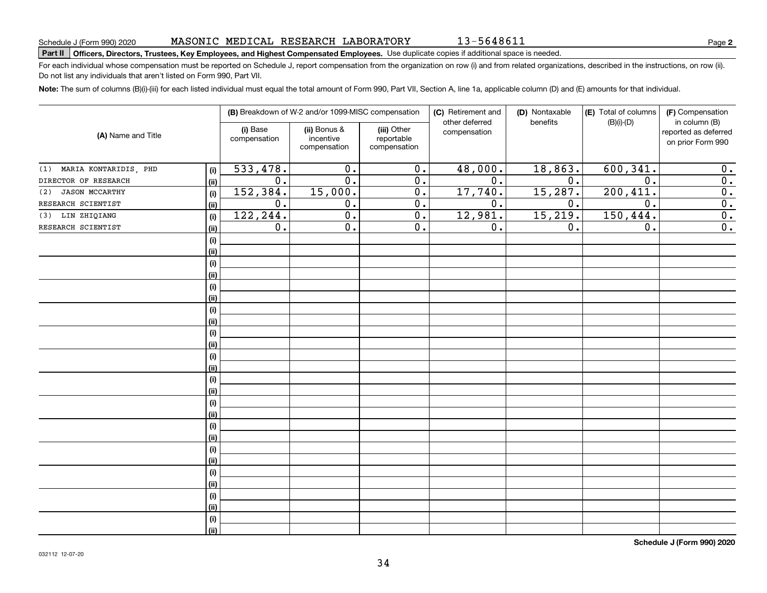13-5648611

**2**

## **Part II Officers, Directors, Trustees, Key Employees, and Highest Compensated Employees.**  Schedule J (Form 990) 2020 Page Use duplicate copies if additional space is needed.

For each individual whose compensation must be reported on Schedule J, report compensation from the organization on row (i) and from related organizations, described in the instructions, on row (ii). Do not list any individuals that aren't listed on Form 990, Part VII.

**Note:**  The sum of columns (B)(i)-(iii) for each listed individual must equal the total amount of Form 990, Part VII, Section A, line 1a, applicable column (D) and (E) amounts for that individual.

| (A) Name and Title           |      | (B) Breakdown of W-2 and/or 1099-MISC compensation |                                           |                                           | (C) Retirement and<br>other deferred | (D) Nontaxable<br>benefits | (E) Total of columns<br>$(B)(i)-(D)$ | (F) Compensation<br>in column (B)         |
|------------------------------|------|----------------------------------------------------|-------------------------------------------|-------------------------------------------|--------------------------------------|----------------------------|--------------------------------------|-------------------------------------------|
|                              |      | (i) Base<br>compensation                           | (ii) Bonus &<br>incentive<br>compensation | (iii) Other<br>reportable<br>compensation | compensation                         |                            |                                      | reported as deferred<br>on prior Form 990 |
| MARIA KONTARIDIS, PHD<br>(1) | (i)  | 533,478.                                           | 0.                                        | 0.                                        | 48,000.                              | 18,863.                    | 600,341.                             | 0.                                        |
| DIRECTOR OF RESEARCH         | (ii) | $0$ .                                              | 0.                                        | 0.                                        | 0.                                   | $0$ .                      | 0.                                   | $\overline{0}$ .                          |
| <b>JASON MCCARTHY</b><br>(2) | (i)  | 152,384.                                           | 15,000.                                   | 0.                                        | 17,740.                              | 15, 287.                   | 200, 411.                            | 0.                                        |
| RESEARCH SCIENTIST           | (ii) | 0.                                                 | 0.                                        | 0.                                        | 0.                                   | $0$ .                      | 0.                                   | $\overline{0}$ .                          |
| LIN ZHIQIANG<br>(3)          | (i)  | 122,244.                                           | 0.                                        | 0.                                        | 12,981.                              | 15, 219.                   | 150, 444.                            | $\overline{0}$ .                          |
| RESEARCH SCIENTIST           | (ii) | 0.                                                 | 0.                                        | 0.                                        | 0.                                   | 0.                         | 0.                                   | $\overline{0}$ .                          |
|                              | (i)  |                                                    |                                           |                                           |                                      |                            |                                      |                                           |
|                              | (ii) |                                                    |                                           |                                           |                                      |                            |                                      |                                           |
|                              | (i)  |                                                    |                                           |                                           |                                      |                            |                                      |                                           |
|                              | (ii) |                                                    |                                           |                                           |                                      |                            |                                      |                                           |
|                              | (i)  |                                                    |                                           |                                           |                                      |                            |                                      |                                           |
|                              | (ii) |                                                    |                                           |                                           |                                      |                            |                                      |                                           |
|                              | (i)  |                                                    |                                           |                                           |                                      |                            |                                      |                                           |
|                              | (ii) |                                                    |                                           |                                           |                                      |                            |                                      |                                           |
|                              | (i)  |                                                    |                                           |                                           |                                      |                            |                                      |                                           |
|                              | (ii) |                                                    |                                           |                                           |                                      |                            |                                      |                                           |
|                              | (i)  |                                                    |                                           |                                           |                                      |                            |                                      |                                           |
|                              | (ii) |                                                    |                                           |                                           |                                      |                            |                                      |                                           |
|                              | (i)  |                                                    |                                           |                                           |                                      |                            |                                      |                                           |
|                              | (ii) |                                                    |                                           |                                           |                                      |                            |                                      |                                           |
|                              | (i)  |                                                    |                                           |                                           |                                      |                            |                                      |                                           |
|                              | (ii) |                                                    |                                           |                                           |                                      |                            |                                      |                                           |
|                              | (i)  |                                                    |                                           |                                           |                                      |                            |                                      |                                           |
|                              | (ii) |                                                    |                                           |                                           |                                      |                            |                                      |                                           |
|                              | (i)  |                                                    |                                           |                                           |                                      |                            |                                      |                                           |
|                              | (ii) |                                                    |                                           |                                           |                                      |                            |                                      |                                           |
|                              | (i)  |                                                    |                                           |                                           |                                      |                            |                                      |                                           |
|                              | (ii) |                                                    |                                           |                                           |                                      |                            |                                      |                                           |
|                              | (i)  |                                                    |                                           |                                           |                                      |                            |                                      |                                           |
|                              | (ii) |                                                    |                                           |                                           |                                      |                            |                                      |                                           |
|                              | (i)  |                                                    |                                           |                                           |                                      |                            |                                      |                                           |
|                              | (ii) |                                                    |                                           |                                           |                                      |                            |                                      |                                           |

**Schedule J (Form 990) 2020**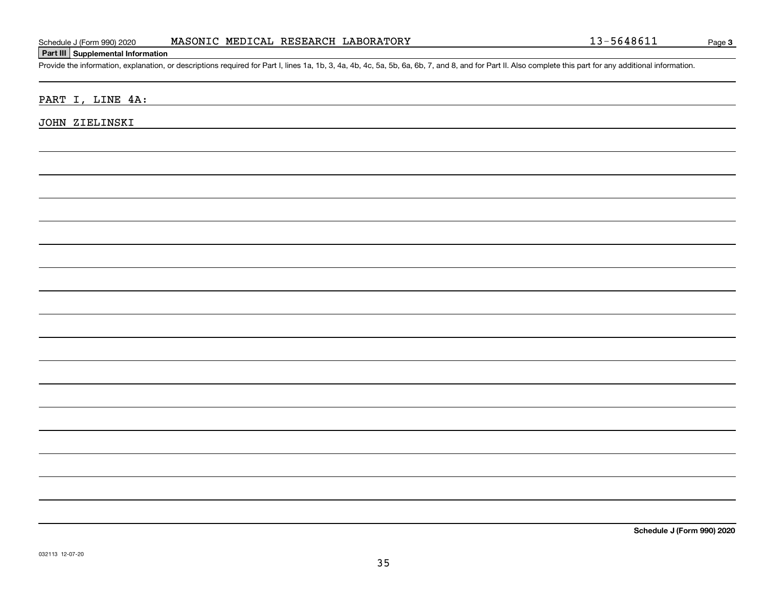#### **Part III Supplemental Information**

Schedule J (Form 990) 2020 MASONIC MEDICAL RESEARCH LABORATORY<br>Part III Supplemental Information<br>Provide the information, explanation, or descriptions required for Part I, lines 1a, 1b, 3, 4a, 4b, 4c, 5a, 5b, 6a, 6b, 7, an

PART I, LINE 4A:

JOHN ZIELINSKI

**Schedule J (Form 990) 2020**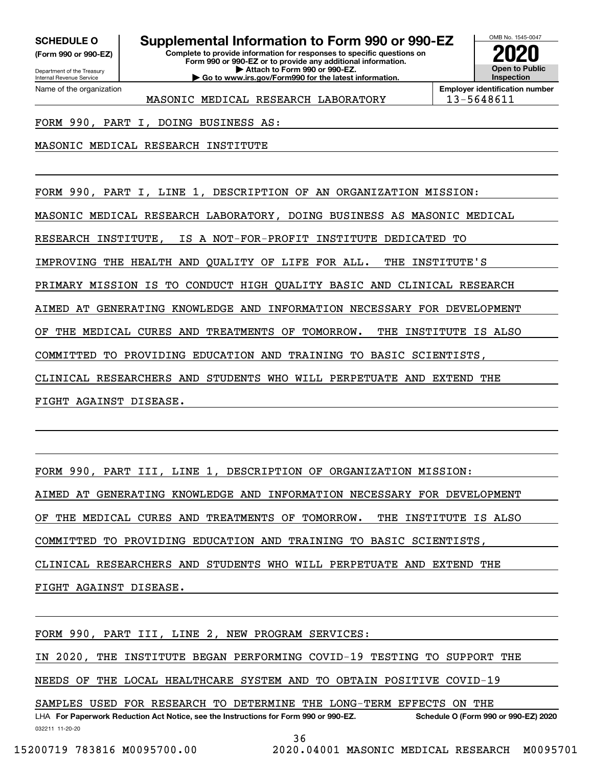**(Form 990 or 990-EZ)**

Department of the Treasury Internal Revenue Service Name of the organization

## **SCHEDULE O Supplemental Information to Form 990 or 990-EZ**

**Complete to provide information for responses to specific questions on Form 990 or 990-EZ or to provide any additional information. | Attach to Form 990 or 990-EZ. | Go to www.irs.gov/Form990 for the latest information.**



**Employer identification number** MASONIC MEDICAL RESEARCH LABORATORY | 13-5648611

FORM 990, PART I, DOING BUSINESS AS:

MASONIC MEDICAL RESEARCH INSTITUTE

FORM 990, PART I, LINE 1, DESCRIPTION OF AN ORGANIZATION MISSION:

MASONIC MEDICAL RESEARCH LABORATORY, DOING BUSINESS AS MASONIC MEDICAL

RESEARCH INSTITUTE, IS A NOT-FOR-PROFIT INSTITUTE DEDICATED TO

IMPROVING THE HEALTH AND QUALITY OF LIFE FOR ALL. THE INSTITUTE'S

PRIMARY MISSION IS TO CONDUCT HIGH QUALITY BASIC AND CLINICAL RESEARCH

AIMED AT GENERATING KNOWLEDGE AND INFORMATION NECESSARY FOR DEVELOPMENT

OF THE MEDICAL CURES AND TREATMENTS OF TOMORROW. THE INSTITUTE IS ALSO

COMMITTED TO PROVIDING EDUCATION AND TRAINING TO BASIC SCIENTISTS,

CLINICAL RESEARCHERS AND STUDENTS WHO WILL PERPETUATE AND EXTEND THE

FIGHT AGAINST DISEASE.

FORM 990, PART III, LINE 1, DESCRIPTION OF ORGANIZATION MISSION:

AIMED AT GENERATING KNOWLEDGE AND INFORMATION NECESSARY FOR DEVELOPMENT

OF THE MEDICAL CURES AND TREATMENTS OF TOMORROW. THE INSTITUTE IS ALSO

COMMITTED TO PROVIDING EDUCATION AND TRAINING TO BASIC SCIENTISTS,

CLINICAL RESEARCHERS AND STUDENTS WHO WILL PERPETUATE AND EXTEND THE

FIGHT AGAINST DISEASE.

FORM 990, PART III, LINE 2, NEW PROGRAM SERVICES:

IN 2020, THE INSTITUTE BEGAN PERFORMING COVID-19 TESTING TO SUPPORT THE

NEEDS OF THE LOCAL HEALTHCARE SYSTEM AND TO OBTAIN POSITIVE COVID-19

LHA For Paperwork Reduction Act Notice, see the Instructions for Form 990 or 990-EZ. Schedule O (Form 990 or 990-EZ) 2020 SAMPLES USED FOR RESEARCH TO DETERMINE THE LONG-TERM EFFECTS ON THE

032211 11-20-20 36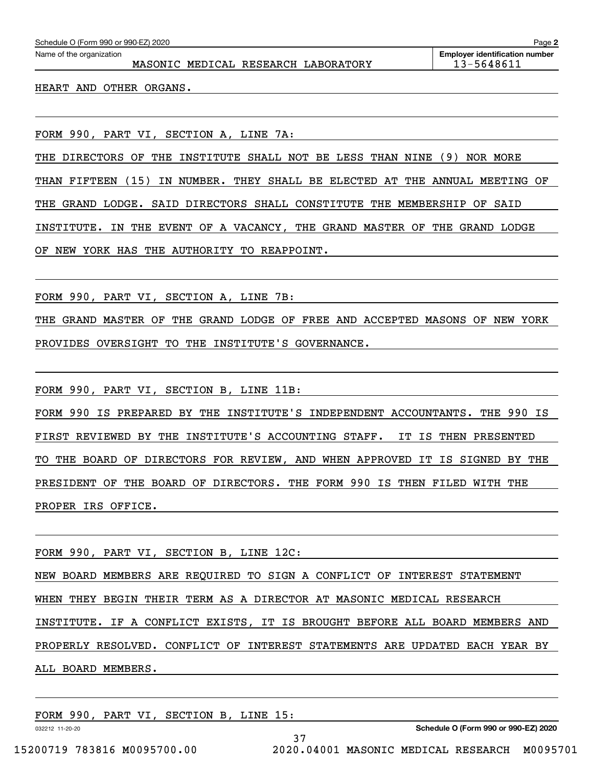| Schedule O (Form 990 or 990-EZ) 2020                            | Page 2                                              |
|-----------------------------------------------------------------|-----------------------------------------------------|
| Name of the organization<br>MASONIC MEDICAL RESEARCH LABORATORY | <b>Employer identification number</b><br>13-5648611 |
| HEART AND OTHER ORGANS.                                         |                                                     |
|                                                                 |                                                     |
|                                                                 |                                                     |

FORM 990, PART VI, SECTION A, LINE 7A:

THE DIRECTORS OF THE INSTITUTE SHALL NOT BE LESS THAN NINE (9) NOR MORE THAN FIFTEEN (15) IN NUMBER. THEY SHALL BE ELECTED AT THE ANNUAL MEETING OF THE GRAND LODGE. SAID DIRECTORS SHALL CONSTITUTE THE MEMBERSHIP OF SAID INSTITUTE. IN THE EVENT OF A VACANCY, THE GRAND MASTER OF THE GRAND LODGE OF NEW YORK HAS THE AUTHORITY TO REAPPOINT.

FORM 990, PART VI, SECTION A, LINE 7B:

THE GRAND MASTER OF THE GRAND LODGE OF FREE AND ACCEPTED MASONS OF NEW YORK PROVIDES OVERSIGHT TO THE INSTITUTE'S GOVERNANCE.

FORM 990, PART VI, SECTION B, LINE 11B:

FORM 990 IS PREPARED BY THE INSTITUTE'S INDEPENDENT ACCOUNTANTS. THE 990 IS FIRST REVIEWED BY THE INSTITUTE'S ACCOUNTING STAFF. IT IS THEN PRESENTED TO THE BOARD OF DIRECTORS FOR REVIEW, AND WHEN APPROVED IT IS SIGNED BY THE PRESIDENT OF THE BOARD OF DIRECTORS. THE FORM 990 IS THEN FILED WITH THE PROPER IRS OFFICE.

FORM 990, PART VI, SECTION B, LINE 12C:

NEW BOARD MEMBERS ARE REQUIRED TO SIGN A CONFLICT OF INTEREST STATEMENT WHEN THEY BEGIN THEIR TERM AS A DIRECTOR AT MASONIC MEDICAL RESEARCH INSTITUTE. IF A CONFLICT EXISTS, IT IS BROUGHT BEFORE ALL BOARD MEMBERS AND PROPERLY RESOLVED. CONFLICT OF INTEREST STATEMENTS ARE UPDATED EACH YEAR BY ALL BOARD MEMBERS.

37

FORM 990, PART VI, SECTION B, LINE 15:

032212 11-20-20

**Schedule O (Form 990 or 990-EZ) 2020**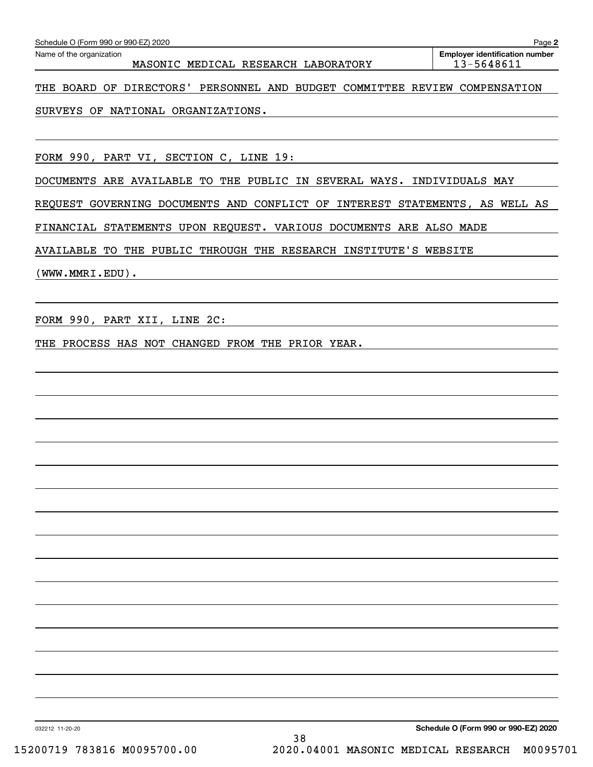| MASONIC MEDICAL RESEARCH LABORATORY                                         | 13-5648611 |
|-----------------------------------------------------------------------------|------------|
| THE BOARD OF DIRECTORS' PERSONNEL AND BUDGET COMMITTEE REVIEW COMPENSATION  |            |
| SURVEYS OF NATIONAL ORGANIZATIONS.                                          |            |
|                                                                             |            |
| FORM 990, PART VI, SECTION C, LINE 19:                                      |            |
| DOCUMENTS ARE AVAILABLE TO THE PUBLIC IN SEVERAL WAYS. INDIVIDUALS MAY      |            |
| REQUEST GOVERNING DOCUMENTS AND CONFLICT OF INTEREST STATEMENTS, AS WELL AS |            |
| FINANCIAL STATEMENTS UPON REQUEST. VARIOUS DOCUMENTS ARE ALSO MADE          |            |
| AVAILABLE TO THE PUBLIC THROUGH THE RESEARCH INSTITUTE'S WEBSITE            |            |
| (WWW.MMRI.EDU).                                                             |            |
|                                                                             |            |
| FORM 990, PART XII, LINE 2C:                                                |            |
| THE PROCESS HAS NOT CHANGED FROM THE PRIOR YEAR.                            |            |
|                                                                             |            |
|                                                                             |            |
|                                                                             |            |
|                                                                             |            |
|                                                                             |            |
|                                                                             |            |
|                                                                             |            |
|                                                                             |            |
|                                                                             |            |
|                                                                             |            |
|                                                                             |            |
|                                                                             |            |
|                                                                             |            |
|                                                                             |            |
|                                                                             |            |

Echedule O (Form 990 or 990-EZ) 2020<br>Name of the organization **number** Name of the organization **number** 

**2**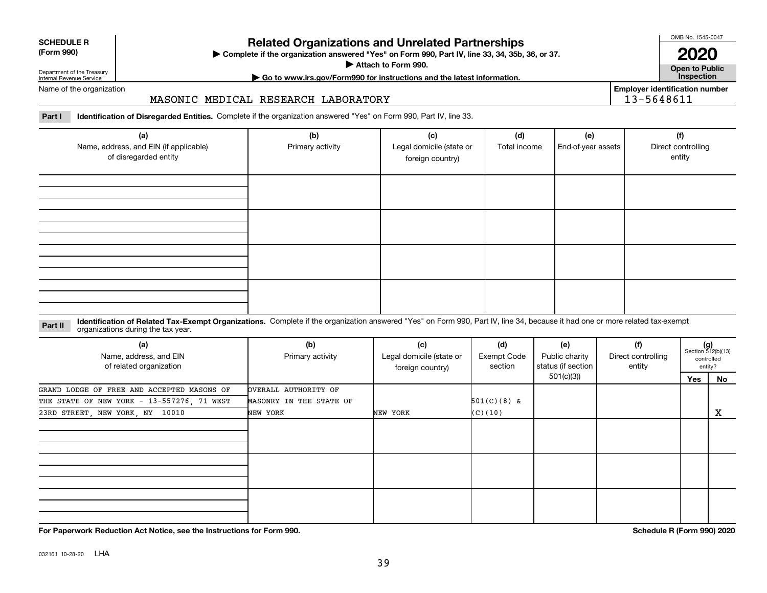| <b>SCHEDULE R</b> |  |
|-------------------|--|
| (Form 990)        |  |

#### **(Form 990)**

## **Related Organizations and Unrelated Partnerships**

**Complete if the organization answered "Yes" on Form 990, Part IV, line 33, 34, 35b, 36, or 37.** |

**Attach to Form 990.**  |

OMB No. 1545-0047 **2020**

**Open to Public | Go to www.irs.gov/Form990 for instructions and the latest information. Inspection**

**Employer identification number**

13-5648611

Department of the Treasury Internal Revenue Service Name of the organization

## MASONIC MEDICAL RESEARCH LABORATORY

**Part I Identification of Disregarded Entities.**  Complete if the organization answered "Yes" on Form 990, Part IV, line 33.

| (a)<br>Name, address, and EIN (if applicable)<br>of disregarded entity | (b)<br>Primary activity | (c)<br>Legal domicile (state or<br>foreign country) | (d)<br>Total income | (e)<br>End-of-year assets | (f)<br>Direct controlling<br>entity |
|------------------------------------------------------------------------|-------------------------|-----------------------------------------------------|---------------------|---------------------------|-------------------------------------|
|                                                                        |                         |                                                     |                     |                           |                                     |
|                                                                        |                         |                                                     |                     |                           |                                     |
|                                                                        |                         |                                                     |                     |                           |                                     |
|                                                                        |                         |                                                     |                     |                           |                                     |

#### **Identification of Related Tax-Exempt Organizations.** Complete if the organization answered "Yes" on Form 990, Part IV, line 34, because it had one or more related tax-exempt **Part II** organizations during the tax year.

| (a)<br>Name, address, and EIN<br>of related organization | (b)<br>Primary activity | (c)<br>Legal domicile (state or<br>foreign country) | (d)<br>Exempt Code<br>section | (e)<br>Public charity<br>status (if section | (f)<br>Direct controlling<br>entity |     | $(g)$<br>Section 512(b)(13)<br>controlled<br>entity? |
|----------------------------------------------------------|-------------------------|-----------------------------------------------------|-------------------------------|---------------------------------------------|-------------------------------------|-----|------------------------------------------------------|
|                                                          |                         |                                                     |                               | 501(c)(3))                                  |                                     | Yes | No                                                   |
| GRAND LODGE OF FREE AND ACCEPTED MASONS OF               | OVERALL AUTHORITY OF    |                                                     |                               |                                             |                                     |     |                                                      |
| THE STATE OF NEW YORK - 13-557276, 71 WEST               | MASONRY IN THE STATE OF |                                                     | $501(C)(8)$ &                 |                                             |                                     |     |                                                      |
| 23RD STREET, NEW YORK, NY 10010                          | NEW YORK                | NEW YORK                                            | (C)(10)                       |                                             |                                     |     | х                                                    |
|                                                          |                         |                                                     |                               |                                             |                                     |     |                                                      |
|                                                          |                         |                                                     |                               |                                             |                                     |     |                                                      |
|                                                          |                         |                                                     |                               |                                             |                                     |     |                                                      |

**For Paperwork Reduction Act Notice, see the Instructions for Form 990. Schedule R (Form 990) 2020**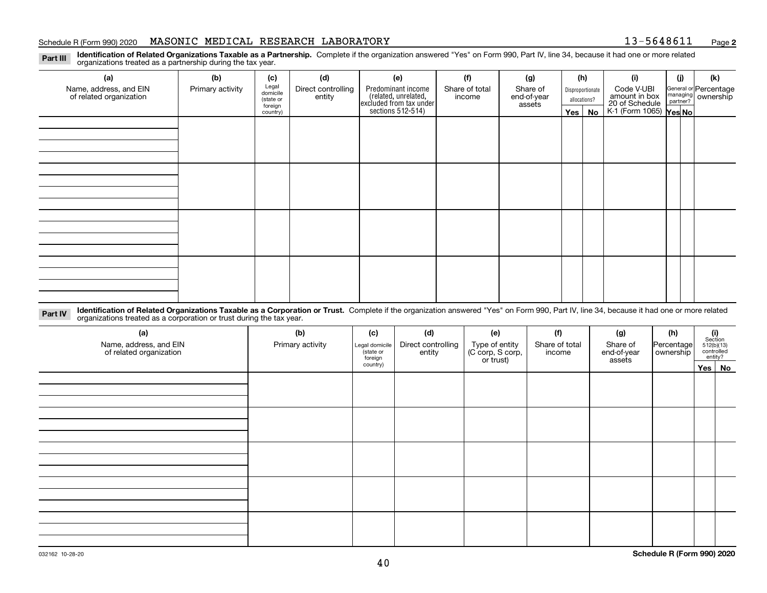#### Schedule R (Form 990) 2020 **MASONIC MEDICAL RESEARCH LABORATORY** 1 3-5 6 4 8 6 1 1 <sub>Page</sub>

**2**

**Identification of Related Organizations Taxable as a Partnership.** Complete if the organization answered "Yes" on Form 990, Part IV, line 34, because it had one or more related **Part III** organizations treated as a partnership during the tax year.

| (a)                                               | (b)              | (c)                  | (d)                          | (e)                                                                 | (f)                      | (g)                     | (h)              | (i)                                                              | (j) | (k)                                         |
|---------------------------------------------------|------------------|----------------------|------------------------------|---------------------------------------------------------------------|--------------------------|-------------------------|------------------|------------------------------------------------------------------|-----|---------------------------------------------|
| Name, address, and EIN<br>of related organization | Primary activity | Legal<br>domicile    | Direct controlling<br>entity | Predominant income                                                  | Share of total<br>income | Share of<br>end-of-year | Disproportionate | Code V-UBI                                                       |     | General or Percentage<br>managing ownership |
|                                                   |                  | (state or<br>foreign |                              |                                                                     |                          | assets                  | allocations?     |                                                                  |     |                                             |
|                                                   |                  | country)             |                              | related, unrelated,<br>excluded from tax under<br>sections 512-514) |                          |                         | Yes   No         | amount in box<br>20 of Schedule<br>K-1 (Form 1065) <b>Yes No</b> |     |                                             |
|                                                   |                  |                      |                              |                                                                     |                          |                         |                  |                                                                  |     |                                             |
|                                                   |                  |                      |                              |                                                                     |                          |                         |                  |                                                                  |     |                                             |
|                                                   |                  |                      |                              |                                                                     |                          |                         |                  |                                                                  |     |                                             |
|                                                   |                  |                      |                              |                                                                     |                          |                         |                  |                                                                  |     |                                             |
|                                                   |                  |                      |                              |                                                                     |                          |                         |                  |                                                                  |     |                                             |
|                                                   |                  |                      |                              |                                                                     |                          |                         |                  |                                                                  |     |                                             |
|                                                   |                  |                      |                              |                                                                     |                          |                         |                  |                                                                  |     |                                             |
|                                                   |                  |                      |                              |                                                                     |                          |                         |                  |                                                                  |     |                                             |
|                                                   |                  |                      |                              |                                                                     |                          |                         |                  |                                                                  |     |                                             |
|                                                   |                  |                      |                              |                                                                     |                          |                         |                  |                                                                  |     |                                             |
|                                                   |                  |                      |                              |                                                                     |                          |                         |                  |                                                                  |     |                                             |
|                                                   |                  |                      |                              |                                                                     |                          |                         |                  |                                                                  |     |                                             |
|                                                   |                  |                      |                              |                                                                     |                          |                         |                  |                                                                  |     |                                             |
|                                                   |                  |                      |                              |                                                                     |                          |                         |                  |                                                                  |     |                                             |
|                                                   |                  |                      |                              |                                                                     |                          |                         |                  |                                                                  |     |                                             |
|                                                   |                  |                      |                              |                                                                     |                          |                         |                  |                                                                  |     |                                             |
|                                                   |                  |                      |                              |                                                                     |                          |                         |                  |                                                                  |     |                                             |

**Identification of Related Organizations Taxable as a Corporation or Trust.** Complete if the organization answered "Yes" on Form 990, Part IV, line 34, because it had one or more related **Part IV** organizations treated as a corporation or trust during the tax year.

| (a)<br>Name, address, and EIN<br>of related organization | (b)<br>Primary activity | (c)<br>Legal domicile<br>(state or<br>foreign | (d)<br>Direct controlling<br>entity | (e)<br>Type of entity<br>(C corp, S corp,<br>or trust) | (f)<br>Share of total<br>income | (g)<br>Share of<br>end-of-year<br>assets | (h)<br>Percentage<br>ownership | $\begin{array}{c} \textbf{(i)}\\ \text{Section}\\ 512 \text{(b)} \text{(13)}\\ \text{controlled}\\ \text{entity?} \end{array}$ |  |
|----------------------------------------------------------|-------------------------|-----------------------------------------------|-------------------------------------|--------------------------------------------------------|---------------------------------|------------------------------------------|--------------------------------|--------------------------------------------------------------------------------------------------------------------------------|--|
|                                                          |                         | country)                                      |                                     |                                                        |                                 |                                          |                                | Yes No                                                                                                                         |  |
|                                                          |                         |                                               |                                     |                                                        |                                 |                                          |                                |                                                                                                                                |  |
|                                                          |                         |                                               |                                     |                                                        |                                 |                                          |                                |                                                                                                                                |  |
|                                                          |                         |                                               |                                     |                                                        |                                 |                                          |                                |                                                                                                                                |  |
|                                                          |                         |                                               |                                     |                                                        |                                 |                                          |                                |                                                                                                                                |  |
|                                                          |                         |                                               |                                     |                                                        |                                 |                                          |                                |                                                                                                                                |  |
|                                                          |                         |                                               |                                     |                                                        |                                 |                                          |                                |                                                                                                                                |  |
|                                                          |                         |                                               |                                     |                                                        |                                 |                                          |                                |                                                                                                                                |  |
|                                                          |                         |                                               |                                     |                                                        |                                 |                                          |                                |                                                                                                                                |  |
|                                                          |                         |                                               |                                     |                                                        |                                 |                                          |                                |                                                                                                                                |  |
|                                                          |                         |                                               |                                     |                                                        |                                 |                                          |                                |                                                                                                                                |  |
|                                                          |                         |                                               |                                     |                                                        |                                 |                                          |                                |                                                                                                                                |  |
|                                                          |                         |                                               |                                     |                                                        |                                 |                                          |                                |                                                                                                                                |  |
|                                                          |                         |                                               |                                     |                                                        |                                 |                                          |                                |                                                                                                                                |  |
|                                                          |                         |                                               |                                     |                                                        |                                 |                                          |                                |                                                                                                                                |  |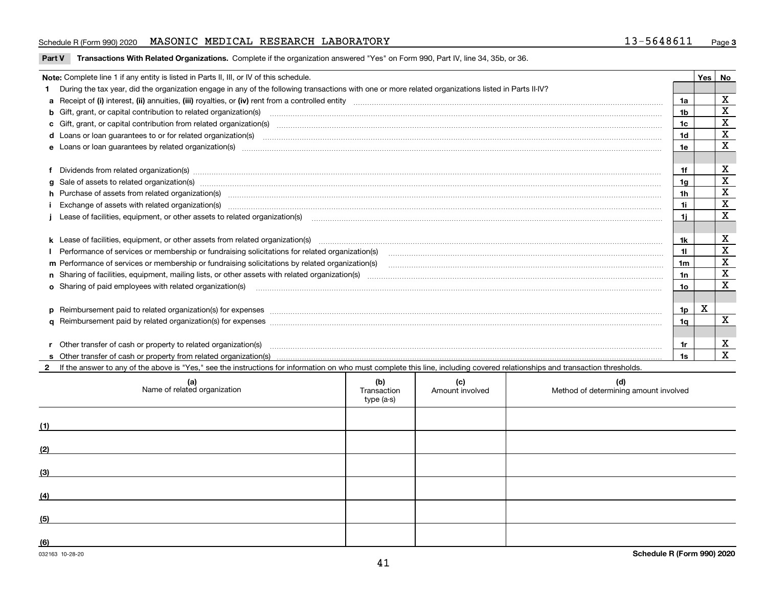#### Schedule R (Form 990) 2020 **MASONIC MEDICAL RESEARCH LABORATORY** 1 3-5 6 4 8 6 1 1 <sub>Page</sub>

**Part V** T**ransactions With Related Organizations.** Complete if the organization answered "Yes" on Form 990, Part IV, line 34, 35b, or 36.

| Note: Complete line 1 if any entity is listed in Parts II, III, or IV of this schedule.                                                                                                                                        |                | <b>Yes</b> | No          |
|--------------------------------------------------------------------------------------------------------------------------------------------------------------------------------------------------------------------------------|----------------|------------|-------------|
| During the tax year, did the organization engage in any of the following transactions with one or more related organizations listed in Parts II-IV?                                                                            |                |            |             |
|                                                                                                                                                                                                                                | 1a             |            | х           |
| b Gift, grant, or capital contribution to related organization(s) mature and contained and contribution to related organization(s) matures are contained and contribution to related organization(s)                           | 1 <sub>b</sub> |            | $\mathbf X$ |
| c Gift, grant, or capital contribution from related organization(s) material contents and contribution from related organization(s) material contents and content of the content of the content of content of content of conte | 1c             |            | $\mathbf X$ |
| <b>d</b> Loans or loan quarantees to or for related organization(s)                                                                                                                                                            | 1 <sub>d</sub> |            | $\mathbf X$ |
|                                                                                                                                                                                                                                | 1e             |            | $\mathbf x$ |
| Dividends from related organization(s) CONSECTED MARKET AND TRISTANDING SUPPORT TO THE CONSECTED MARKET AND TRI                                                                                                                | 1f             |            | $\mathbf X$ |
|                                                                                                                                                                                                                                | 1a             |            | $\mathbf X$ |
|                                                                                                                                                                                                                                | 1 <sub>h</sub> |            | х           |
| Exchange of assets with related organization(s) www.communically.communically contract and a set set of the distribution of the set of the set of the set of the set of the set of the set of the set of the set of the set of | 1i.            |            | $\mathbf X$ |
| Lease of facilities, equipment, or other assets to related organization(s) Chromomeron content in the set of facilities, equipment, or other assets to related organization(s) Chromomeron content in the set of facilities, e | 1i.            |            | X           |
| k Lease of facilities, equipment, or other assets from related organization(s) manufaction content and content to the assets from related organization(s) manufaction content and content and content and content and content  | 1k             |            | х           |
|                                                                                                                                                                                                                                |                |            | $\mathbf x$ |
| m Performance of services or membership or fundraising solicitations by related organization(s)                                                                                                                                | 1m             |            | X           |
|                                                                                                                                                                                                                                | 1n             |            | $\mathbf X$ |
| <b>o</b> Sharing of paid employees with related organization(s)                                                                                                                                                                | 1o             |            | X           |
|                                                                                                                                                                                                                                | 1p             | X          |             |
|                                                                                                                                                                                                                                | 1q             |            | $\mathbf x$ |
|                                                                                                                                                                                                                                |                |            |             |
| r Other transfer of cash or property to related organization(s)                                                                                                                                                                | 1r             |            | X           |
| If the answer to any of the above is "Yes," see the instructions for information on who must complete this line, including covered relationships and transaction thresholds.                                                   | 1s             |            | $\mathbf X$ |

| (a)<br>Name of related organization | (b)<br>Transaction<br>type (a-s) | (c)<br>Amount involved | (d)<br>Method of determining amount involved |
|-------------------------------------|----------------------------------|------------------------|----------------------------------------------|
| (1)                                 |                                  |                        |                                              |
| (2)                                 |                                  |                        |                                              |
| (3)                                 |                                  |                        |                                              |
| (4)                                 |                                  |                        |                                              |
| (5)                                 |                                  |                        |                                              |
| (6)                                 |                                  |                        |                                              |

 $\overline{\phantom{a}}$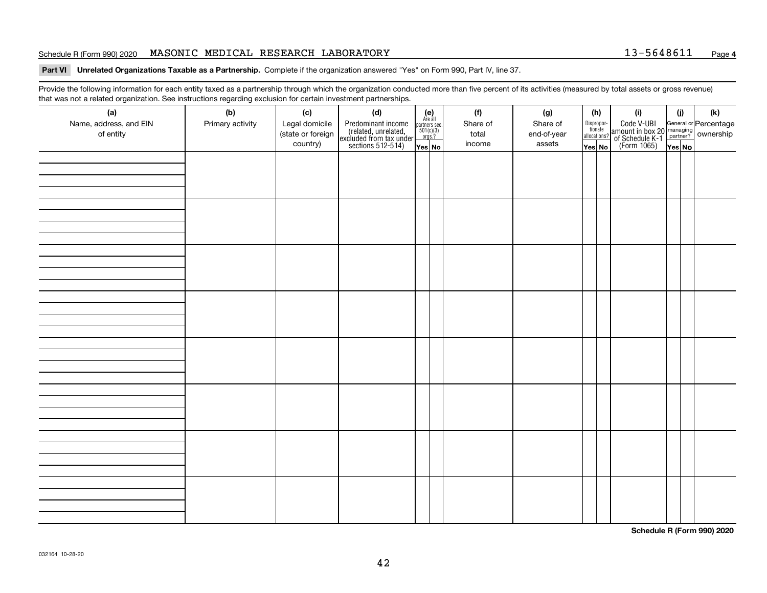#### Schedule R (Form 990) 2020 **MASONIC MEDICAL RESEARCH LABORATORY** 1 3-5 6 4 8 6 1 1 <sub>Page</sub>

#### **4**

**Part VI Unrelated Organizations Taxable as a Partnership. Complete if the organization answered "Yes" on Form 990, Part IV, line 37.** 

Provide the following information for each entity taxed as a partnership through which the organization conducted more than five percent of its activities (measured by total assets or gross revenue) that was not a related organization. See instructions regarding exclusion for certain investment partnerships.

| ັ<br>(a)               | ັ<br>ັ<br>(b)    | (c)               | . .<br>(d)                                                                                 |                                                            |  | (f)      | (g)         | (h)                              | (i)                                                                                                    | (i)    | (k) |  |  |  |  |  |  |
|------------------------|------------------|-------------------|--------------------------------------------------------------------------------------------|------------------------------------------------------------|--|----------|-------------|----------------------------------|--------------------------------------------------------------------------------------------------------|--------|-----|--|--|--|--|--|--|
| Name, address, and EIN | Primary activity | Legal domicile    |                                                                                            | $(e)$<br>Are all<br>partners sec.<br>$501(c)(3)$<br>orgs.? |  | Share of | Share of    |                                  |                                                                                                        |        |     |  |  |  |  |  |  |
| of entity              |                  | (state or foreign | Predominant income<br>(related, unrelated,<br>excluded from tax under<br>sections 512-514) |                                                            |  | total    | end-of-year | Disproportionate<br>allocations? | Code V-UBI<br>amount in box 20 managing<br>of Schedule K-1 partner? ownership<br>(Form 1065)<br>ves No |        |     |  |  |  |  |  |  |
|                        |                  | country)          |                                                                                            | Yes No                                                     |  | income   | assets      | Yes No                           |                                                                                                        | Yes No |     |  |  |  |  |  |  |
|                        |                  |                   |                                                                                            |                                                            |  |          |             |                                  |                                                                                                        |        |     |  |  |  |  |  |  |
|                        |                  |                   |                                                                                            |                                                            |  |          |             |                                  |                                                                                                        |        |     |  |  |  |  |  |  |
|                        |                  |                   |                                                                                            |                                                            |  |          |             |                                  |                                                                                                        |        |     |  |  |  |  |  |  |
|                        |                  |                   |                                                                                            |                                                            |  |          |             |                                  |                                                                                                        |        |     |  |  |  |  |  |  |
|                        |                  |                   |                                                                                            |                                                            |  |          |             |                                  |                                                                                                        |        |     |  |  |  |  |  |  |
|                        |                  |                   |                                                                                            |                                                            |  |          |             |                                  |                                                                                                        |        |     |  |  |  |  |  |  |
|                        |                  |                   |                                                                                            |                                                            |  |          |             |                                  |                                                                                                        |        |     |  |  |  |  |  |  |
|                        |                  |                   |                                                                                            |                                                            |  |          |             |                                  |                                                                                                        |        |     |  |  |  |  |  |  |
|                        |                  |                   |                                                                                            |                                                            |  |          |             |                                  |                                                                                                        |        |     |  |  |  |  |  |  |
|                        |                  |                   |                                                                                            |                                                            |  |          |             |                                  |                                                                                                        |        |     |  |  |  |  |  |  |
|                        |                  |                   |                                                                                            |                                                            |  |          |             |                                  |                                                                                                        |        |     |  |  |  |  |  |  |
|                        |                  |                   |                                                                                            |                                                            |  |          |             |                                  |                                                                                                        |        |     |  |  |  |  |  |  |
|                        |                  |                   |                                                                                            |                                                            |  |          |             |                                  |                                                                                                        |        |     |  |  |  |  |  |  |
|                        |                  |                   |                                                                                            |                                                            |  |          |             |                                  |                                                                                                        |        |     |  |  |  |  |  |  |
|                        |                  |                   |                                                                                            |                                                            |  |          |             |                                  |                                                                                                        |        |     |  |  |  |  |  |  |
|                        |                  |                   |                                                                                            |                                                            |  |          |             |                                  |                                                                                                        |        |     |  |  |  |  |  |  |
|                        |                  |                   |                                                                                            |                                                            |  |          |             |                                  |                                                                                                        |        |     |  |  |  |  |  |  |
|                        |                  |                   |                                                                                            |                                                            |  |          |             |                                  |                                                                                                        |        |     |  |  |  |  |  |  |
|                        |                  |                   |                                                                                            |                                                            |  |          |             |                                  |                                                                                                        |        |     |  |  |  |  |  |  |
|                        |                  |                   |                                                                                            |                                                            |  |          |             |                                  |                                                                                                        |        |     |  |  |  |  |  |  |
|                        |                  |                   |                                                                                            |                                                            |  |          |             |                                  |                                                                                                        |        |     |  |  |  |  |  |  |
|                        |                  |                   |                                                                                            |                                                            |  |          |             |                                  |                                                                                                        |        |     |  |  |  |  |  |  |
|                        |                  |                   |                                                                                            |                                                            |  |          |             |                                  |                                                                                                        |        |     |  |  |  |  |  |  |
|                        |                  |                   |                                                                                            |                                                            |  |          |             |                                  |                                                                                                        |        |     |  |  |  |  |  |  |
|                        |                  |                   |                                                                                            |                                                            |  |          |             |                                  |                                                                                                        |        |     |  |  |  |  |  |  |
|                        |                  |                   |                                                                                            |                                                            |  |          |             |                                  |                                                                                                        |        |     |  |  |  |  |  |  |
|                        |                  |                   |                                                                                            |                                                            |  |          |             |                                  |                                                                                                        |        |     |  |  |  |  |  |  |
|                        |                  |                   |                                                                                            |                                                            |  |          |             |                                  |                                                                                                        |        |     |  |  |  |  |  |  |
|                        |                  |                   |                                                                                            |                                                            |  |          |             |                                  |                                                                                                        |        |     |  |  |  |  |  |  |
|                        |                  |                   |                                                                                            |                                                            |  |          |             |                                  |                                                                                                        |        |     |  |  |  |  |  |  |
|                        |                  |                   |                                                                                            |                                                            |  |          |             |                                  |                                                                                                        |        |     |  |  |  |  |  |  |

**Schedule R (Form 990) 2020**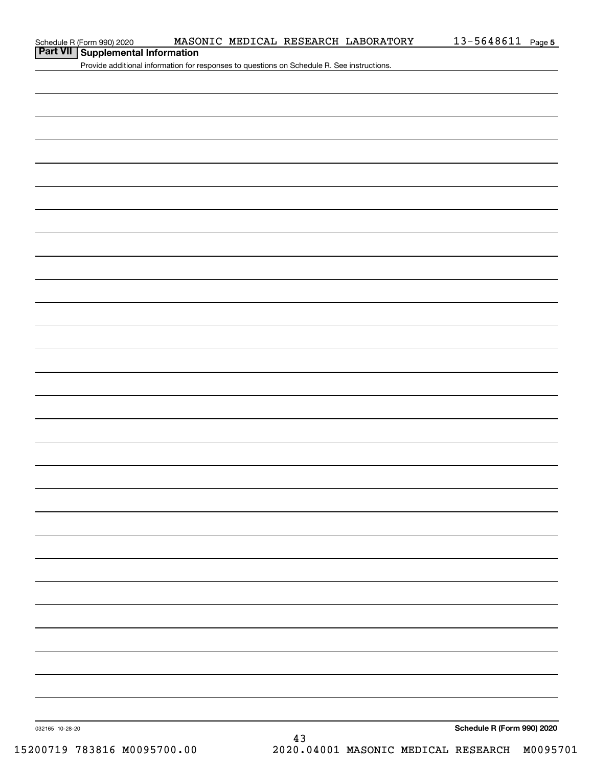**Part VII Supplemental Information**

Provide additional information for responses to questions on Schedule R. See instructions.

43

032165 10-28-20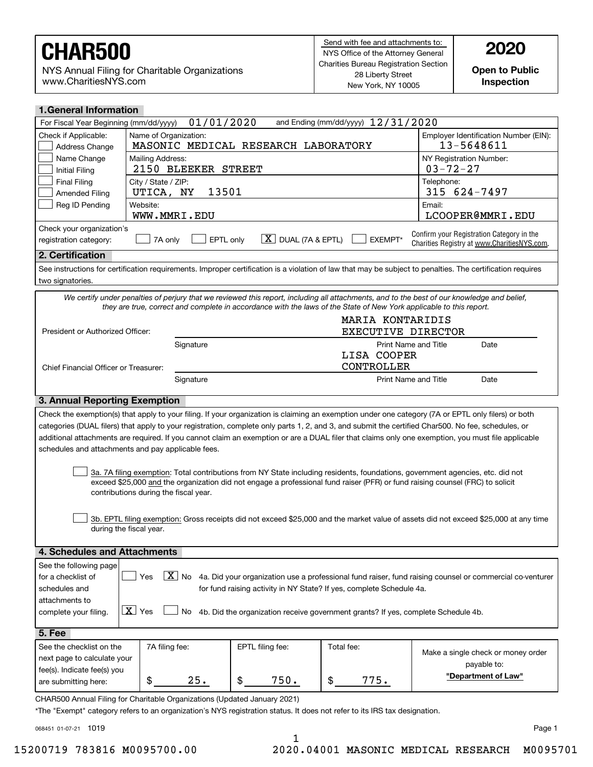NYS Annual Filing for Charitable Organizations www.CharitiesNYS.com

**Open to Public Inspection**

| <b>1.General Information</b>                 |                                                                                                                                                                                                        |                                     |                                                                                   |                                                                                                                                                            |  |  |  |  |
|----------------------------------------------|--------------------------------------------------------------------------------------------------------------------------------------------------------------------------------------------------------|-------------------------------------|-----------------------------------------------------------------------------------|------------------------------------------------------------------------------------------------------------------------------------------------------------|--|--|--|--|
| For Fiscal Year Beginning (mm/dd/yyyy)       | 01/01/2020                                                                                                                                                                                             |                                     | and Ending (mm/dd/yyyy) 12/31/2020                                                |                                                                                                                                                            |  |  |  |  |
| Check if Applicable:<br>Address Change       | Name of Organization:<br>MASONIC MEDICAL RESEARCH LABORATORY                                                                                                                                           |                                     |                                                                                   | Employer Identification Number (EIN):<br>13-5648611                                                                                                        |  |  |  |  |
| Name Change<br><b>Initial Filing</b>         | Mailing Address:<br>NY Registration Number:<br>$03 - 72 - 27$<br>2150 BLEEKER STREET                                                                                                                   |                                     |                                                                                   |                                                                                                                                                            |  |  |  |  |
| <b>Final Filing</b><br><b>Amended Filing</b> | City / State / ZIP:<br>UTICA, NY                                                                                                                                                                       | Telephone:<br>13501<br>315 624-7497 |                                                                                   |                                                                                                                                                            |  |  |  |  |
| Reg ID Pending                               | Website:<br>WWW.MMRI.EDU                                                                                                                                                                               |                                     |                                                                                   | Email:<br>LCOOPER@MMRI.EDU                                                                                                                                 |  |  |  |  |
| Check your organization's                    |                                                                                                                                                                                                        |                                     |                                                                                   |                                                                                                                                                            |  |  |  |  |
| registration category:                       | EPTL only<br>7A only                                                                                                                                                                                   | $X$ DUAL (7A & EPTL)                | EXEMPT*                                                                           | Confirm your Registration Category in the<br>Charities Registry at www.CharitiesNYS.com.                                                                   |  |  |  |  |
| 2. Certification                             |                                                                                                                                                                                                        |                                     |                                                                                   |                                                                                                                                                            |  |  |  |  |
| two signatories.                             |                                                                                                                                                                                                        |                                     |                                                                                   | See instructions for certification requirements. Improper certification is a violation of law that may be subject to penalties. The certification requires |  |  |  |  |
|                                              |                                                                                                                                                                                                        |                                     |                                                                                   | We certify under penalties of perjury that we reviewed this report, including all attachments, and to the best of our knowledge and belief,                |  |  |  |  |
|                                              | they are true, correct and complete in accordance with the laws of the State of New York applicable to this report.                                                                                    |                                     |                                                                                   |                                                                                                                                                            |  |  |  |  |
|                                              |                                                                                                                                                                                                        |                                     | MARIA KONTARIDIS                                                                  |                                                                                                                                                            |  |  |  |  |
| President or Authorized Officer:             |                                                                                                                                                                                                        |                                     | <b>EXECUTIVE DIRECTOR</b>                                                         |                                                                                                                                                            |  |  |  |  |
|                                              | Signature                                                                                                                                                                                              |                                     | Print Name and Title                                                              | Date                                                                                                                                                       |  |  |  |  |
|                                              |                                                                                                                                                                                                        |                                     | LISA COOPER                                                                       |                                                                                                                                                            |  |  |  |  |
| Chief Financial Officer or Treasurer:        |                                                                                                                                                                                                        |                                     | CONTROLLER                                                                        |                                                                                                                                                            |  |  |  |  |
|                                              | Signature                                                                                                                                                                                              |                                     | <b>Print Name and Title</b>                                                       | Date                                                                                                                                                       |  |  |  |  |
| 3. Annual Reporting Exemption                |                                                                                                                                                                                                        |                                     |                                                                                   |                                                                                                                                                            |  |  |  |  |
|                                              |                                                                                                                                                                                                        |                                     |                                                                                   | Check the exemption(s) that apply to your filing. If your organization is claiming an exemption under one category (7A or EPTL only filers) or both        |  |  |  |  |
|                                              |                                                                                                                                                                                                        |                                     |                                                                                   | categories (DUAL filers) that apply to your registration, complete only parts 1, 2, and 3, and submit the certified Char500. No fee, schedules, or         |  |  |  |  |
|                                              |                                                                                                                                                                                                        |                                     |                                                                                   | additional attachments are required. If you cannot claim an exemption or are a DUAL filer that claims only one exemption, you must file applicable         |  |  |  |  |
|                                              | schedules and attachments and pay applicable fees.                                                                                                                                                     |                                     |                                                                                   |                                                                                                                                                            |  |  |  |  |
|                                              |                                                                                                                                                                                                        |                                     |                                                                                   |                                                                                                                                                            |  |  |  |  |
|                                              |                                                                                                                                                                                                        |                                     |                                                                                   | 3a. 7A filing exemption: Total contributions from NY State including residents, foundations, government agencies, etc. did not                             |  |  |  |  |
|                                              | exceed \$25,000 and the organization did not engage a professional fund raiser (PFR) or fund raising counsel (FRC) to solicit                                                                          |                                     |                                                                                   |                                                                                                                                                            |  |  |  |  |
|                                              | contributions during the fiscal year.                                                                                                                                                                  |                                     |                                                                                   |                                                                                                                                                            |  |  |  |  |
|                                              |                                                                                                                                                                                                        |                                     |                                                                                   |                                                                                                                                                            |  |  |  |  |
|                                              |                                                                                                                                                                                                        |                                     |                                                                                   | 3b. EPTL filing exemption: Gross receipts did not exceed \$25,000 and the market value of assets did not exceed \$25,000 at any time                       |  |  |  |  |
|                                              | during the fiscal year.                                                                                                                                                                                |                                     |                                                                                   |                                                                                                                                                            |  |  |  |  |
| 4. Schedules and Attachments                 |                                                                                                                                                                                                        |                                     |                                                                                   |                                                                                                                                                            |  |  |  |  |
| See the following page                       |                                                                                                                                                                                                        |                                     |                                                                                   |                                                                                                                                                            |  |  |  |  |
| for a checklist of                           | Yes                                                                                                                                                                                                    |                                     |                                                                                   | $\boxed{\textbf{X}}$ No 4a. Did your organization use a professional fund raiser, fund raising counsel or commercial co-venturer                           |  |  |  |  |
| schedules and                                |                                                                                                                                                                                                        |                                     | for fund raising activity in NY State? If yes, complete Schedule 4a.              |                                                                                                                                                            |  |  |  |  |
| attachments to                               |                                                                                                                                                                                                        |                                     |                                                                                   |                                                                                                                                                            |  |  |  |  |
| complete your filing.                        | $\boxed{\mathbf{X}}$ Yes<br>No                                                                                                                                                                         |                                     | 4b. Did the organization receive government grants? If yes, complete Schedule 4b. |                                                                                                                                                            |  |  |  |  |
|                                              |                                                                                                                                                                                                        |                                     |                                                                                   |                                                                                                                                                            |  |  |  |  |
| 5. Fee                                       |                                                                                                                                                                                                        |                                     |                                                                                   |                                                                                                                                                            |  |  |  |  |
| See the checklist on the                     | 7A filing fee:                                                                                                                                                                                         | EPTL filing fee:                    | Total fee:                                                                        | Make a single check or money order                                                                                                                         |  |  |  |  |
| next page to calculate your                  |                                                                                                                                                                                                        |                                     |                                                                                   | payable to:                                                                                                                                                |  |  |  |  |
| fee(s). Indicate fee(s) you                  |                                                                                                                                                                                                        |                                     |                                                                                   | "Department of Law"                                                                                                                                        |  |  |  |  |
| are submitting here:                         | 25.<br>\$                                                                                                                                                                                              | \$<br>750.                          | 775.<br>\$                                                                        |                                                                                                                                                            |  |  |  |  |
|                                              | CHAR500 Annual Filing for Charitable Organizations (Updated January 2021)<br>*The "Exempt" category refers to an organization's NYS registration status. It does not refer to its IRS tax designation. |                                     |                                                                                   |                                                                                                                                                            |  |  |  |  |

068451 01-07-21 1019

1

15200719 783816 M0095700.00 2020.04001 MASONIC MEDICAL RESEARCH M0095701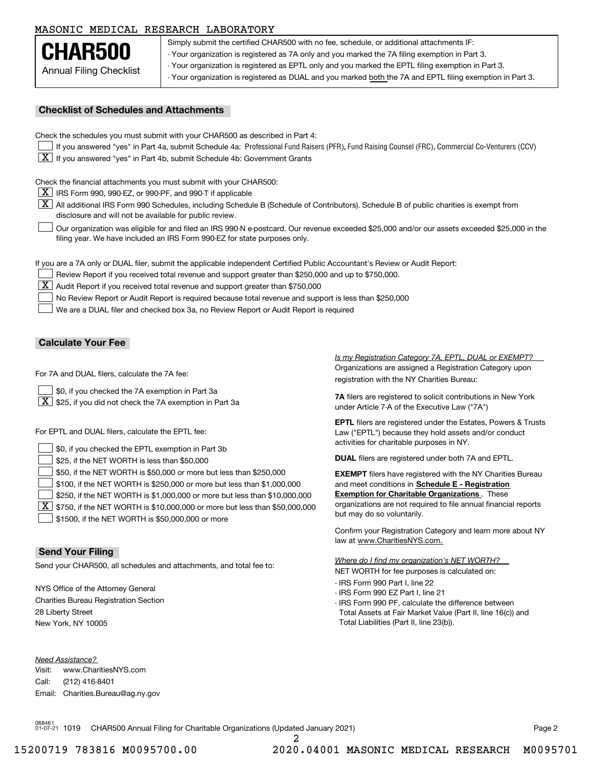#### MASONIC MEDICAL RESEARCH LABORATORY

Annual Filing Checklist **CHAR500**

Simply submit the certified CHAR500 with no fee, schedule, or additional attachments IF: - Your organization is registered as 7A only and you marked the 7A filing exemption in Part 3.

- Your organization is registered as EPTL only and you marked the EPTL filing exemption in Part 3.

- Your organization is registered as DUAL and you marked both the 7A and EPTL filing exemption in Part 3.

#### **Checklist of Schedules and Attachments**

Check the schedules you must submit with your CHAR500 as described in Part 4:

- If you answered "yes" in Part 4a, submit Schedule 4a: Professional Fund Raisers (PFR), Fund Raising Counsel (FRC), Commercial Co-Venturers (CCV)
- $\boxed{\textbf{X}}$  If you answered "yes" in Part 4b, submit Schedule 4b: Government Grants

Check the financial attachments you must submit with your CHAR500:

 $\boxed{\textbf{X}}$  IRS Form 990, 990-EZ, or 990-PF, and 990-T if applicable

 $\boxed{\textbf{X}}$  All additional IRS Form 990 Schedules, including Schedule B (Schedule of Contributors). Schedule B of public charities is exempt from disclosure and will not be available for public review.

Our organization was eligible for and filed an IRS 990-N e-postcard. Our revenue exceeded \$25,000 and/or our assets exceeded \$25,000 in the filing year. We have included an IRS Form 990-EZ for state purposes only.  $\mathcal{L}^{\text{max}}$ 

If you are a 7A only or DUAL filer, submit the applicable independent Certified Public Accountant's Review or Audit Report:

Review Report if you received total revenue and support greater than \$250,000 and up to \$750,000.

 $\boxed{\textbf{X}}$  Audit Report if you received total revenue and support greater than \$750,000

No Review Report or Audit Report is required because total revenue and support is less than \$250,000  $\mathcal{L}^{\text{max}}$ 

We are a DUAL filer and checked box 3a, no Review Report or Audit Report is required  $\mathcal{L}^{\text{max}}$ 

#### **Calculate Your Fee**

For 7A and DUAL filers, calculate the 7A fee:

\$0, if you checked the 7A exemption in Part 3a  $\mathcal{L}^{\text{max}}$ 

 $\boxed{\textbf{X}}$  \$25, if you did not check the 7A exemption in Part 3a

For EPTL and DUAL filers, calculate the EPTL fee:

| $\Box$ \$0, if you checked the EPTL exemption in Part 3b                                        | activities for charitable purposes in NY.                         |
|-------------------------------------------------------------------------------------------------|-------------------------------------------------------------------|
| $\vert$ \$25, if the NET WORTH is less than \$50,000                                            | <b>DUAL</b> filers are registered under both 7A and EPTL.         |
| \$50, if the NET WORTH is \$50,000 or more but less than \$250,000                              | <b>EXEMPT</b> filers have registered with the NY Charities Bureau |
| $\vert$ \$100, if the NET WORTH is \$250,000 or more but less than \$1,000,000                  | and meet conditions in Schedule E - Registration                  |
| \$250, if the NET WORTH is \$1,000,000 or more but less than \$10,000,000                       | <b>Exemption for Charitable Organizations.</b> These              |
| $\boxed{\textbf{X}}$ \$750, if the NET WORTH is \$10,000,000 or more but less than \$50,000,000 | organizations are not required to file annual financial reports   |
| \$1500, if the NET WORTH is \$50,000,000 or more                                                | but may do so voluntarily.                                        |

#### **Send Your Filing**

Send your CHAR500, all schedules and attachments, and total fee to:

NYS Office of the Attorney General Charities Bureau Registration Section 28 Liberty Street New York, NY 10005

*Need Assistance?*

Visit:Call:Email:Charities.Bureau@ag.ny.gov www.CharitiesNYS.com(212) 416-8401

Organizations are assigned a Registration Category upon registration with the NY Charities Bureau: *Is my Registration Category 7A, EPTL, DUAL or EXEMPT?* 

**7A** filers are registered to solicit contributions in New York under Article 7-A of the Executive Law ("7A")

**EPTL** filers are registered under the Estates, Powers & Trusts Law ("EPTL") because they hold assets and/or conduct activities for charitable purposes in NY.

Confirm your Registration Category and learn more about NY law at www.CharitiesNYS.com.

NET WORTH for fee purposes is calculated on: *Where do I find my organization's NET WORTH?*

- IRS Form 990 Part I, line 22
- IRS Form 990 EZ Part I, line 21
- IRS Form 990 PF, calculate the difference between Total Assets at Fair Market Value (Part II, line 16(c)) and Total Liabilities (Part II, line 23(b)).

068461 01-07-21 1019 CHAR500 Annual Filing for Charitable Organizations (Updated January 2021) Page 2

2

15200719 783816 M0095700.00 2020.04001 MASONIC MEDICAL RESEARCH M0095701